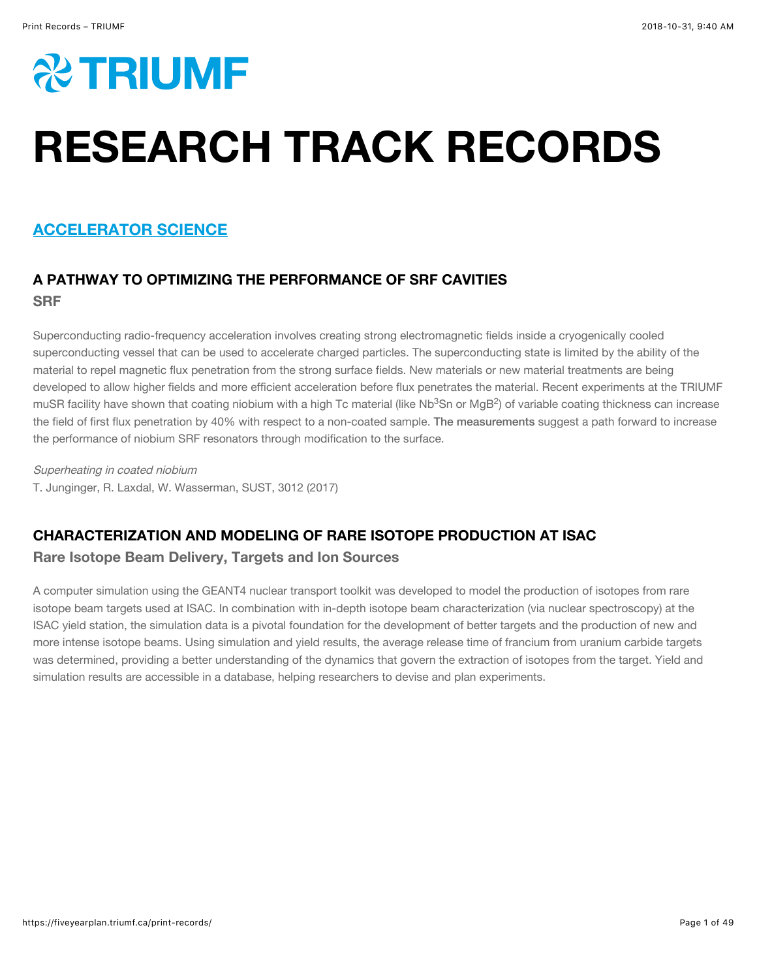

# RESEARCH TRACK RECORDS

## ACCELERATOR SCIENCE

## A PATHWAY TO OPTIMIZING THE PERFORMANCE OF SRF CAVITIES **SRF**

Superconducting radio-frequency acceleration involves creating strong electromagnetic fields inside a cryogenically cooled superconducting vessel that can be used to accelerate charged particles. The superconducting state is limited by the ability of the material to repel magnetic flux penetration from the strong surface fields. New materials or new material treatments are being developed to allow higher fields and more efficient acceleration before flux penetrates the material. Recent experiments at the TRIUMF muSR facility have shown that coating niobium with a high Tc material (like Nb $^3$ Sn or MgB $^2$ ) of variable coating thickness can increase the field of first flux penetration by 40% with respect to a non-coated sample. [The measurements](http://iopscience.iop.org/article/10.1088/1361-6668/aa8e3a/meta) suggest a path forward to increase the performance of niobium SRF resonators through modification to the surface.

Superheating in coated niobium T. Junginger, R. Laxdal, W. Wasserman, SUST, 3012 (2017)

## CHARACTERIZATION AND MODELING OF RARE ISOTOPE PRODUCTION AT ISAC

#### Rare Isotope Beam Delivery, Targets and Ion Sources

A computer simulation using the GEANT4 nuclear transport toolkit was developed to model the production of isotopes from rare isotope beam targets used at ISAC. In combination with in-depth isotope beam characterization (via nuclear spectroscopy) at the ISAC yield station, the simulation data is a pivotal foundation for the development of better targets and the production of new and more intense isotope beams. Using simulation and yield results, the average release time of francium from uranium carbide targets was determined, providing a better understanding of the dynamics that govern the extraction of isotopes from the target. Yield and simulation results are accessible in a database, helping researchers to devise and plan experiments.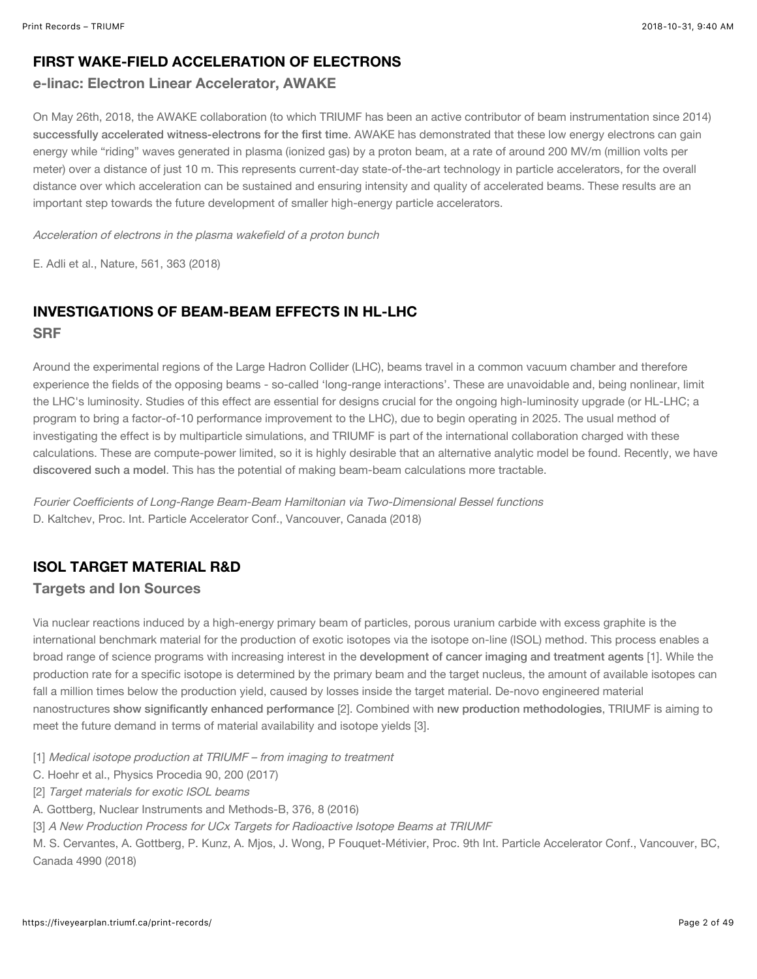#### FIRST WAKE-FIELD ACCELERATION OF ELECTRONS

#### e-linac: Electron Linear Accelerator, AWAKE

On May 26th, 2018, the AWAKE collaboration (to which TRIUMF has been an active contributor of beam instrumentation since 2014) [successfully accelerated witness-electrons for the first time](https://www.nature.com/articles/s41586-018-0485-4). AWAKE has demonstrated that these low energy electrons can gain energy while "riding" waves generated in plasma (ionized gas) by a proton beam, at a rate of around 200 MV/m (million volts per meter) over a distance of just 10 m. This represents current-day state-of-the-art technology in particle accelerators, for the overall distance over which acceleration can be sustained and ensuring intensity and quality of accelerated beams. These results are an important step towards the future development of smaller high-energy particle accelerators.

Acceleration of electrons in the plasma wakefield of a proton bunch

E. Adli et al., Nature, 561, 363 (2018)

## INVESTIGATIONS OF BEAM-BEAM EFFECTS IN HL-LHC **SRF**

Around the experimental regions of the Large Hadron Collider (LHC), beams travel in a common vacuum chamber and therefore experience the fields of the opposing beams - so-called 'long-range interactions'. These are unavoidable and, being nonlinear, limit the LHC's luminosity. Studies of this effect are essential for designs crucial for the ongoing high-luminosity upgrade (or HL-LHC; a program to bring a factor-of-10 performance improvement to the LHC), due to begin operating in 2025. The usual method of investigating the effect is by multiparticle simulations, and TRIUMF is part of the international collaboration charged with these calculations. These are compute-power limited, so it is highly desirable that an alternative analytic model be found. Recently, we have [discovered such a model](http://accelconf.web.cern.ch/AccelConf/ipac2018/papers/thpak108.pdf). This has the potential of making beam-beam calculations more tractable.

Fourier Coefficients of Long-Range Beam-Beam Hamiltonian via Two-Dimensional Bessel functions D. Kaltchev, Proc. Int. Particle Accelerator Conf., Vancouver, Canada (2018)

#### ISOL TARGET MATERIAL R&D

#### Targets and Ion Sources

Via nuclear reactions induced by a high-energy primary beam of particles, porous uranium carbide with excess graphite is the international benchmark material for the production of exotic isotopes via the isotope on-line (ISOL) method. This process enables a broad range of science programs with increasing interest in the [development of cancer imaging and treatment agents](https://www.sciencedirect.com/science/article/pii/S1875389217302183?via%3Dihub) [1]. While the production rate for a specific isotope is determined by the primary beam and the target nucleus, the amount of available isotopes can fall a million times below the production yield, caused by losses inside the target material. De-novo engineered material nanostructures [show significantly enhanced performance](https://www.sciencedirect.com/science/article/pii/S0168583X16000689) [2]. Combined with [new production methodologies](http://accelconf.web.cern.ch/AccelConf/ipac2018/doi/JACoW-IPAC2018-THPML131.html), TRIUMF is aiming to meet the future demand in terms of material availability and isotope yields [3].

- [1] Medical isotope production at TRIUMF from imaging to treatment
- C. Hoehr et al., Physics Procedia 90, 200 (2017)
- [2] Target materials for exotic ISOL beams
- A. Gottberg, Nuclear Instruments and Methods-B, 376, 8 (2016)
- [3] A New Production Process for UCx Targets for Radioactive Isotope Beams at TRIUMF

M. S. Cervantes, A. Gottberg, P. Kunz, A. Mjos, J. Wong, P Fouquet-Métivier, Proc. 9th Int. Particle Accelerator Conf., Vancouver, BC, Canada 4990 (2018)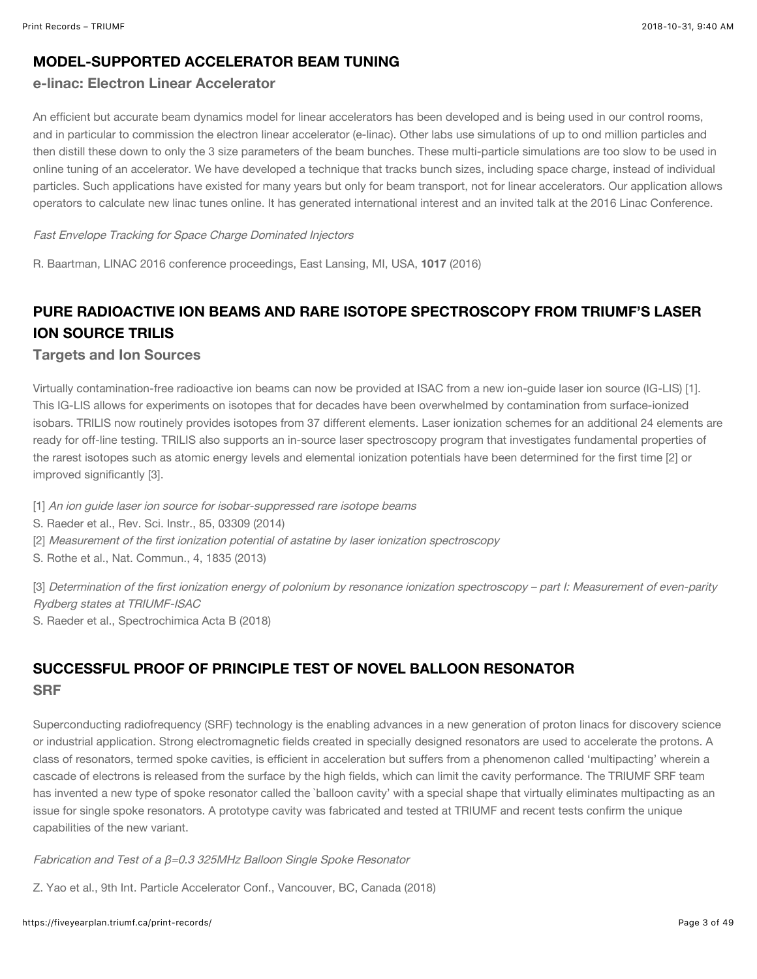#### MODEL-SUPPORTED ACCELERATOR BEAM TUNING

#### e-linac: Electron Linear Accelerator

An efficient but accurate beam dynamics model for linear accelerators has been developed and is being used in our control rooms, and in particular to commission the electron linear accelerator (e-linac). Other labs use simulations of up to ond million particles and then distill these down to only the 3 size parameters of the beam bunches. These multi-particle simulations are too slow to be used in online tuning of an accelerator. We have developed a technique that tracks bunch sizes, including space charge, instead of individual particles. Such applications have existed for many years but only for beam transport, not for linear accelerators. Our application allows operators to calculate new linac tunes online. It has generated international interest and an invited talk at the 2016 Linac Conference.

#### Fast Envelope Tracking for Space Charge Dominated Injectors

R. Baartman, LINAC 2016 conference proceedings, East Lansing, MI, USA, 1017 (2016)

## PURE RADIOACTIVE ION BEAMS AND RARE ISOTOPE SPECTROSCOPY FROM TRIUMF'S LASER ION SOURCE TRILIS

#### Targets and Ion Sources

Virtually contamination-free radioactive ion beams can now be provided at ISAC from a new ion-guide laser ion source (IG-LIS) [1]. This IG-LIS allows for experiments on isotopes that for decades have been overwhelmed by contamination from surface-ionized isobars. TRILIS now routinely provides isotopes from 37 different elements. Laser ionization schemes for an additional 24 elements are ready for off-line testing. TRILIS also supports an in-source laser spectroscopy program that investigates fundamental properties of the rarest isotopes such as atomic energy levels and elemental ionization potentials have been determined for the first time [2] or improved significantly [3].

[1] An ion quide laser ion source for isobar-suppressed rare isotope beams

- S. Raeder et al., Rev. Sci. Instr., 85, 03309 (2014)
- [2] Measurement of the first ionization potential of astatine by laser ionization spectroscopy
- S. Rothe et al., Nat. Commun., 4, 1835 (2013)

[3] Determination of the first ionization energy of polonium by resonance ionization spectroscopy – part I: Measurement of even-parity Rydberg states at TRIUMF-ISAC

S. Raeder et al., Spectrochimica Acta B (2018)

## SUCCESSFUL PROOF OF PRINCIPLE TEST OF NOVEL BALLOON RESONATOR **SRF**

Superconducting radiofrequency (SRF) technology is the enabling advances in a new generation of proton linacs for discovery science or industrial application. Strong electromagnetic fields created in specially designed resonators are used to accelerate the protons. A class of resonators, termed spoke cavities, is efficient in acceleration but suffers from a phenomenon called 'multipacting' wherein a cascade of electrons is released from the surface by the high fields, which can limit the cavity performance. The TRIUMF SRF team has invented a new type of spoke resonator called the `balloon cavity' with a special shape that virtually eliminates multipacting as an issue for single spoke resonators. A prototype cavity was fabricated and tested at TRIUMF and recent tests confirm the unique capabilities of the new variant.

Fabrication and Test of a β=0.3 325MHz Balloon Single Spoke Resonator

Z. Yao et al., 9th Int. Particle Accelerator Conf., Vancouver, BC, Canada (2018)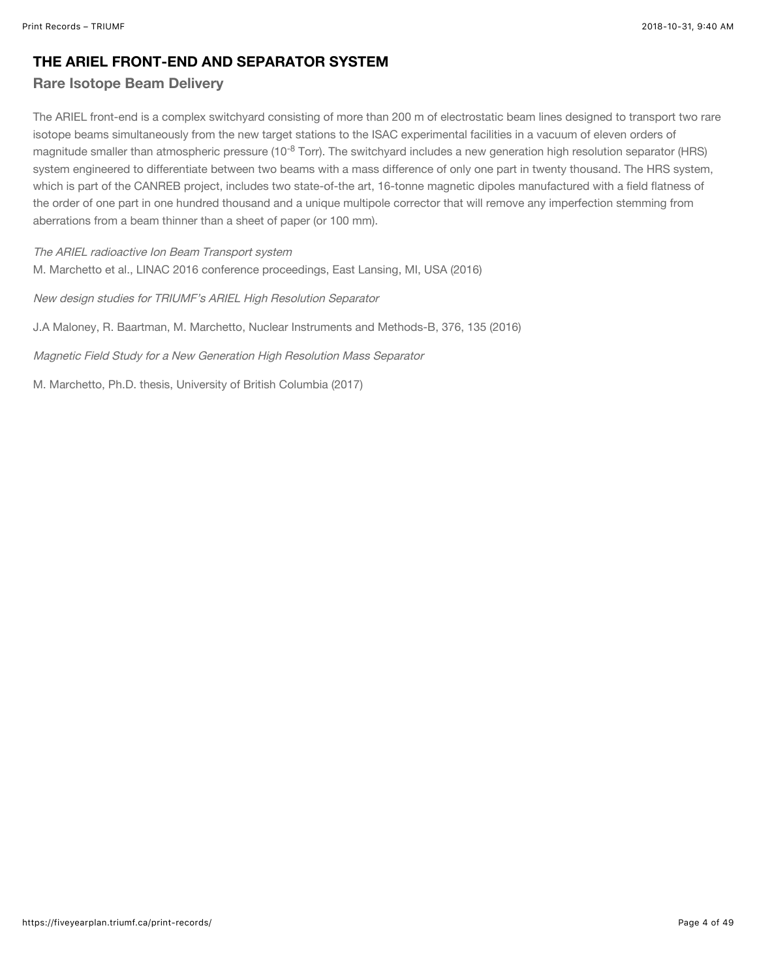#### THE ARIEL FRONT-END AND SEPARATOR SYSTEM

#### Rare Isotope Beam Delivery

The ARIEL front-end is a complex switchyard consisting of more than 200 m of electrostatic beam lines designed to transport two rare isotope beams simultaneously from the new target stations to the ISAC experimental facilities in a vacuum of eleven orders of magnitude smaller than atmospheric pressure (10<sup>-8</sup> Torr). The switchyard includes a new generation high resolution separator (HRS) system engineered to differentiate between two beams with a mass difference of only one part in twenty thousand. The HRS system, which is part of the CANREB project, includes two state-of-the art, 16-tonne magnetic dipoles manufactured with a field flatness of the order of one part in one hundred thousand and a unique multipole corrector that will remove any imperfection stemming from aberrations from a beam thinner than a sheet of paper (or 100 mm).

The ARIEL radioactive Ion Beam Transport system M. Marchetto et al., LINAC 2016 conference proceedings, East Lansing, MI, USA (2016)

New design studies for TRIUMF's ARIEL High Resolution Separator

J.A Maloney, R. Baartman, M. Marchetto, Nuclear Instruments and Methods-B, 376, 135 (2016)

Magnetic Field Study for a New Generation High Resolution Mass Separator

M. Marchetto, Ph.D. thesis, University of British Columbia (2017)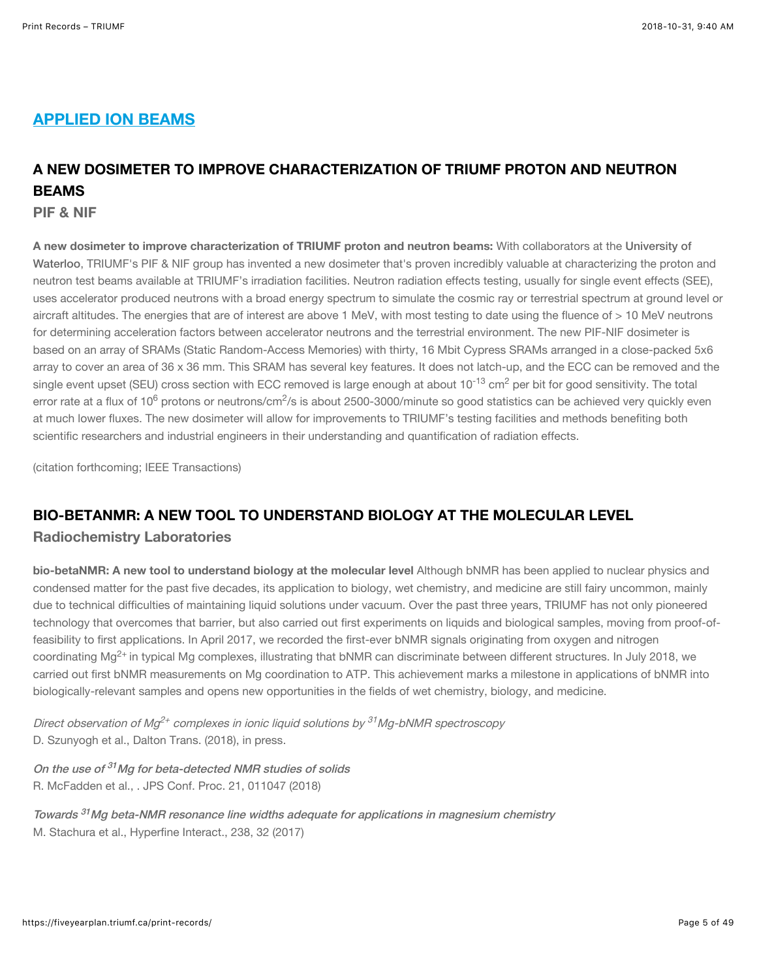## APPLIED ION BEAMS

## A NEW DOSIMETER TO IMPROVE CHARACTERIZATION OF TRIUMF PROTON AND NEUTRON **BEAMS**

PIF & NIF

A new dosimeter to improve characterization of TRIUMF proton and neutron beams: With collaborators at the University of Waterloo[, TRIUMF's PIF & NIF group has invented a new dosimeter that's proven incredibly valuable at characterizing the proton](https://fiveyearplan.triumf.ca/print-records/uwaterloo.ca) and neutron test beams available at TRIUMF's irradiation facilities. Neutron radiation effects testing, usually for single event effects (SEE), uses accelerator produced neutrons with a broad energy spectrum to simulate the cosmic ray or terrestrial spectrum at ground level or aircraft altitudes. The energies that are of interest are above 1 MeV, with most testing to date using the fluence of > 10 MeV neutrons for determining acceleration factors between accelerator neutrons and the terrestrial environment. The new PIF-NIF dosimeter is based on an array of SRAMs (Static Random-Access Memories) with thirty, 16 Mbit Cypress SRAMs arranged in a close-packed 5x6 array to cover an area of 36 x 36 mm. This SRAM has several key features. It does not latch-up, and the ECC can be removed and the single event upset (SEU) cross section with ECC removed is large enough at about 10<sup>-13</sup> cm<sup>2</sup> per bit for good sensitivity. The total error rate at a flux of 10<sup>6</sup> protons or neutrons/cm<sup>2</sup>/s is about 2500-3000/minute so good statistics can be achieved very quickly even at much lower fluxes. The new dosimeter will allow for improvements to TRIUMF's testing facilities and methods benefiting both scientific researchers and industrial engineers in their understanding and quantification of radiation effects.

(citation forthcoming; IEEE Transactions)

#### BIO-BETANMR: A NEW TOOL TO UNDERSTAND BIOLOGY AT THE MOLECULAR LEVEL

#### Radiochemistry Laboratories

bio-betaNMR: A new tool to understand biology at the molecular level Although bNMR has been applied to nuclear physics and condensed matter for the past five decades, its application to biology, wet chemistry, and medicine are still fairy uncommon, mainly due to technical difficulties of maintaining liquid solutions under vacuum. Over the past three years, TRIUMF has not only pioneered technology that overcomes that barrier, but also carried out first experiments on liquids and biological samples, moving from proof-offeasibility to first applications. In April 2017, we recorded the first-ever bNMR signals originating from oxygen and nitrogen coordinating Mg<sup>2+</sup> in typical Mg complexes, illustrating that bNMR can discriminate between different structures. In July 2018, we carried out first bNMR measurements on Mg coordination to ATP. This achievement marks a milestone in applications of bNMR into biologically-relevant samples and opens new opportunities in the fields of wet chemistry, biology, and medicine.

Direct observation of Mg<sup>2+</sup> complexes in ionic liquid solutions by <sup>31</sup>Mg-bNMR spectroscopy D. Szunyogh et al., Dalton Trans. (2018), in press.

On the use of <sup>31</sup>Mg for beta-detected NMR studies of solids R. McFadden et al., . JPS Conf. Proc. 21, 011047 (2018)

Towards <sup>31</sup>Mg beta-NMR resonance line widths adequate for applications in magnesium chemistry M. Stachura et al., Hyperfine Interact., 238, 32 (2017)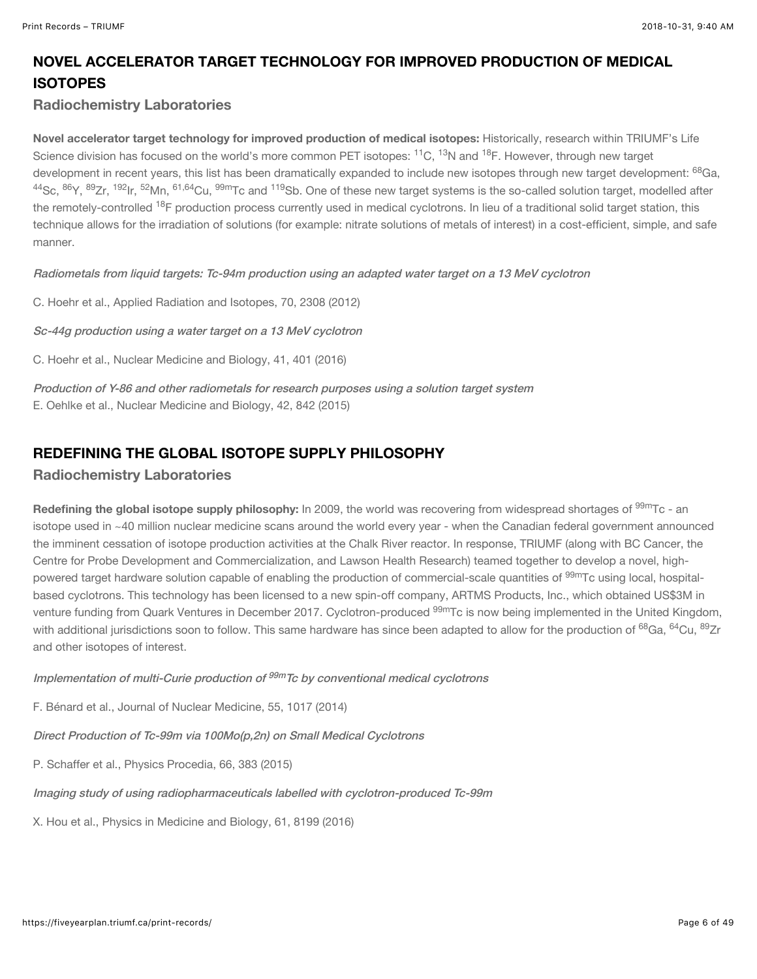## NOVEL ACCELERATOR TARGET TECHNOLOGY FOR IMPROVED PRODUCTION OF MEDICAL **ISOTOPES**

#### Radiochemistry Laboratories

Novel accelerator target technology for improved production of medical isotopes: Historically, research within TRIUMF's Life Science division has focused on the world's more common PET isotopes: <sup>11</sup>C, <sup>13</sup>N and <sup>18</sup>F. However, through new target development in recent years, this list has been dramatically expanded to include new isotopes through new target development: <sup>68</sup>Ga, <sup>44</sup>Sc, <sup>86</sup>Y, <sup>89</sup>Zr, <sup>192</sup>lr, <sup>52</sup>Mn, <sup>61,64</sup>Cu, <sup>99m</sup>Tc and <sup>119</sup>Sb. One of these new target systems is the so-called solution target, modelled after the remotely-controlled <sup>18</sup>F production process currently used in medical cyclotrons. In lieu of a traditional solid target station, this technique allows for the irradiation of solutions (for example: nitrate solutions of metals of interest) in a cost-efficient, simple, and safe manner.

[Radiometals from liquid targets: Tc-94m production using an adapted water target on a 13 MeV cyclotron](https://www.sciencedirect.com/science/article/pii/S0969804312003697?via%3Dihub)

C. Hoehr et al., Applied Radiation and Isotopes, 70, 2308 (2012)

[Sc-44g production using a water target on a 13 MeV cyclotron](https://www.sciencedirect.com/science/article/pii/S0969805113002643?via%3Dihub)

C. Hoehr et al., Nuclear Medicine and Biology, 41, 401 (2016)

[Production of Y-86 and other radiometals for research purposes using a solution target system](https://www.sciencedirect.com/science/article/pii/S0969805115001031?via%3Dihub) E. Oehlke et al., Nuclear Medicine and Biology, 42, 842 (2015)

#### REDEFINING THE GLOBAL ISOTOPE SUPPLY PHILOSOPHY

#### Radiochemistry Laboratories

**Redefining the global isotope supply philosophy:** In 2009, the world was recovering from widespread shortages of  $^{99\rm{m}}$ Tc - an isotope used in ~40 million nuclear medicine scans around the world every year - when the Canadian federal government announced the imminent cessation of isotope production activities at the Chalk River reactor. In response, TRIUMF (along with BC Cancer, the Centre for Probe Development and Commercialization, and Lawson Health Research) teamed together to develop a novel, highpowered target hardware solution capable of enabling the production of commercial-scale quantities of <sup>99m</sup>Tc using local, hospitalbased cyclotrons. This technology has been licensed to a new spin-off company, ARTMS Products, Inc., which obtained US\$3M in venture funding from Quark Ventures in December 2017. Cyclotron-produced <sup>99m</sup>Tc is now being implemented in the United Kingdom, with additional jurisdictions soon to follow. This same hardware has since been adapted to allow for the production of <sup>68</sup>Ga, <sup>64</sup>Cu, <sup>89</sup>Zr and other isotopes of interest.

Implementation of multi-Curie production of <sup>99m</sup>Tc by conventional medical cyclotrons

F. Bénard et al., Journal of Nuclear Medicine, 55, 1017 (2014)

[Direct Production of Tc-99m via 100Mo\(p,2n\) on Small Medical Cyclotrons](https://www.sciencedirect.com/science/article/pii/S1875389215002011)

P. Schaffer et al., Physics Procedia, 66, 383 (2015)

[Imaging study of using radiopharmaceuticals labelled with cyclotron-produced Tc-99m](http://iopscience.iop.org/article/10.1088/0031-9155/61/23/8199/meta)

X. Hou et al., Physics in Medicine and Biology, 61, 8199 (2016)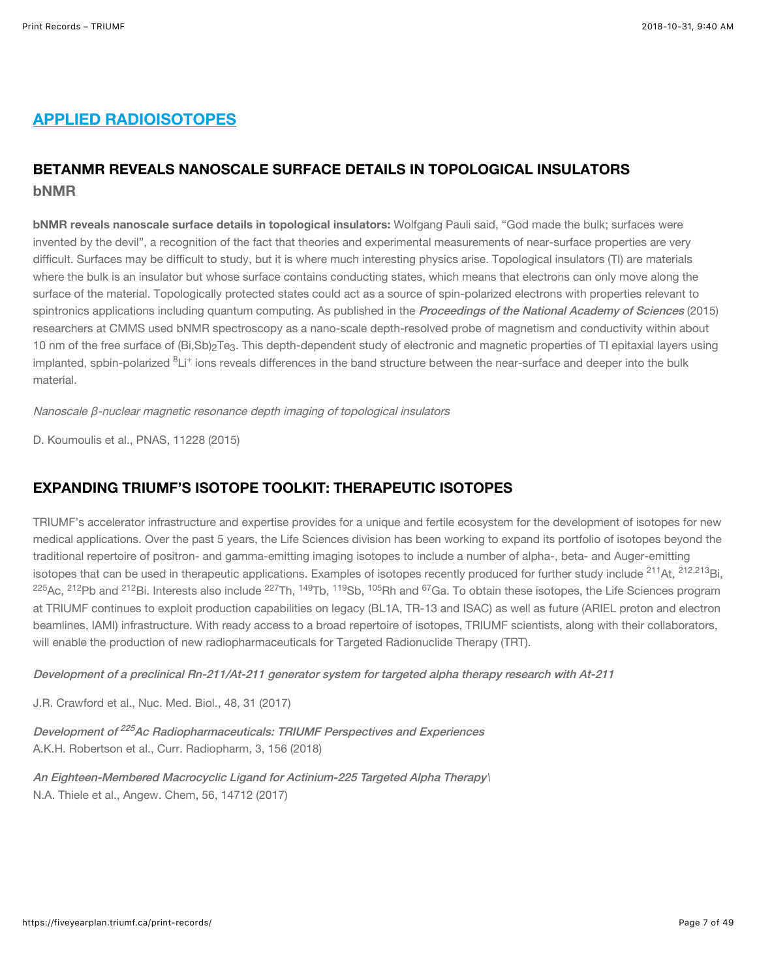## APPLIED RADIOISOTOPES

## BETANMR REVEALS NANOSCALE SURFACE DETAILS IN TOPOLOGICAL INSULATORS bNMR

bNMR reveals nanoscale surface details in topological insulators: Wolfgang Pauli said, "God made the bulk; surfaces were invented by the devil", a recognition of the fact that theories and experimental measurements of near-surface properties are very difficult. Surfaces may be difficult to study, but it is where much interesting physics arise. Topological insulators (TI) are materials where the bulk is an insulator but whose surface contains conducting states, which means that electrons can only move along the surface of the material. Topologically protected states could act as a source of spin-polarized electrons with properties relevant to spintronics applications including quantum computing. As published in the *[Proceedings of the National Academy of Sciences](http://www.pnas.org/content/112/28/E3645)* (2015) researchers at CMMS used bNMR spectroscopy as a nano-scale depth-resolved probe of magnetism and conductivity within about 10 nm of the free surface of  ${\sf (Bi, Sb)}_2{\sf Te}_3$ . This depth-dependent study of electronic and magnetic properties of TI epitaxial layers using implanted, spbin-polarized <sup>8</sup>Li<sup>+</sup> ions reveals differences in the band structure between the near-surface and deeper into the bulk material.

Nanoscale β-nuclear magnetic resonance depth imaging of topological insulators

D. Koumoulis et al., PNAS, 11228 (2015)

#### EXPANDING TRIUMF'S ISOTOPE TOOLKIT: THERAPEUTIC ISOTOPES

TRIUMF's accelerator infrastructure and expertise provides for a unique and fertile ecosystem for the development of isotopes for new medical applications. Over the past 5 years, the Life Sciences division has been working to expand its portfolio of isotopes beyond the traditional repertoire of positron- and gamma-emitting imaging isotopes to include a number of alpha-, beta- and Auger-emitting isotopes that can be used in therapeutic applications. Examples of isotopes recently produced for further study include <sup>211</sup>At, <sup>212,213</sup>Bi,  $^{225}$ Ac,  $^{212}$ Pb and  $^{212}$ Bi. Interests also include  $^{227}$ Th,  $^{149}$ Tb,  $^{119}$ Sb,  $^{105}$ Rh and  $^{67}$ Ga. To obtain these isotopes, the Life Sciences program at TRIUMF continues to exploit production capabilities on legacy (BL1A, TR-13 and ISAC) as well as future (ARIEL proton and electron beamlines, IAMI) infrastructure. With ready access to a broad repertoire of isotopes, TRIUMF scientists, along with their collaborators, will enable the production of new radiopharmaceuticals for Targeted Radionuclide Therapy (TRT).

[Development of a preclinical Rn-211/At-211 generator system for targeted alpha therapy research with At-211](https://www.nucmedbio.com/article/S0969-8051(16)30317-1/fulltext)

J.R. Crawford et al., Nuc. Med. Biol., 48, 31 (2017)

Development of <sup>225</sup>Ac Radiopharmaceuticals: TRIUMF Perspectives and Experiences A.K.H. Robertson et al., Curr. Radiopharm, 3, 156 (2018)

[An Eighteen-Membered Macrocyclic Ligand for Actinium-225 Targeted Alpha Therapy](https://onlinelibrary.wiley.com/doi/full/10.1002/anie.201709532)\ N.A. Thiele et al., Angew. Chem, 56, 14712 (2017)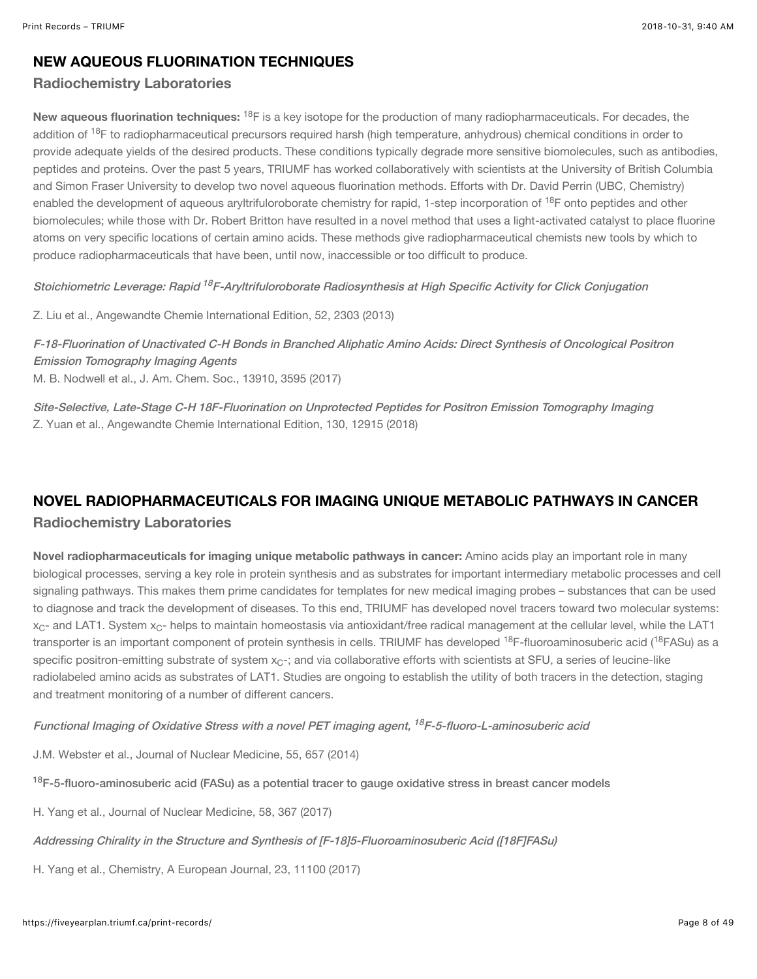#### NEW AQUEOUS FLUORINATION TECHNIQUES

#### Radiochemistry Laboratories

New aqueous fluorination techniques: <sup>18</sup>F is a key isotope for the production of many radiopharmaceuticals. For decades, the addition of <sup>18</sup>F to radiopharmaceutical precursors required harsh (high temperature, anhydrous) chemical conditions in order to provide adequate yields of the desired products. These conditions typically degrade more sensitive biomolecules, such as antibodies, peptides and proteins. Over the past 5 years, TRIUMF has worked collaboratively with scientists at the University of British Columbia and Simon Fraser University to develop two novel aqueous fluorination methods. Efforts with Dr. David Perrin (UBC, Chemistry) enabled the development of aqueous aryltrifuloroborate chemistry for rapid, 1-step incorporation of <sup>18</sup>F onto peptides and other biomolecules; while those with Dr. Robert Britton have resulted in a novel method that uses a light-activated catalyst to place fluorine atoms on very specific locations of certain amino acids. These methods give radiopharmaceutical chemists new tools by which to produce radiopharmaceuticals that have been, until now, inaccessible or too difficult to produce.

Stoichiometric Leverage: Rapid <sup>18</sup>F-Aryltrifuloroborate Radiosynthesis at High Specific Activity for Click Conjugation

Z. Liu et al., Angewandte Chemie International Edition, 52, 2303 (2013)

[F-18-Fluorination of Unactivated C-H Bonds in Branched Aliphatic Amino Acids: Direct Synthesis of Oncological Positron](https://pubs.acs.org/doi/10.1021/jacs.6b11533) Emission Tomography Imaging Agents M. B. Nodwell et al., J. Am. Chem. Soc., 13910, 3595 (2017)

[Site-Selective, Late-Stage C-H 18F-Fluorination on Unprotected Peptides for Positron Emission Tomography Imaging](https://onlinelibrary.wiley.com/doi/full/10.1002/ange.201806966) Z. Yuan et al., Angewandte Chemie International Edition, 130, 12915 (2018)

## NOVEL RADIOPHARMACEUTICALS FOR IMAGING UNIQUE METABOLIC PATHWAYS IN CANCER

#### Radiochemistry Laboratories

Novel radiopharmaceuticals for imaging unique metabolic pathways in cancer: Amino acids play an important role in many biological processes, serving a key role in protein synthesis and as substrates for important intermediary metabolic processes and cell signaling pathways. This makes them prime candidates for templates for new medical imaging probes – substances that can be used to diagnose and track the development of diseases. To this end, TRIUMF has developed novel tracers toward two molecular systems:  $\rm{x_{C^+}}$  and LAT1. System  $\rm{x_{C^+}}$  helps to maintain homeostasis via antioxidant/free radical management at the cellular level, while the LAT1 transporter is an important component of protein synthesis in cells. TRIUMF has developed <sup>18</sup>F-fluoroaminosuberic acid (<sup>18</sup>FASu) as a specific positron-emitting substrate of system  $\mathsf{x}_\mathsf{C}$ -; and via collaborative efforts with scientists at SFU, a series of leucine-like radiolabeled amino acids as substrates of LAT1. Studies are ongoing to establish the utility of both tracers in the detection, staging and treatment monitoring of a number of different cancers.

Functional Imaging of Oxidative Stress with a novel PET imaging agent, <sup>18</sup>F-5-fluoro-L-aminosuberic acid

J.M. Webster et al., Journal of Nuclear Medicine, 55, 657 (2014)

<sup>18</sup>[F-5-fluoro-aminosuberic acid \(FASu\) as a potential tracer to gauge oxidative stress in breast cancer models](http://jnm.snmjournals.org/content/58/3/367.full)

H. Yang et al., Journal of Nuclear Medicine, 58, 367 (2017)

[Addressing Chirality in the Structure and Synthesis of \[F-18\]5-Fluoroaminosuberic Acid \(\[18F\]FASu\)](https://onlinelibrary.wiley.com/doi/abs/10.1002/chem.201702007)

H. Yang et al., Chemistry, A European Journal, 23, 11100 (2017)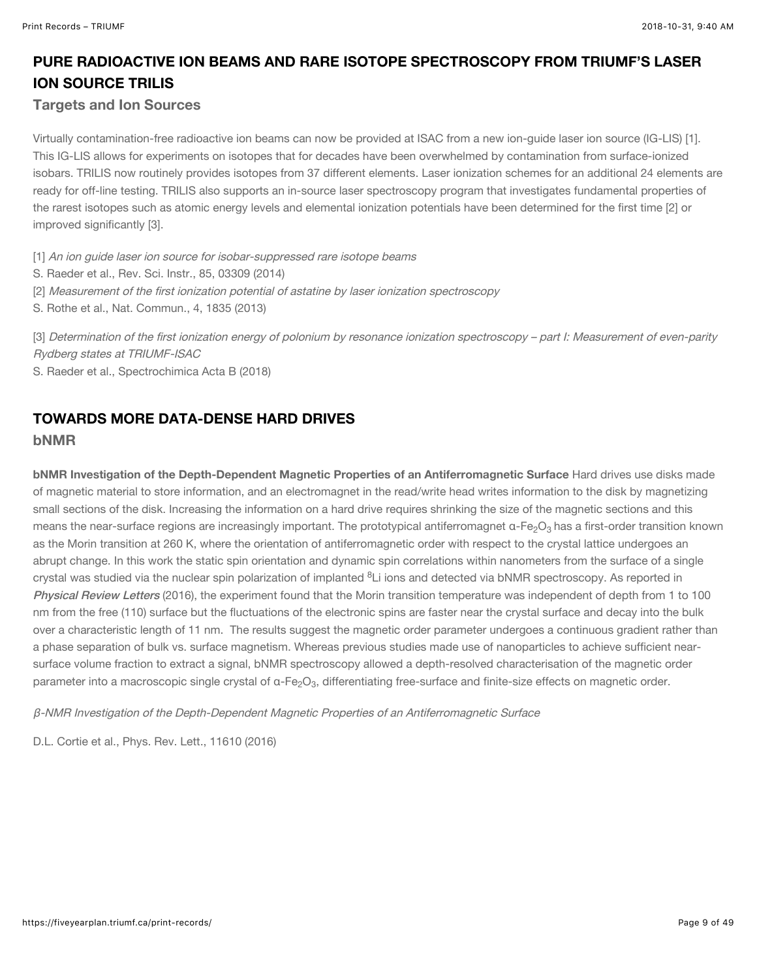## PURE RADIOACTIVE ION BEAMS AND RARE ISOTOPE SPECTROSCOPY FROM TRIUMF'S LASER ION SOURCE TRILIS

#### Targets and Ion Sources

Virtually contamination-free radioactive ion beams can now be provided at ISAC from a new ion-guide laser ion source (IG-LIS) [1]. This IG-LIS allows for experiments on isotopes that for decades have been overwhelmed by contamination from surface-ionized isobars. TRILIS now routinely provides isotopes from 37 different elements. Laser ionization schemes for an additional 24 elements are ready for off-line testing. TRILIS also supports an in-source laser spectroscopy program that investigates fundamental properties of the rarest isotopes such as atomic energy levels and elemental ionization potentials have been determined for the first time [2] or improved significantly [3].

[1] An ion guide laser ion source for isobar-suppressed rare isotope beams

- S. Raeder et al., Rev. Sci. Instr., 85, 03309 (2014)
- [2] Measurement of the first ionization potential of astatine by laser ionization spectroscopy
- S. Rothe et al., Nat. Commun., 4, 1835 (2013)

[3] Determination of the first ionization energy of polonium by resonance ionization spectroscopy – part I: Measurement of even-parity Rydberg states at TRIUMF-ISAC

S. Raeder et al., Spectrochimica Acta B (2018)

#### TOWARDS MORE DATA-DENSE HARD DRIVES

#### bNMR

bNMR Investigation of the Depth-Dependent Magnetic Properties of an Antiferromagnetic Surface Hard drives use disks made of magnetic material to store information, and an electromagnet in the read/write head writes information to the disk by magnetizing small sections of the disk. Increasing the information on a hard drive requires shrinking the size of the magnetic sections and this means the near-surface regions are increasingly important. The prototypical antiferromagnet α-Fe $_2$ O $_3$  has a first-order transition known as the Morin transition at 260 K, where the orientation of antiferromagnetic order with respect to the crystal lattice undergoes an abrupt change. In this work the static spin orientation and dynamic spin correlations within nanometers from the surface of a single crystal was studied via the nuclear spin polarization of implanted <sup>8</sup>Li ions and detected via bNMR spectroscopy. As reported in [Physical Review Letters](https://journals.aps.org/prl/abstract/10.1103/PhysRevLett.116.106103) (2016), the experiment found that the Morin transition temperature was independent of depth from 1 to 100 nm from the free (110) surface but the fluctuations of the electronic spins are faster near the crystal surface and decay into the bulk over a characteristic length of 11 nm. The results suggest the magnetic order parameter undergoes a continuous gradient rather than a phase separation of bulk vs. surface magnetism. Whereas previous studies made use of nanoparticles to achieve sufficient nearsurface volume fraction to extract a signal, bNMR spectroscopy allowed a depth-resolved characterisation of the magnetic order parameter into a macroscopic single crystal of  $\alpha$ -Fe<sub>2</sub>O<sub>3</sub>, differentiating free-surface and finite-size effects on magnetic order.

β-NMR Investigation of the Depth-Dependent Magnetic Properties of an Antiferromagnetic Surface

D.L. Cortie et al., Phys. Rev. Lett., 11610 (2016)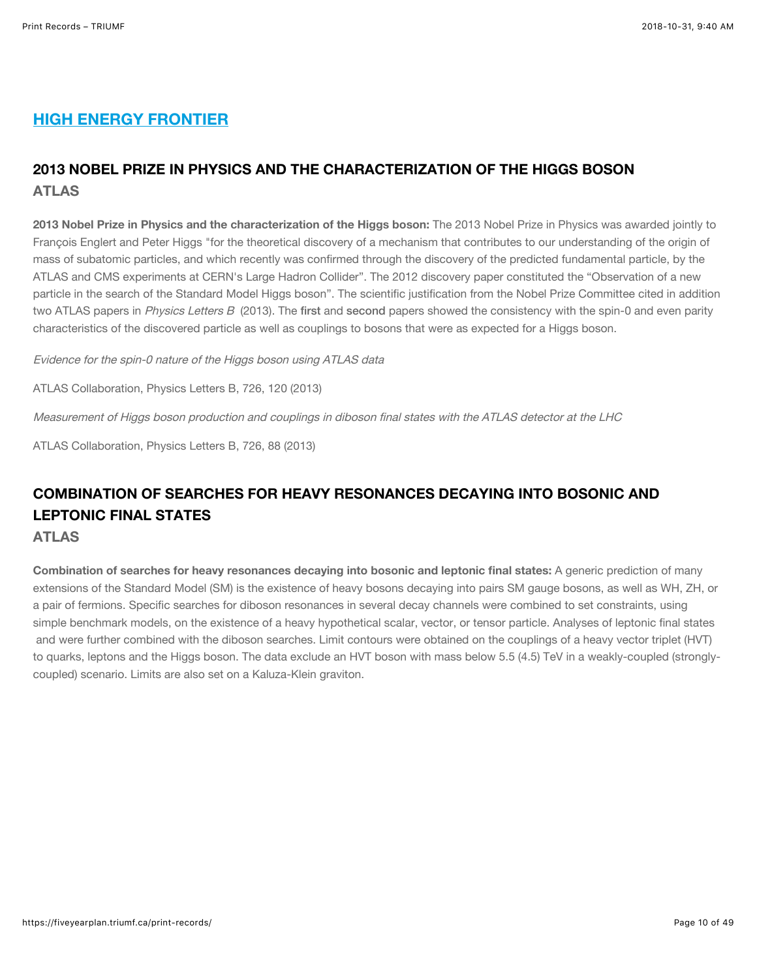### HIGH ENERGY FRONTIER

## 2013 NOBEL PRIZE IN PHYSICS AND THE CHARACTERIZATION OF THE HIGGS BOSON ATLAS

2013 Nobel Prize in Physics and the characterization of the Higgs boson: The 2013 Nobel Prize in Physics was awarded jointly to François Englert and Peter Higgs "for the theoretical discovery of a mechanism that contributes to our understanding of the origin of mass of subatomic particles, and which recently was confirmed through the discovery of the predicted fundamental particle, by the ATLAS and CMS experiments at CERN's Large Hadron Collider". The 2012 discovery paper constituted the "Observation of a new particle in the search of the Standard Model Higgs boson". The scientific justification from the Nobel Prize Committee cited in addition two ATLAS papers in *Physics Letters B* (2013). The [first](https://doi.org/10.1016/j.physletb.2013.08.026) and [second](https://doi.org/10.1016/j.physletb.2013.08.010) papers showed the consistency with the spin-0 and even parity characteristics of the discovered particle as well as couplings to bosons that were as expected for a Higgs boson.

Evidence for the spin-0 nature of the Higgs boson using ATLAS data

ATLAS Collaboration, Physics Letters B, 726, 120 (2013)

Measurement of Higgs boson production and couplings in diboson final states with the ATLAS detector at the LHC

ATLAS Collaboration, Physics Letters B, 726, 88 (2013)

## COMBINATION OF SEARCHES FOR HEAVY RESONANCES DECAYING INTO BOSONIC AND LEPTONIC FINAL STATES

#### ATLAS

Combination of searches for heavy resonances decaying into bosonic and leptonic final states: A generic prediction of many extensions of the Standard Model (SM) is the existence of heavy bosons decaying into pairs SM gauge bosons, as well as WH, ZH, or a pair of fermions. Specific searches for diboson resonances in several decay channels were combined to set constraints, using simple benchmark models, on the existence of a heavy hypothetical scalar, vector, or tensor particle. Analyses of leptonic final states and were further combined with the diboson searches. Limit contours were obtained on the couplings of a heavy vector triplet (HVT) to quarks, leptons and the Higgs boson. The data exclude an HVT boson with mass below 5.5 (4.5) TeV in a weakly-coupled (stronglycoupled) scenario. Limits are also set on a Kaluza-Klein graviton.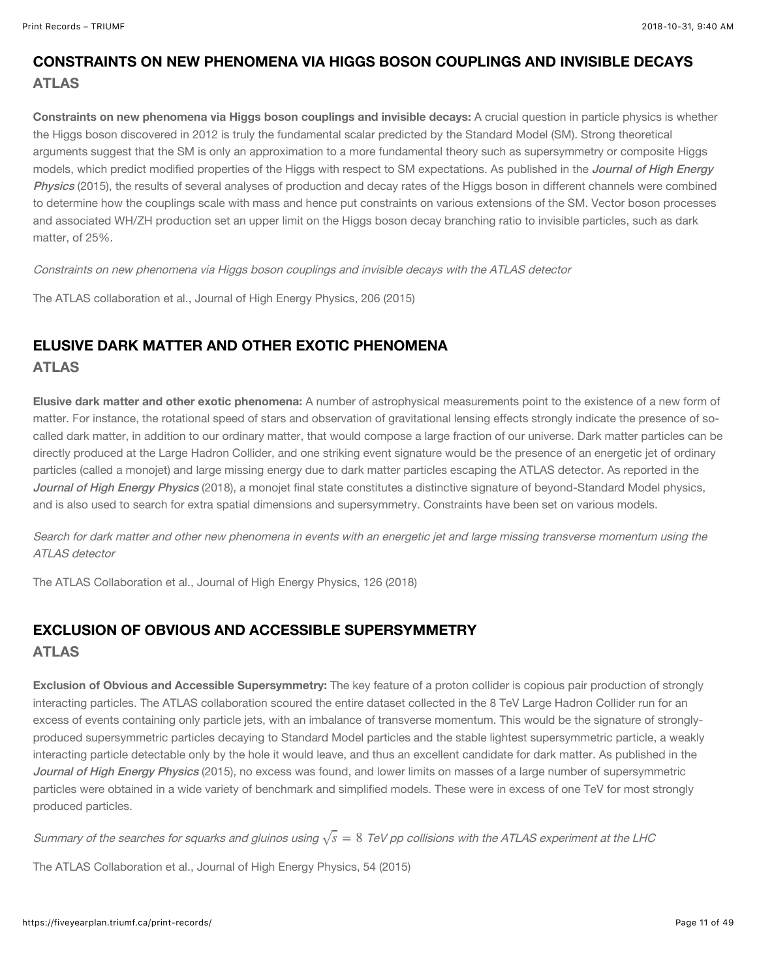## CONSTRAINTS ON NEW PHENOMENA VIA HIGGS BOSON COUPLINGS AND INVISIBLE DECAYS ATLAS

Constraints on new phenomena via Higgs boson couplings and invisible decays: A crucial question in particle physics is whether the Higgs boson discovered in 2012 is truly the fundamental scalar predicted by the Standard Model (SM). Strong theoretical arguments suggest that the SM is only an approximation to a more fundamental theory such as supersymmetry or composite Higgs models, which predict modified properties of the Higgs with respect to SM expectations. As published in the *Journal of High Energy* Physics [\(2015\), the results of several analyses of production and decay rates of the Higgs boson in different channels were combined](https://doi.org/10.1007/JHEP11(2015)206) to determine how the couplings scale with mass and hence put constraints on various extensions of the SM. Vector boson processes and associated WH/ZH production set an upper limit on the Higgs boson decay branching ratio to invisible particles, such as dark matter, of 25%.

Constraints on new phenomena via Higgs boson couplings and invisible decays with the ATLAS detector

The ATLAS collaboration et al., Journal of High Energy Physics, 206 (2015)

#### ELUSIVE DARK MATTER AND OTHER EXOTIC PHENOMENA ATLAS

Elusive dark matter and other exotic phenomena: A number of astrophysical measurements point to the existence of a new form of matter. For instance, the rotational speed of stars and observation of gravitational lensing effects strongly indicate the presence of socalled dark matter, in addition to our ordinary matter, that would compose a large fraction of our universe. Dark matter particles can be directly produced at the Large Hadron Collider, and one striking event signature would be the presence of an energetic jet of ordinary particles (called a monojet) and large missing energy due to dark matter particles escaping the ATLAS detector. As reported in the [Journal of High Energy Physics](https://doi.org/10.1007/JHEP01(2018)126) (2018), a monojet final state constitutes a distinctive signature of beyond-Standard Model physics, and is also used to search for extra spatial dimensions and supersymmetry. Constraints have been set on various models.

Search for dark matter and other new phenomena in events with an energetic jet and large missing transverse momentum using the ATLAS detector

The ATLAS Collaboration et al., Journal of High Energy Physics, 126 (2018)

#### EXCLUSION OF OBVIOUS AND ACCESSIBLE SUPERSYMMETRY ATLAS

Exclusion of Obvious and Accessible Supersymmetry: The key feature of a proton collider is copious pair production of strongly interacting particles. The ATLAS collaboration scoured the entire dataset collected in the 8 TeV Large Hadron Collider run for an excess of events containing only particle jets, with an imbalance of transverse momentum. This would be the signature of stronglyproduced supersymmetric particles decaying to Standard Model particles and the stable lightest supersymmetric particle, a weakly interacting particle detectable only by the hole it would leave, and thus an excellent candidate for dark matter. As published in the [Journal of High Energy Physics](https://doi.org/10.1007/JHEP10(2015)054) (2015), no excess was found, and lower limits on masses of a large number of supersymmetric particles were obtained in a wide variety of benchmark and simplified models. These were in excess of one TeV for most strongly produced particles.

Summary of the searches for squarks and gluinos using  $\sqrt{s} = 8\,$  TeV pp collisions with the ATLAS experiment at the LHC

The ATLAS Collaboration et al., Journal of High Energy Physics, 54 (2015)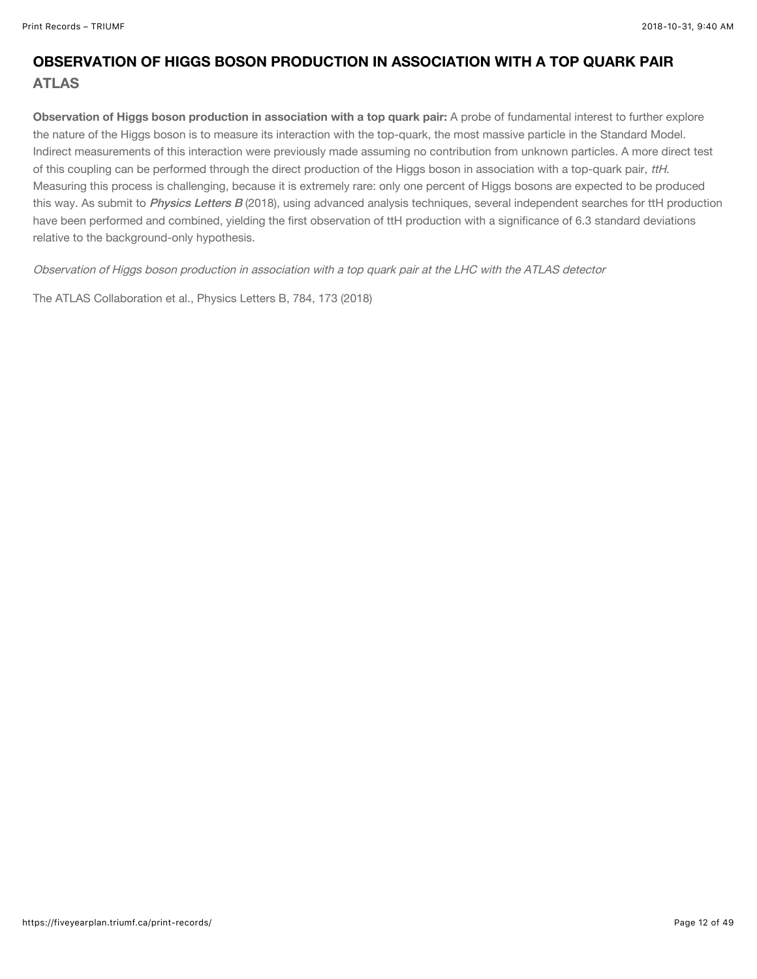## OBSERVATION OF HIGGS BOSON PRODUCTION IN ASSOCIATION WITH A TOP QUARK PAIR ATLAS

Observation of Higgs boson production in association with a top quark pair: A probe of fundamental interest to further explore the nature of the Higgs boson is to measure its interaction with the top-quark, the most massive particle in the Standard Model. Indirect measurements of this interaction were previously made assuming no contribution from unknown particles. A more direct test of this coupling can be performed through the direct production of the Higgs boson in association with a top-quark pair, ttH. Measuring this process is challenging, because it is extremely rare: only one percent of Higgs bosons are expected to be produced this way. As submit to [Physics Letters B](https://arxiv.org/abs/1806.00425) (2018), using advanced analysis techniques, several independent searches for ttH production have been performed and combined, yielding the first observation of ttH production with a significance of 6.3 standard deviations relative to the background-only hypothesis.

Observation of Higgs boson production in association with a top quark pair at the LHC with the ATLAS detector

The ATLAS Collaboration et al., Physics Letters B, 784, 173 (2018)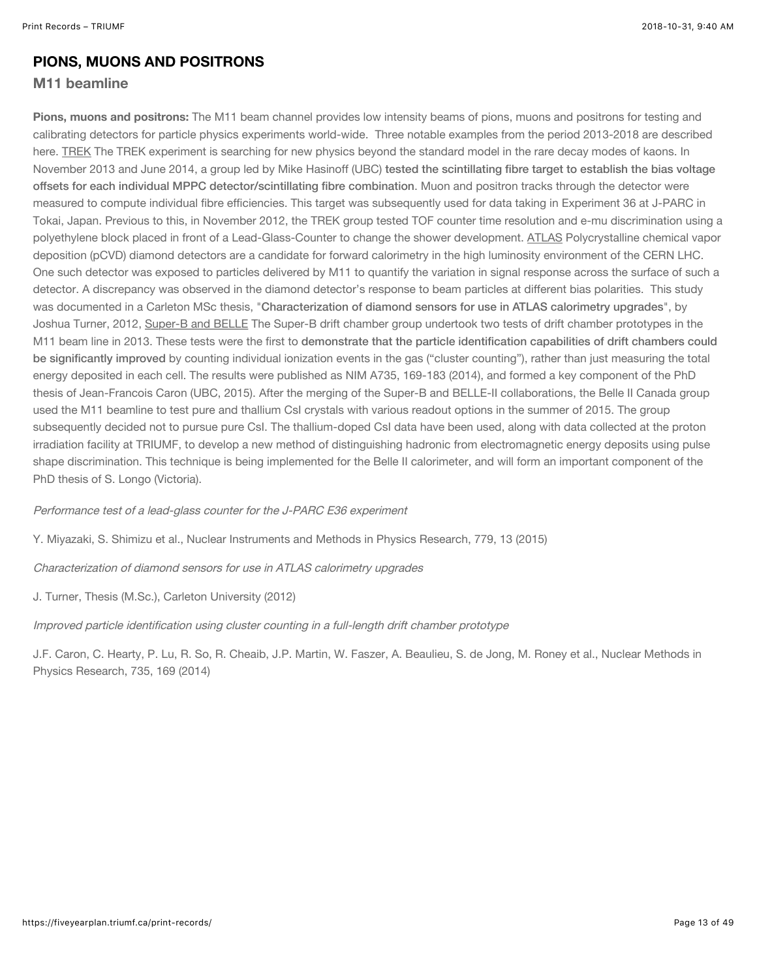#### PIONS, MUONS AND POSITRONS

#### M11 beamline

Pions, muons and positrons: The M11 beam channel provides low intensity beams of pions, muons and positrons for testing and calibrating detectors for particle physics experiments world-wide. Three notable examples from the period 2013-2018 are described here. TREK The TREK experiment is searching for new physics beyond the standard model in the rare decay modes of kaons. In November 2013 and June 2014, a group led by Mike Hasinoff (UBC) tested the scintillating fibre target to establish the bias voltage [offsets for each individual MPPC detector/scintillating fibre combination](https://www.sciencedirect.com/science/article/pii/S0168900215000753). Muon and positron tracks through the detector were measured to compute individual fibre efficiencies. This target was subsequently used for data taking in Experiment 36 at J-PARC in Tokai, Japan. Previous to this, in November 2012, the TREK group tested TOF counter time resolution and e-mu discrimination using a polyethylene block placed in front of a Lead-Glass-Counter to change the shower development. ATLAS Polycrystalline chemical vapor deposition (pCVD) diamond detectors are a candidate for forward calorimetry in the high luminosity environment of the CERN LHC. One such detector was exposed to particles delivered by M11 to quantify the variation in signal response across the surface of such a detector. A discrepancy was observed in the diamond detector's response to beam particles at different bias polarities. This study was documented in a Carleton MSc thesis, "[Characterization of diamond sensors for use in ATLAS calorimetry upgrades](https://catalogue.library.carleton.ca/record=b3293005)", by Joshua Turner, 2012, Super-B and BELLE The Super-B drift chamber group undertook two tests of drift chamber prototypes in the M11 beam line in 2013. These tests were the first to demonstrate that the particle identification capabilities of drift chambers could be significantly improved [by counting individual ionization events in the gas \("cluster counting"\), rather than just measuring the total](https://www.sciencedirect.com/science/article/pii/S016890021301262X) energy deposited in each cell. The results were published as NIM A735, 169-183 (2014), and formed a key component of the PhD thesis of Jean-Francois Caron (UBC, 2015). After the merging of the Super-B and BELLE-II collaborations, the Belle II Canada group used the M11 beamline to test pure and thallium CsI crystals with various readout options in the summer of 2015. The group subsequently decided not to pursue pure CsI. The thallium-doped CsI data have been used, along with data collected at the proton irradiation facility at TRIUMF, to develop a new method of distinguishing hadronic from electromagnetic energy deposits using pulse shape discrimination. This technique is being implemented for the Belle II calorimeter, and will form an important component of the PhD thesis of S. Longo (Victoria).

Performance test of a lead-glass counter for the J-PARC E36 experiment

Y. Miyazaki, S. Shimizu et al., Nuclear Instruments and Methods in Physics Research, 779, 13 (2015)

Characterization of diamond sensors for use in ATLAS calorimetry upgrades

J. Turner, Thesis (M.Sc.), Carleton University (2012)

Improved particle identification using cluster counting in a full-length drift chamber prototype

J.F. Caron, C. Hearty, P. Lu, R. So, R. Cheaib, J.P. Martin, W. Faszer, A. Beaulieu, S. de Jong, M. Roney et al., Nuclear Methods in Physics Research, 735, 169 (2014)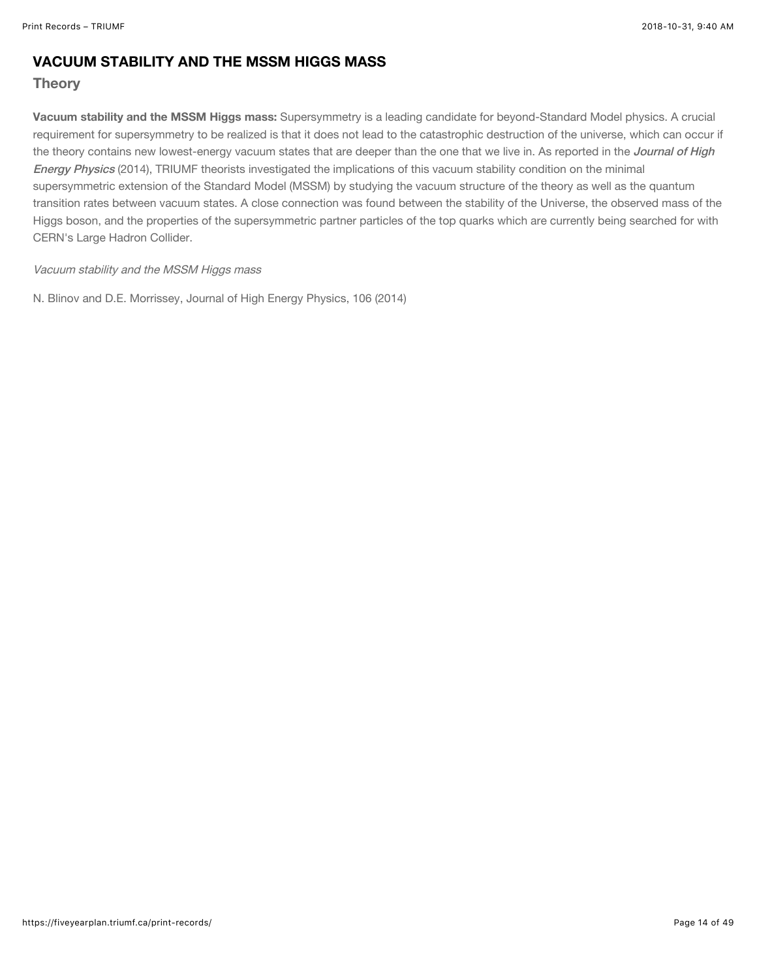#### VACUUM STABILITY AND THE MSSM HIGGS MASS

#### **Theory**

Vacuum stability and the MSSM Higgs mass: Supersymmetry is a leading candidate for beyond-Standard Model physics. A crucial requirement for supersymmetry to be realized is that it does not lead to the catastrophic destruction of the universe, which can occur if [the theory contains new lowest-energy vacuum states that are deeper than the one that we live in. As reported in the](https://link.springer.com/article/10.1007%2FJHEP03%282014%29106) *Journal of High* Energy Physics (2014), TRIUMF theorists investigated the implications of this vacuum stability condition on the minimal supersymmetric extension of the Standard Model (MSSM) by studying the vacuum structure of the theory as well as the quantum transition rates between vacuum states. A close connection was found between the stability of the Universe, the observed mass of the Higgs boson, and the properties of the supersymmetric partner particles of the top quarks which are currently being searched for with CERN's Large Hadron Collider.

#### Vacuum stability and the MSSM Higgs mass

N. Blinov and D.E. Morrissey, Journal of High Energy Physics, 106 (2014)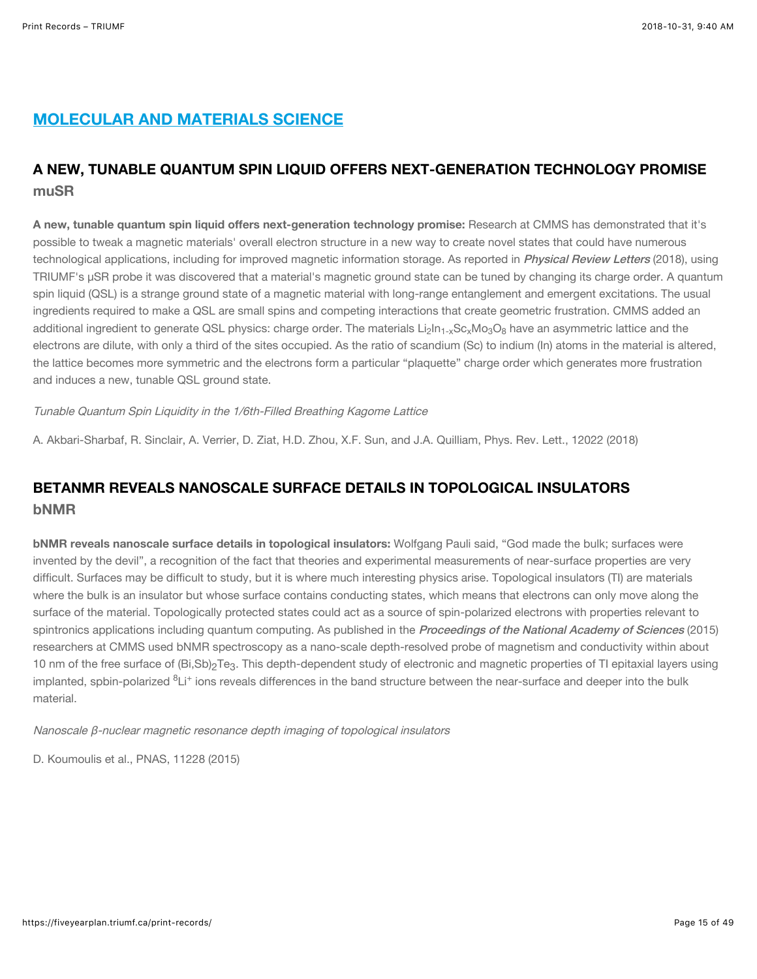## MOLECULAR AND MATERIALS SCIENCE

## A NEW, TUNABLE QUANTUM SPIN LIQUID OFFERS NEXT-GENERATION TECHNOLOGY PROMISE muSR

A new, tunable quantum spin liquid offers next-generation technology promise: Research at CMMS has demonstrated that it's possible to tweak a magnetic materials' overall electron structure in a new way to create novel states that could have numerous technological applications, including for improved magnetic information storage. As reported in *[Physical Review Letters](https://journals.aps.org/prl/abstract/10.1103/PhysRevLett.120.227201)* (2018), using TRIUMF's µSR probe it was discovered that a material's magnetic ground state can be tuned by changing its charge order. A quantum spin liquid (QSL) is a strange ground state of a magnetic material with long-range entanglement and emergent excitations. The usual ingredients required to make a QSL are small spins and competing interactions that create geometric frustration. CMMS added an additional ingredient to generate QSL physics: charge order. The materials Li $_2$ ln<sub>1-x</sub>Sc<sub>x</sub>Mo $_3$ O $_8$  have an asymmetric lattice and the electrons are dilute, with only a third of the sites occupied. As the ratio of scandium (Sc) to indium (In) atoms in the material is altered, the lattice becomes more symmetric and the electrons form a particular "plaquette" charge order which generates more frustration and induces a new, tunable QSL ground state.

#### Tunable Quantum Spin Liquidity in the 1/6th-Filled Breathing Kagome Lattice

A. Akbari-Sharbaf, R. Sinclair, A. Verrier, D. Ziat, H.D. Zhou, X.F. Sun, and J.A. Quilliam, Phys. Rev. Lett., 12022 (2018)

## BETANMR REVEALS NANOSCALE SURFACE DETAILS IN TOPOLOGICAL INSULATORS bNMR

bNMR reveals nanoscale surface details in topological insulators: Wolfgang Pauli said, "God made the bulk; surfaces were invented by the devil", a recognition of the fact that theories and experimental measurements of near-surface properties are very difficult. Surfaces may be difficult to study, but it is where much interesting physics arise. Topological insulators (TI) are materials where the bulk is an insulator but whose surface contains conducting states, which means that electrons can only move along the surface of the material. Topologically protected states could act as a source of spin-polarized electrons with properties relevant to spintronics applications including quantum computing. As published in the *[Proceedings of the National Academy of Sciences](http://www.pnas.org/content/112/28/E3645)* (2015) researchers at CMMS used bNMR spectroscopy as a nano-scale depth-resolved probe of magnetism and conductivity within about 10 nm of the free surface of (Bi,Sb)<sub>2</sub>Te3. This depth-dependent study of electronic and magnetic properties of TI epitaxial layers using implanted, spbin-polarized <sup>8</sup>Li<sup>+</sup> ions reveals differences in the band structure between the near-surface and deeper into the bulk material.

Nanoscale β-nuclear magnetic resonance depth imaging of topological insulators

D. Koumoulis et al., PNAS, 11228 (2015)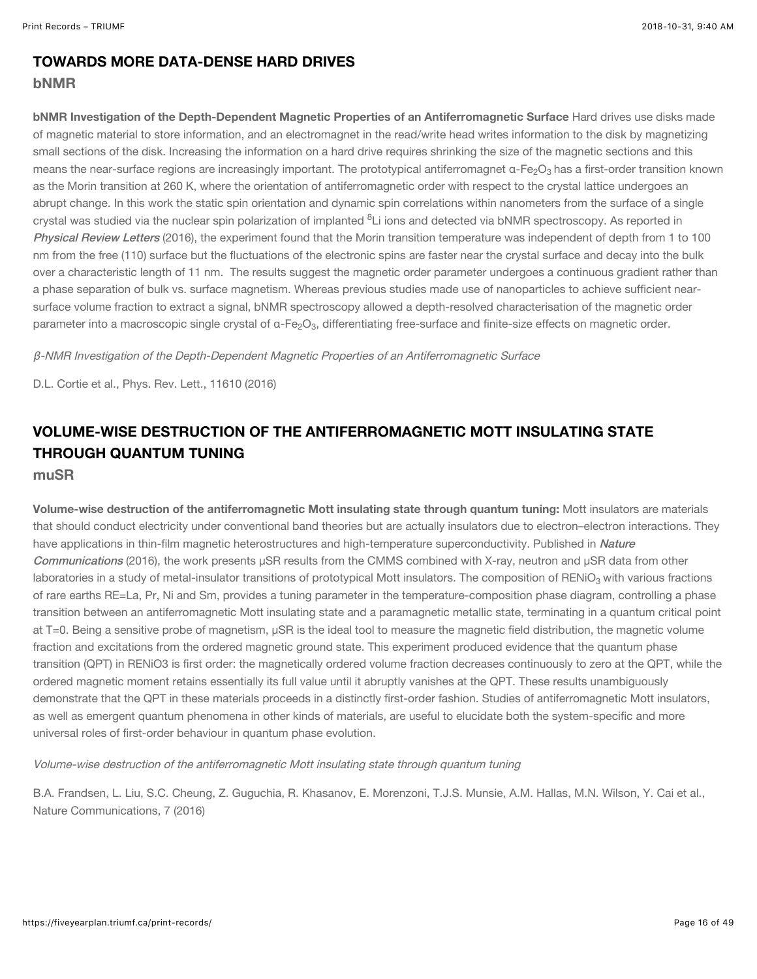## TOWARDS MORE DATA-DENSE HARD DRIVES

#### bNMR

bNMR Investigation of the Depth-Dependent Magnetic Properties of an Antiferromagnetic Surface Hard drives use disks made of magnetic material to store information, and an electromagnet in the read/write head writes information to the disk by magnetizing small sections of the disk. Increasing the information on a hard drive requires shrinking the size of the magnetic sections and this means the near-surface regions are increasingly important. The prototypical antiferromagnet α-Fe $_2$ O $_3$  has a first-order transition known as the Morin transition at 260 K, where the orientation of antiferromagnetic order with respect to the crystal lattice undergoes an abrupt change. In this work the static spin orientation and dynamic spin correlations within nanometers from the surface of a single crystal was studied via the nuclear spin polarization of implanted <sup>8</sup>Li ions and detected via bNMR spectroscopy. As reported in [Physical Review Letters](https://journals.aps.org/prl/abstract/10.1103/PhysRevLett.116.106103) (2016), the experiment found that the Morin transition temperature was independent of depth from 1 to 100 nm from the free (110) surface but the fluctuations of the electronic spins are faster near the crystal surface and decay into the bulk over a characteristic length of 11 nm. The results suggest the magnetic order parameter undergoes a continuous gradient rather than a phase separation of bulk vs. surface magnetism. Whereas previous studies made use of nanoparticles to achieve sufficient nearsurface volume fraction to extract a signal, bNMR spectroscopy allowed a depth-resolved characterisation of the magnetic order parameter into a macroscopic single crystal of  $\alpha$ -Fe<sub>2</sub>O<sub>3</sub>, differentiating free-surface and finite-size effects on magnetic order.

β-NMR Investigation of the Depth-Dependent Magnetic Properties of an Antiferromagnetic Surface

D.L. Cortie et al., Phys. Rev. Lett., 11610 (2016)

## VOLUME-WISE DESTRUCTION OF THE ANTIFERROMAGNETIC MOTT INSULATING STATE THROUGH QUANTUM TUNING

muSR

Volume-wise destruction of the antiferromagnetic Mott insulating state through quantum tuning: Mott insulators are materials that should conduct electricity under conventional band theories but are actually insulators due to electron–electron interactions. They [have applications in thin-film magnetic heterostructures and high-temperature superconductivity. Published in](https://www.nature.com/articles/ncomms12519) Nature Communications (2016), the work presents µSR results from the CMMS combined with X-ray, neutron and µSR data from other laboratories in a study of metal-insulator transitions of prototypical Mott insulators. The composition of RENiO $_3$  with various fractions of rare earths RE=La, Pr, Ni and Sm, provides a tuning parameter in the temperature-composition phase diagram, controlling a phase transition between an antiferromagnetic Mott insulating state and a paramagnetic metallic state, terminating in a quantum critical point at T=0. Being a sensitive probe of magnetism, µSR is the ideal tool to measure the magnetic field distribution, the magnetic volume fraction and excitations from the ordered magnetic ground state. This experiment produced evidence that the quantum phase transition (QPT) in RENiO3 is first order: the magnetically ordered volume fraction decreases continuously to zero at the QPT, while the ordered magnetic moment retains essentially its full value until it abruptly vanishes at the QPT. These results unambiguously demonstrate that the QPT in these materials proceeds in a distinctly first-order fashion. Studies of antiferromagnetic Mott insulators, as well as emergent quantum phenomena in other kinds of materials, are useful to elucidate both the system-specific and more universal roles of first-order behaviour in quantum phase evolution.

Volume-wise destruction of the antiferromagnetic Mott insulating state through quantum tuning

B.A. Frandsen, L. Liu, S.C. Cheung, Z. Guguchia, R. Khasanov, E. Morenzoni, T.J.S. Munsie, A.M. Hallas, M.N. Wilson, Y. Cai et al., Nature Communications, 7 (2016)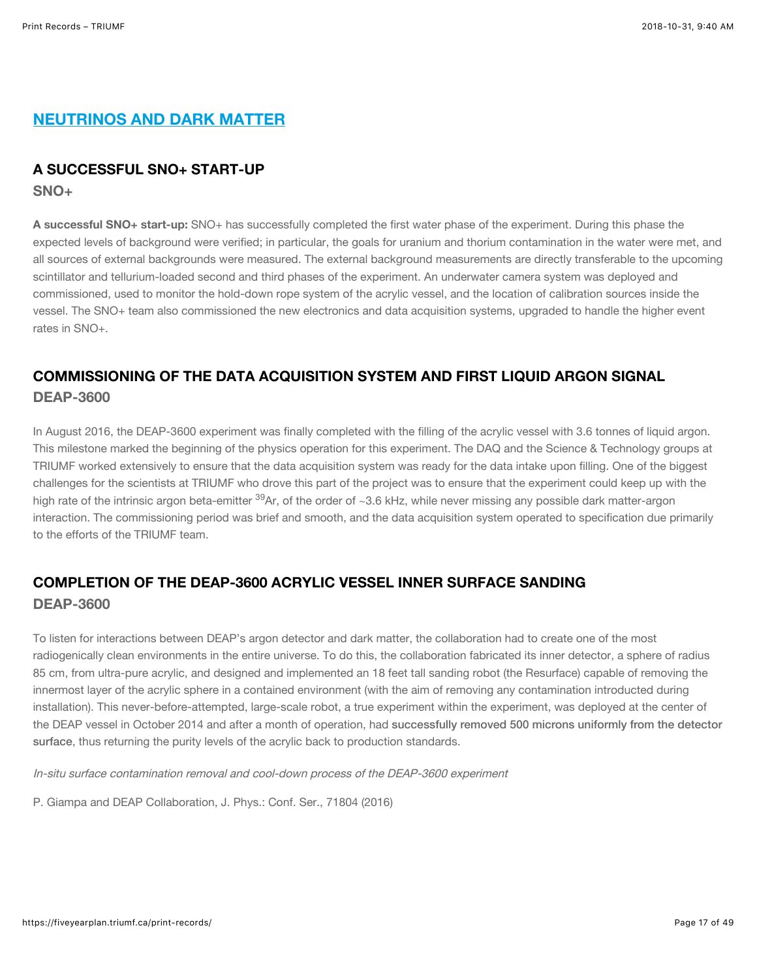## NEUTRINOS AND DARK MATTER

#### A SUCCESSFUL SNO+ START-UP

SNO+

A successful SNO+ start-up: SNO+ has successfully completed the first water phase of the experiment. During this phase the expected levels of background were verified; in particular, the goals for uranium and thorium contamination in the water were met, and all sources of external backgrounds were measured. The external background measurements are directly transferable to the upcoming scintillator and tellurium-loaded second and third phases of the experiment. An underwater camera system was deployed and commissioned, used to monitor the hold-down rope system of the acrylic vessel, and the location of calibration sources inside the vessel. The SNO+ team also commissioned the new electronics and data acquisition systems, upgraded to handle the higher event rates in SNO+.

## COMMISSIONING OF THE DATA ACQUISITION SYSTEM AND FIRST LIQUID ARGON SIGNAL DEAP-3600

In August 2016, the DEAP-3600 experiment was finally completed with the filling of the acrylic vessel with 3.6 tonnes of liquid argon. This milestone marked the beginning of the physics operation for this experiment. The DAQ and the Science & Technology groups at TRIUMF worked extensively to ensure that the data acquisition system was ready for the data intake upon filling. One of the biggest challenges for the scientists at TRIUMF who drove this part of the project was to ensure that the experiment could keep up with the high rate of the intrinsic argon beta-emitter <sup>39</sup>Ar, of the order of ~3.6 kHz, while never missing any possible dark matter-argon interaction. The commissioning period was brief and smooth, and the data acquisition system operated to specification due primarily to the efforts of the TRIUMF team.

## COMPLETION OF THE DEAP-3600 ACRYLIC VESSEL INNER SURFACE SANDING DEAP-3600

To listen for interactions between DEAP's argon detector and dark matter, the collaboration had to create one of the most radiogenically clean environments in the entire universe. To do this, the collaboration fabricated its inner detector, a sphere of radius 85 cm, from ultra-pure acrylic, and designed and implemented an 18 feet tall sanding robot (the Resurface) capable of removing the innermost layer of the acrylic sphere in a contained environment (with the aim of removing any contamination introducted during installation). This never-before-attempted, large-scale robot, a true experiment within the experiment, was deployed at the center of the DEAP vessel in October 2014 and after a month of operation, had successfully removed 500 microns uniformly from the detector surface[, thus returning the purity levels of the acrylic back to production standards.](http://iopscience.iop.org/article/10.1088/1742-6596/718/4/042025)

In-situ surface contamination removal and cool-down process of the DEAP-3600 experiment

P. Giampa and DEAP Collaboration, J. Phys.: Conf. Ser., 71804 (2016)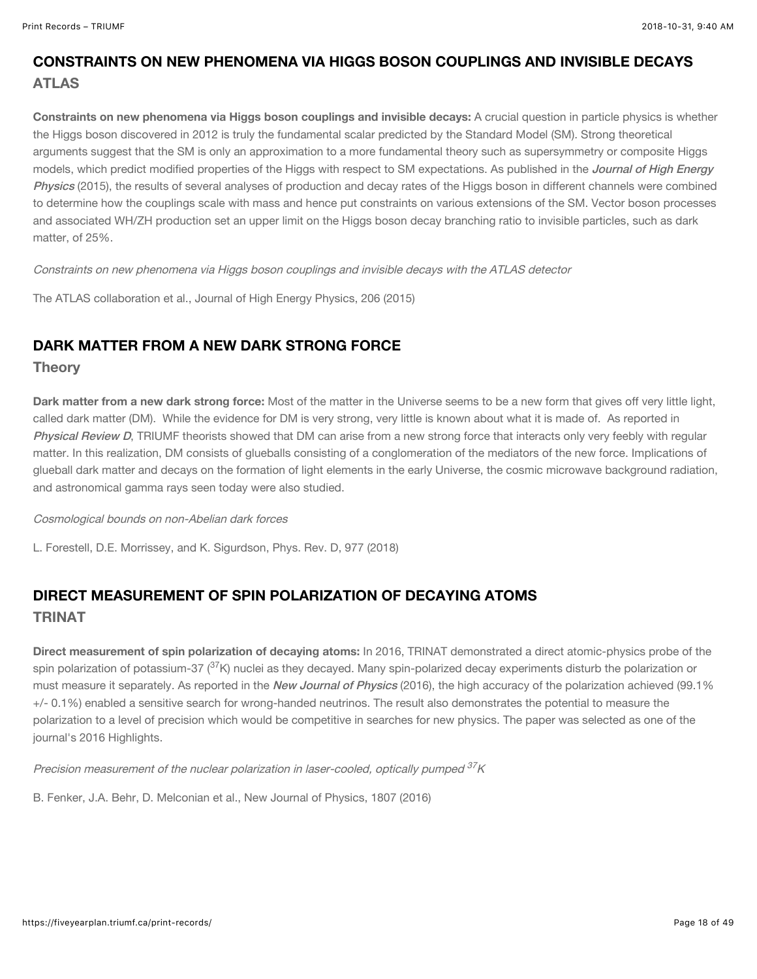## CONSTRAINTS ON NEW PHENOMENA VIA HIGGS BOSON COUPLINGS AND INVISIBLE DECAYS ATLAS

Constraints on new phenomena via Higgs boson couplings and invisible decays: A crucial question in particle physics is whether the Higgs boson discovered in 2012 is truly the fundamental scalar predicted by the Standard Model (SM). Strong theoretical arguments suggest that the SM is only an approximation to a more fundamental theory such as supersymmetry or composite Higgs models, which predict modified properties of the Higgs with respect to SM expectations. As published in the *Journal of High Energy* Physics [\(2015\), the results of several analyses of production and decay rates of the Higgs boson in different channels were combined](https://doi.org/10.1007/JHEP11(2015)206) to determine how the couplings scale with mass and hence put constraints on various extensions of the SM. Vector boson processes and associated WH/ZH production set an upper limit on the Higgs boson decay branching ratio to invisible particles, such as dark matter, of 25%.

Constraints on new phenomena via Higgs boson couplings and invisible decays with the ATLAS detector

The ATLAS collaboration et al., Journal of High Energy Physics, 206 (2015)

#### DARK MATTER FROM A NEW DARK STRONG FORCE

#### **Theory**

Dark matter from a new dark strong force: Most of the matter in the Universe seems to be a new form that gives off very little light, called dark matter (DM). While the evidence for DM is very strong, very little is known about what it is made of. As reported in [Physical Review D](https://journals.aps.org/prd/abstract/10.1103/PhysRevD.97.075029), TRIUMF theorists showed that DM can arise from a new strong force that interacts only very feebly with regular matter. In this realization, DM consists of glueballs consisting of a conglomeration of the mediators of the new force. Implications of glueball dark matter and decays on the formation of light elements in the early Universe, the cosmic microwave background radiation, and astronomical gamma rays seen today were also studied.

#### Cosmological bounds on non-Abelian dark forces

L. Forestell, D.E. Morrissey, and K. Sigurdson, Phys. Rev. D, 977 (2018)

## DIRECT MEASUREMENT OF SPIN POLARIZATION OF DECAYING ATOMS TRINAT

Direct measurement of spin polarization of decaying atoms: In 2016, TRINAT demonstrated a direct atomic-physics probe of the spin polarization of potassium-37 ( $^{37}$ K) nuclei as they decayed. Many spin-polarized decay experiments disturb the polarization or must measure it separately. As reported in the [New Journal of Physics](http://iopscience.iop.org/article/10.1088/1367-2630/18/7/073028/meta) (2016), the high accuracy of the polarization achieved (99.1% +/- 0.1%) enabled a sensitive search for wrong-handed neutrinos. The result also demonstrates the potential to measure the polarization to a level of precision which would be competitive in searches for new physics. The paper was selected as one of the journal's 2016 Highlights.

Precision measurement of the nuclear polarization in laser-cooled, optically pumped <sup>37</sup>K

B. Fenker, J.A. Behr, D. Melconian et al., New Journal of Physics, 1807 (2016)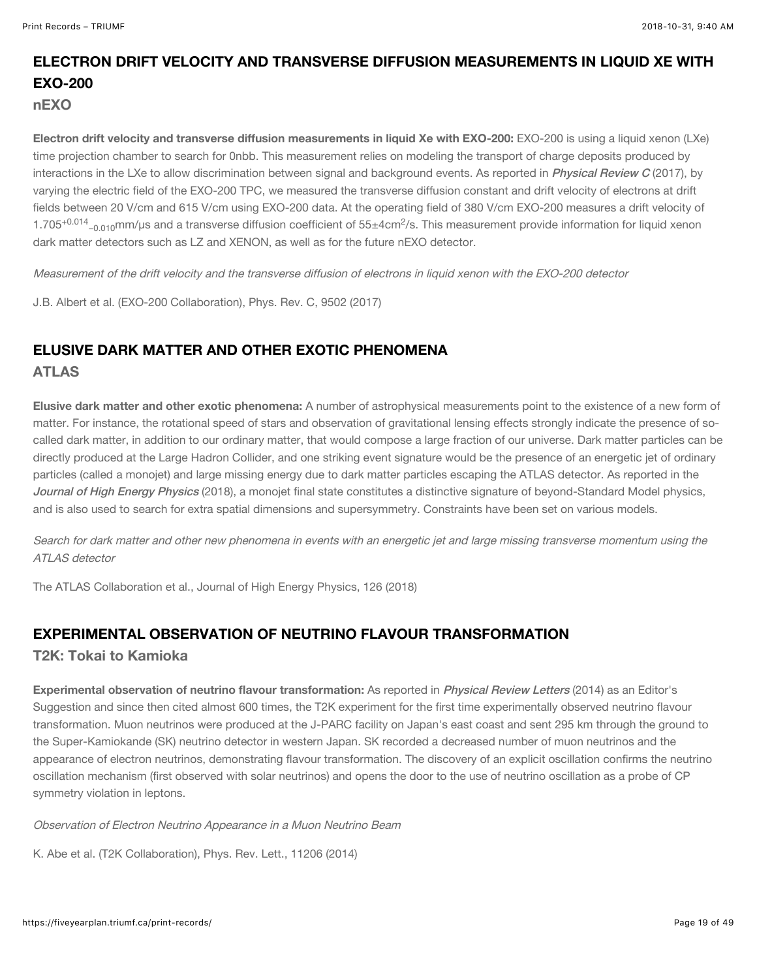## ELECTRON DRIFT VELOCITY AND TRANSVERSE DIFFUSION MEASUREMENTS IN LIQUID XE WITH EXO-200

nEXO

Electron drift velocity and transverse diffusion measurements in liquid Xe with EXO-200: EXO-200 is using a liquid xenon (LXe) time projection chamber to search for 0nbb. This measurement relies on modeling the transport of charge deposits produced by interactions in the LXe to allow discrimination between signal and background events. As reported in *[Physical Review C](https://doi.org/10.1103/PhysRevC.95.025502)* (2017), by varying the electric field of the EXO-200 TPC, we measured the transverse diffusion constant and drift velocity of electrons at drift fields between 20 V/cm and 615 V/cm using EXO-200 data. At the operating field of 380 V/cm EXO-200 measures a drift velocity of 1.705<sup>+0.014</sup><sub>−0.010</sub>mm/µs and a transverse diffusion coefficient of 55±4cm<sup>2</sup>/s. This measurement provide information for liquid xenon dark matter detectors such as LZ and XENON, as well as for the future nEXO detector.

Measurement of the drift velocity and the transverse diffusion of electrons in liquid xenon with the EXO-200 detector

J.B. Albert et al. (EXO-200 Collaboration), Phys. Rev. C, 9502 (2017)

#### ELUSIVE DARK MATTER AND OTHER EXOTIC PHENOMENA ATLAS

Elusive dark matter and other exotic phenomena: A number of astrophysical measurements point to the existence of a new form of matter. For instance, the rotational speed of stars and observation of gravitational lensing effects strongly indicate the presence of socalled dark matter, in addition to our ordinary matter, that would compose a large fraction of our universe. Dark matter particles can be directly produced at the Large Hadron Collider, and one striking event signature would be the presence of an energetic jet of ordinary particles (called a monojet) and large missing energy due to dark matter particles escaping the ATLAS detector. As reported in the [Journal of High Energy Physics](https://doi.org/10.1007/JHEP01(2018)126) (2018), a monojet final state constitutes a distinctive signature of beyond-Standard Model physics, and is also used to search for extra spatial dimensions and supersymmetry. Constraints have been set on various models.

Search for dark matter and other new phenomena in events with an energetic jet and large missing transverse momentum using the ATLAS detector

The ATLAS Collaboration et al., Journal of High Energy Physics, 126 (2018)

#### EXPERIMENTAL OBSERVATION OF NEUTRINO FLAVOUR TRANSFORMATION

T2K: Tokai to Kamioka

Experimental observation of neutrino flavour transformation: As reported in [Physical Review Letters](https://journals.aps.org/prl/abstract/10.1103/PhysRevLett.112.061802) (2014) as an Editor's Suggestion and since then cited almost 600 times, the T2K experiment for the first time experimentally observed neutrino flavour transformation. Muon neutrinos were produced at the J-PARC facility on Japan's east coast and sent 295 km through the ground to the Super-Kamiokande (SK) neutrino detector in western Japan. SK recorded a decreased number of muon neutrinos and the appearance of electron neutrinos, demonstrating flavour transformation. The discovery of an explicit oscillation confirms the neutrino oscillation mechanism (first observed with solar neutrinos) and opens the door to the use of neutrino oscillation as a probe of CP symmetry violation in leptons.

Observation of Electron Neutrino Appearance in a Muon Neutrino Beam

K. Abe et al. (T2K Collaboration), Phys. Rev. Lett., 11206 (2014)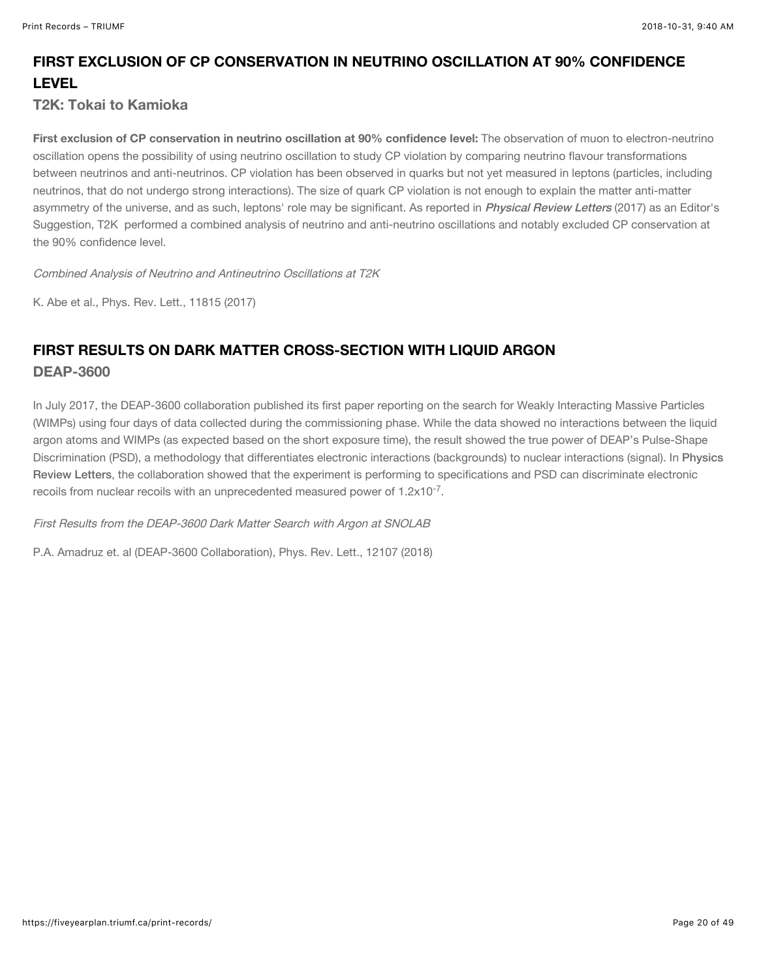## FIRST EXCLUSION OF CP CONSERVATION IN NEUTRINO OSCILLATION AT 90% CONFIDENCE LEVEL

#### T2K: Tokai to Kamioka

First exclusion of CP conservation in neutrino oscillation at 90% confidence level: The observation of muon to electron-neutrino oscillation opens the possibility of using neutrino oscillation to study CP violation by comparing neutrino flavour transformations between neutrinos and anti-neutrinos. CP violation has been observed in quarks but not yet measured in leptons (particles, including neutrinos, that do not undergo strong interactions). The size of quark CP violation is not enough to explain the matter anti-matter asymmetry of the universe, and as such, leptons' role may be significant. As reported in *[Physical Review Letters](https://journals.aps.org/prl/abstract/10.1103/PhysRevLett.118.151801)* (2017) as an Editor's Suggestion, T2K performed a combined analysis of neutrino and anti-neutrino oscillations and notably excluded CP conservation at the 90% confidence level.

Combined Analysis of Neutrino and Antineutrino Oscillations at T2K

K. Abe et al., Phys. Rev. Lett., 11815 (2017)

## FIRST RESULTS ON DARK MATTER CROSS-SECTION WITH LIQUID ARGON DEAP-3600

In July 2017, the DEAP-3600 collaboration published its first paper reporting on the search for Weakly Interacting Massive Particles (WIMPs) using four days of data collected during the commissioning phase. While the data showed no interactions between the liquid argon atoms and WIMPs (as expected based on the short exposure time), the result showed the true power of DEAP's Pulse-Shape [Discrimination \(PSD\), a methodology that differentiates electronic interactions \(backgrounds\) to nuclear interactions \(signal\). In](https://journals.aps.org/prl/abstract/10.1103/PhysRevLett.121.071801) Physics Review Letters, the collaboration showed that the experiment is performing to specifications and PSD can discriminate electronic recoils from nuclear recoils with an unprecedented measured power of  $1.2 \times 10^{-7}$ .

First Results from the DEAP-3600 Dark Matter Search with Argon at SNOLAB

P.A. Amadruz et. al (DEAP-3600 Collaboration), Phys. Rev. Lett., 12107 (2018)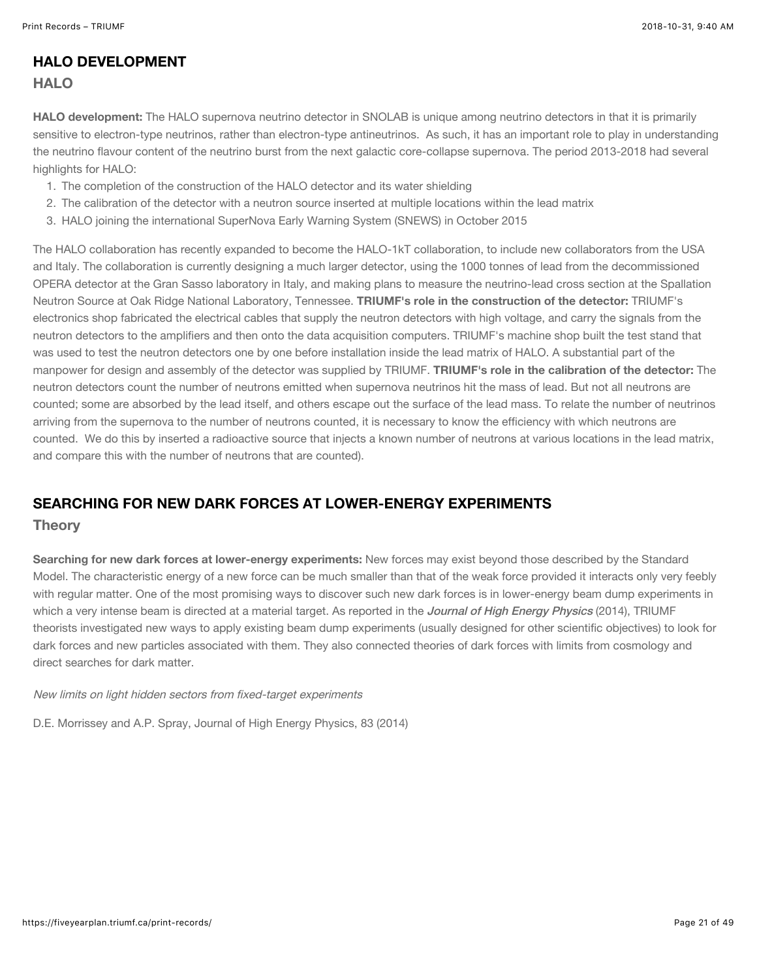#### HALO DEVELOPMENT **HALO**

#### HALO development: The HALO supernova neutrino detector in SNOLAB is unique among neutrino detectors in that it is primarily sensitive to electron-type neutrinos, rather than electron-type antineutrinos. As such, it has an important role to play in understanding the neutrino flavour content of the neutrino burst from the next galactic core-collapse supernova. The period 2013-2018 had several highlights for HALO:

- 1. The completion of the construction of the HALO detector and its water shielding
- 2. The calibration of the detector with a neutron source inserted at multiple locations within the lead matrix
- 3. HALO joining the international SuperNova Early Warning System (SNEWS) in October 2015

The HALO collaboration has recently expanded to become the HALO-1kT collaboration, to include new collaborators from the USA and Italy. The collaboration is currently designing a much larger detector, using the 1000 tonnes of lead from the decommissioned OPERA detector at the Gran Sasso laboratory in Italy, and making plans to measure the neutrino-lead cross section at the Spallation Neutron Source at Oak Ridge National Laboratory, Tennessee. TRIUMF's role in the construction of the detector: TRIUMF's electronics shop fabricated the electrical cables that supply the neutron detectors with high voltage, and carry the signals from the neutron detectors to the amplifiers and then onto the data acquisition computers. TRIUMF's machine shop built the test stand that was used to test the neutron detectors one by one before installation inside the lead matrix of HALO. A substantial part of the manpower for design and assembly of the detector was supplied by TRIUMF. TRIUMF's role in the calibration of the detector: The neutron detectors count the number of neutrons emitted when supernova neutrinos hit the mass of lead. But not all neutrons are counted; some are absorbed by the lead itself, and others escape out the surface of the lead mass. To relate the number of neutrinos arriving from the supernova to the number of neutrons counted, it is necessary to know the efficiency with which neutrons are counted. We do this by inserted a radioactive source that injects a known number of neutrons at various locations in the lead matrix, and compare this with the number of neutrons that are counted).

#### SEARCHING FOR NEW DARK FORCES AT LOWER-ENERGY EXPERIMENTS

#### **Theory**

Searching for new dark forces at lower-energy experiments: New forces may exist beyond those described by the Standard Model. The characteristic energy of a new force can be much smaller than that of the weak force provided it interacts only very feebly with regular matter. One of the most promising ways to discover such new dark forces is in lower-energy beam dump experiments in which a very intense beam is directed at a material target. As reported in the [Journal of High Energy Physics](https://link.springer.com/article/10.1007%2FJHEP06%282014%29083) (2014), TRIUMF theorists investigated new ways to apply existing beam dump experiments (usually designed for other scientific objectives) to look for dark forces and new particles associated with them. They also connected theories of dark forces with limits from cosmology and direct searches for dark matter.

#### New limits on light hidden sectors from fixed-target experiments

D.E. Morrissey and A.P. Spray, Journal of High Energy Physics, 83 (2014)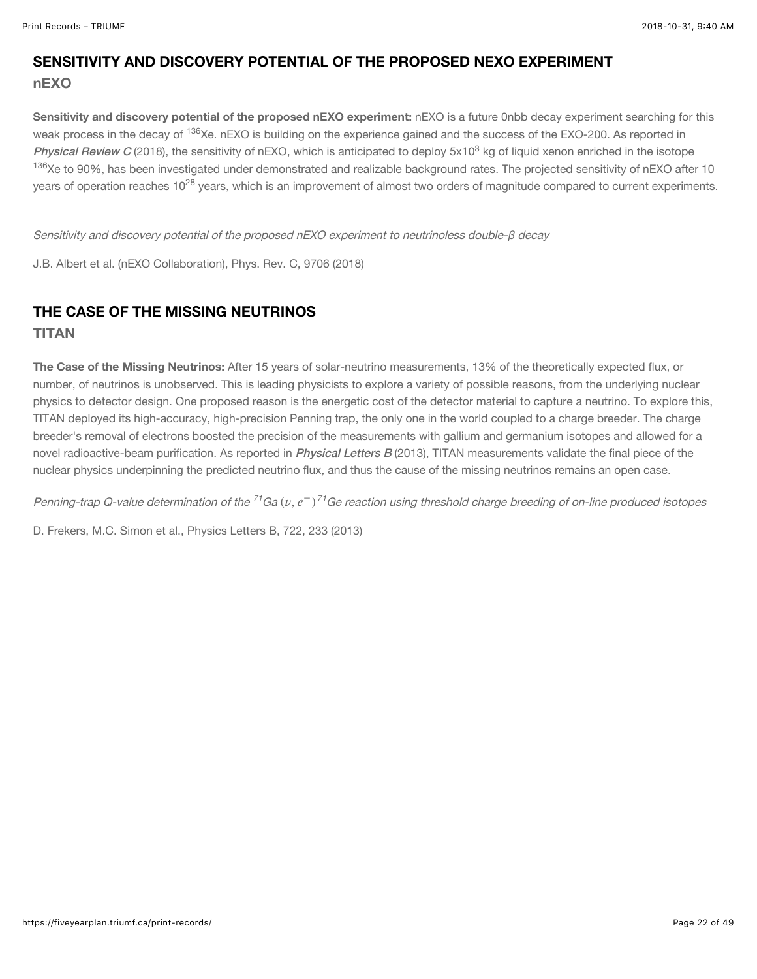## SENSITIVITY AND DISCOVERY POTENTIAL OF THE PROPOSED NEXO EXPERIMENT nEXO

Sensitivity and discovery potential of the proposed nEXO experiment: nEXO is a future 0nbb decay experiment searching for this weak process in the decay of <sup>136</sup>Xe. nEXO is building on the experience gained and the success of the EXO-200. As reported in [Physical Review C](https://doi.org/10.1103/PhysRevC.97.065503) (2018), the sensitivity of nEXO, which is anticipated to deploy 5x10<sup>3</sup> kg of liquid xenon enriched in the isotope <sup>136</sup>Xe to 90%, has been investigated under demonstrated and realizable background rates. The projected sensitivity of nEXO after 10 years of operation reaches 10<sup>28</sup> years, which is an improvement of almost two orders of magnitude compared to current experiments.

Sensitivity and discovery potential of the proposed nEXO experiment to neutrinoless double-β decay

J.B. Albert et al. (nEXO Collaboration), Phys. Rev. C, 9706 (2018)

## THE CASE OF THE MISSING NEUTRINOS

TITAN

The Case of the Missing Neutrinos: After 15 years of solar-neutrino measurements, 13% of the theoretically expected flux, or number, of neutrinos is unobserved. This is leading physicists to explore a variety of possible reasons, from the underlying nuclear physics to detector design. One proposed reason is the energetic cost of the detector material to capture a neutrino. To explore this, TITAN deployed its high-accuracy, high-precision Penning trap, the only one in the world coupled to a charge breeder. The charge breeder's removal of electrons boosted the precision of the measurements with gallium and germanium isotopes and allowed for a novel radioactive-beam purification. As reported in *[Physical Letters B](https://doi.org/10.1016/j.physletb.2013.04.019)* (2013), TITAN measurements validate the final piece of the nuclear physics underpinning the predicted neutrino flux, and thus the cause of the missing neutrinos remains an open case.

Penning-trap Q-value determination of the <sup>71</sup>Ga ( $\nu,e^-$ )<sup>71</sup>Ge reaction using threshold charge breeding of on-line produced isotopes

D. Frekers, M.C. Simon et al., Physics Letters B, 722, 233 (2013)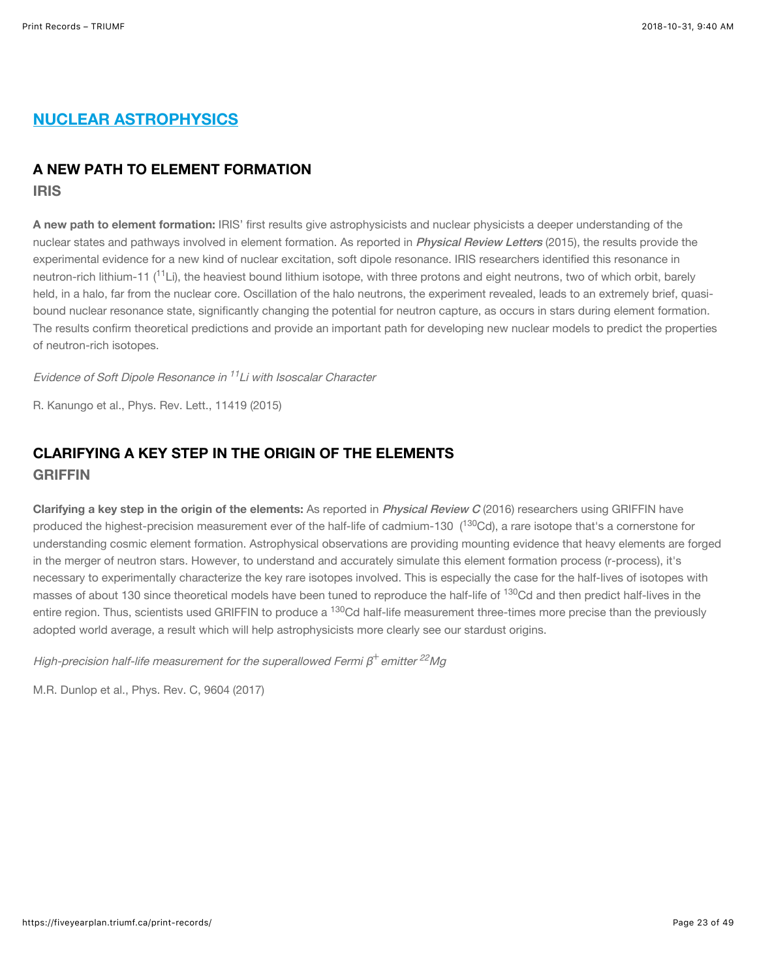## NUCLEAR ASTROPHYSICS

#### A NEW PATH TO ELEMENT FORMATION

IRIS

A new path to element formation: IRIS' first results give astrophysicists and nuclear physicists a deeper understanding of the nuclear states and pathways involved in element formation. As reported in *[Physical Review Letters](https://journals.aps.org/prl/abstract/10.1103/PhysRevLett.114.192502)* (2015), the results provide the experimental evidence for a new kind of nuclear excitation, soft dipole resonance. IRIS researchers identified this resonance in neutron-rich lithium-11 (<sup>11</sup>Li), the heaviest bound lithium isotope, with three protons and eight neutrons, two of which orbit, barely held, in a halo, far from the nuclear core. Oscillation of the halo neutrons, the experiment revealed, leads to an extremely brief, quasibound nuclear resonance state, significantly changing the potential for neutron capture, as occurs in stars during element formation. The results confirm theoretical predictions and provide an important path for developing new nuclear models to predict the properties of neutron-rich isotopes.

Evidence of Soft Dipole Resonance in <sup>11</sup>Li with Isoscalar Character

R. Kanungo et al., Phys. Rev. Lett., 11419 (2015)

## CLARIFYING A KEY STEP IN THE ORIGIN OF THE ELEMENTS GRIFFIN

Clarifying a key step in the origin of the elements: As reported in [Physical Review C](https://journals.aps.org/prc/abstract/10.1103/PhysRevC.96.045502) (2016) researchers using GRIFFIN have produced the highest-precision measurement ever of the half-life of cadmium-130 (<sup>130</sup>Cd), a rare isotope that's a cornerstone for understanding cosmic element formation. Astrophysical observations are providing mounting evidence that heavy elements are forged in the merger of neutron stars. However, to understand and accurately simulate this element formation process (r-process), it's necessary to experimentally characterize the key rare isotopes involved. This is especially the case for the half-lives of isotopes with masses of about 130 since theoretical models have been tuned to reproduce the half-life of <sup>130</sup>Cd and then predict half-lives in the entire region. Thus, scientists used GRIFFIN to produce a <sup>130</sup>Cd half-life measurement three-times more precise than the previously adopted world average, a result which will help astrophysicists more clearly see our stardust origins.

High-precision half-life measurement for the superallowed Fermi  $\beta^+$ emitter  $^{22}$ Mg

M.R. Dunlop et al., Phys. Rev. C, 9604 (2017)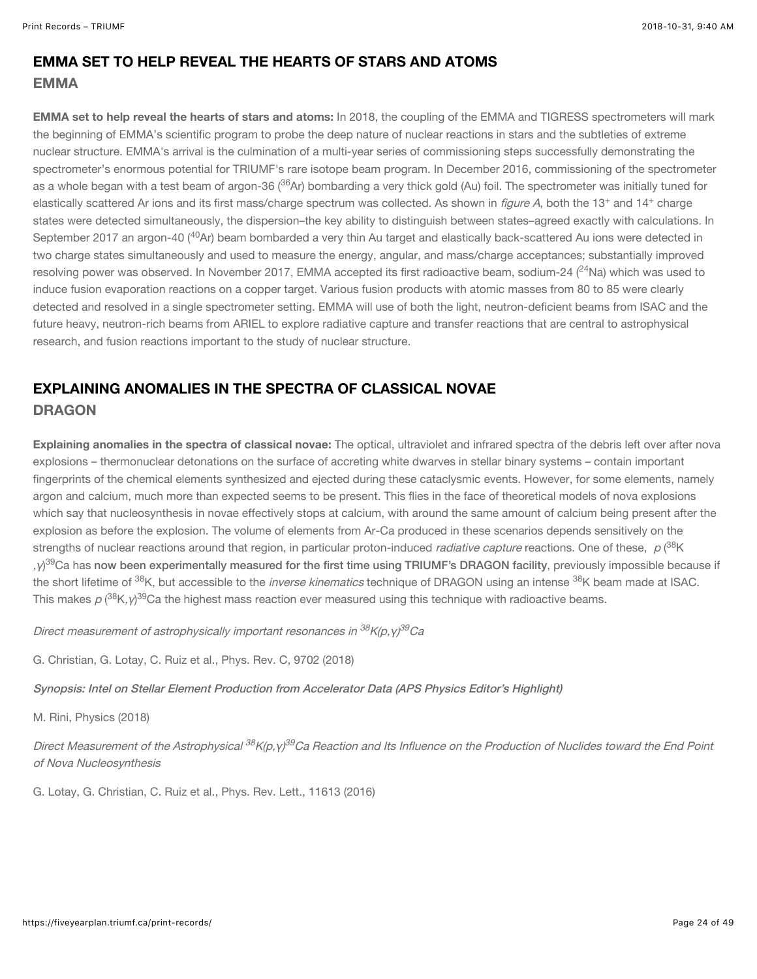#### EMMA SET TO HELP REVEAL THE HEARTS OF STARS AND ATOMS EMMA

EMMA set to help reveal the hearts of stars and atoms: In 2018, the coupling of the EMMA and TIGRESS spectrometers will mark the beginning of EMMA's scientific program to probe the deep nature of nuclear reactions in stars and the subtleties of extreme nuclear structure. EMMA's arrival is the culmination of a multi-year series of commissioning steps successfully demonstrating the spectrometer's enormous potential for TRIUMF's rare isotope beam program. In December 2016, commissioning of the spectrometer as a whole began with a test beam of argon-36 (<sup>36</sup>Ar) bombarding a very thick gold (Au) foil. The spectrometer was initially tuned for elastically scattered Ar ions and its first mass/charge spectrum was collected. As shown in *figure A*, both the 13<sup>+</sup> and 14<sup>+</sup> charge states were detected simultaneously, the dispersion–the key ability to distinguish between states–agreed exactly with calculations. In September 2017 an argon-40 (<sup>40</sup>Ar) beam bombarded a very thin Au target and elastically back-scattered Au ions were detected in two charge states simultaneously and used to measure the energy, angular, and mass/charge acceptances; substantially improved resolving power was observed. In November 2017, EMMA accepted its first radioactive beam, sodium-24 ( $^{24}$ Na) which was used to induce fusion evaporation reactions on a copper target. Various fusion products with atomic masses from 80 to 85 were clearly detected and resolved in a single spectrometer setting. EMMA will use of both the light, neutron-deficient beams from ISAC and the future heavy, neutron-rich beams from ARIEL to explore radiative capture and transfer reactions that are central to astrophysical research, and fusion reactions important to the study of nuclear structure.

## EXPLAINING ANOMALIES IN THE SPECTRA OF CLASSICAL NOVAE **DRAGON**

Explaining anomalies in the spectra of classical novae: The optical, ultraviolet and infrared spectra of the debris left over after nova explosions – thermonuclear detonations on the surface of accreting white dwarves in stellar binary systems – contain important fingerprints of the chemical elements synthesized and ejected during these cataclysmic events. However, for some elements, namely argon and calcium, much more than expected seems to be present. This flies in the face of theoretical models of nova explosions which say that nucleosynthesis in novae effectively stops at calcium, with around the same amount of calcium being present after the explosion as before the explosion. The volume of elements from Ar-Ca produced in these scenarios depends sensitively on the strengths of nuclear reactions around that region, in particular proton-induced *radiative capture* reactions. One of these,  $\,\rho\,(^{38}$ K , γ) $^{39}$ Ca has [now been experimentally measured for the first time using TRIUMF's DRAGON facility](https://journals.aps.org/prc/abstract/10.1103/PhysRevC.97.025802), previously impossible because if the short lifetime of <sup>38</sup>K, but accessible to the *inverse kinematics* technique of DRAGON using an intense <sup>38</sup>K beam made at ISAC. This makes  $\rho$  (<sup>38</sup>K, $\gamma$ <sup>39</sup>Ca the highest mass reaction ever measured using this technique with radioactive beams.

Direct measurement of astrophysically important resonances in <sup>38</sup>K(p,γ)<sup>39</sup>Ca

G. Christian, G. Lotay, C. Ruiz et al., Phys. Rev. C, 9702 (2018)

[Synopsis: Intel on Stellar Element Production from Accelerator Data \(APS Physics Editor's Highlight\)](https://physics.aps.org/synopsis-for/10.1103/PhysRevC.97.025802)

M. Rini, Physics (2018)

Direct Measurement of the Astrophysical <sup>38</sup>K(p,γ)<sup>39</sup>Ca Reaction and Its Influence on the Production of Nuclides toward the End Point of Nova Nucleosynthesis

G. Lotay, G. Christian, C. Ruiz et al., Phys. Rev. Lett., 11613 (2016)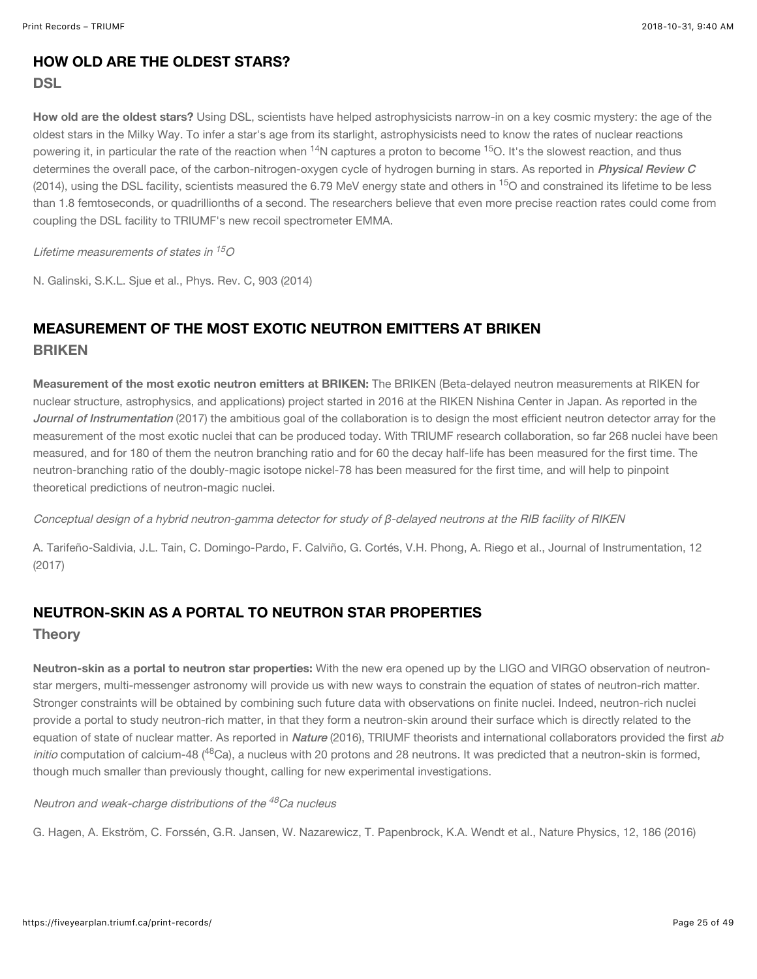## HOW OLD ARE THE OLDEST STARS?

#### DSL

How old are the oldest stars? Using DSL, scientists have helped astrophysicists narrow-in on a key cosmic mystery; the age of the oldest stars in the Milky Way. To infer a star's age from its starlight, astrophysicists need to know the rates of nuclear reactions powering it, in particular the rate of the reaction when <sup>14</sup>N captures a proton to become <sup>15</sup>O. It's the slowest reaction, and thus determines the overall pace, of the carbon-nitrogen-oxygen cycle of hydrogen burning in stars. As reported in [Physical Review C](http://dx.doi.org/10.1103/PhysRevC.90.035803) (2014), using the DSL facility, scientists measured the 6.79 MeV energy state and others in <sup>15</sup>O and constrained its lifetime to be less than 1.8 femtoseconds, or quadrillionths of a second. The researchers believe that even more precise reaction rates could come from coupling the DSL facility to TRIUMF's new recoil spectrometer EMMA.

#### Lifetime measurements of states in  $^{15} \! \mathcal{O}$

N. Galinski, S.K.L. Sjue et al., Phys. Rev. C, 903 (2014)

## MEASUREMENT OF THE MOST EXOTIC NEUTRON EMITTERS AT BRIKEN **BRIKEN**

Measurement of the most exotic neutron emitters at BRIKEN: The BRIKEN (Beta-delayed neutron measurements at RIKEN for nuclear structure, astrophysics, and applications) project started in 2016 at the RIKEN Nishina Center in Japan. As reported in the [Journal of Instrumentation](http://iopscience.iop.org/article/10.1088/1748-0221/12/04/P04006) (2017) the ambitious goal of the collaboration is to design the most efficient neutron detector array for the measurement of the most exotic nuclei that can be produced today. With TRIUMF research collaboration, so far 268 nuclei have been measured, and for 180 of them the neutron branching ratio and for 60 the decay half-life has been measured for the first time. The neutron-branching ratio of the doubly-magic isotope nickel-78 has been measured for the first time, and will help to pinpoint theoretical predictions of neutron-magic nuclei.

Conceptual design of a hybrid neutron-gamma detector for study of β-delayed neutrons at the RIB facility of RIKEN

A. Tarifeño-Saldivia, J.L. Tain, C. Domingo-Pardo, F. Calviño, G. Cortés, V.H. Phong, A. Riego et al., Journal of Instrumentation, 12 (2017)

## NEUTRON-SKIN AS A PORTAL TO NEUTRON STAR PROPERTIES

#### **Theory**

Neutron-skin as a portal to neutron star properties: With the new era opened up by the LIGO and VIRGO observation of neutronstar mergers, multi-messenger astronomy will provide us with new ways to constrain the equation of states of neutron-rich matter. Stronger constraints will be obtained by combining such future data with observations on finite nuclei. Indeed, neutron-rich nuclei provide a portal to study neutron-rich matter, in that they form a neutron-skin around their surface which is directly related to the equation of state of nuclear matter. As reported in [Nature](https://www.nature.com/articles/nphys3529) (2016), TRIUMF theorists and international collaborators provided the first ab initio computation of calcium-48 (<sup>48</sup>Ca), a nucleus with 20 protons and 28 neutrons. It was predicted that a neutron-skin is formed, though much smaller than previously thought, calling for new experimental investigations.

Neutron and weak-charge distributions of the <sup>48</sup>Ca nucleus

G. Hagen, A. Ekström, C. Forssén, G.R. Jansen, W. Nazarewicz, T. Papenbrock, K.A. Wendt et al., Nature Physics, 12, 186 (2016)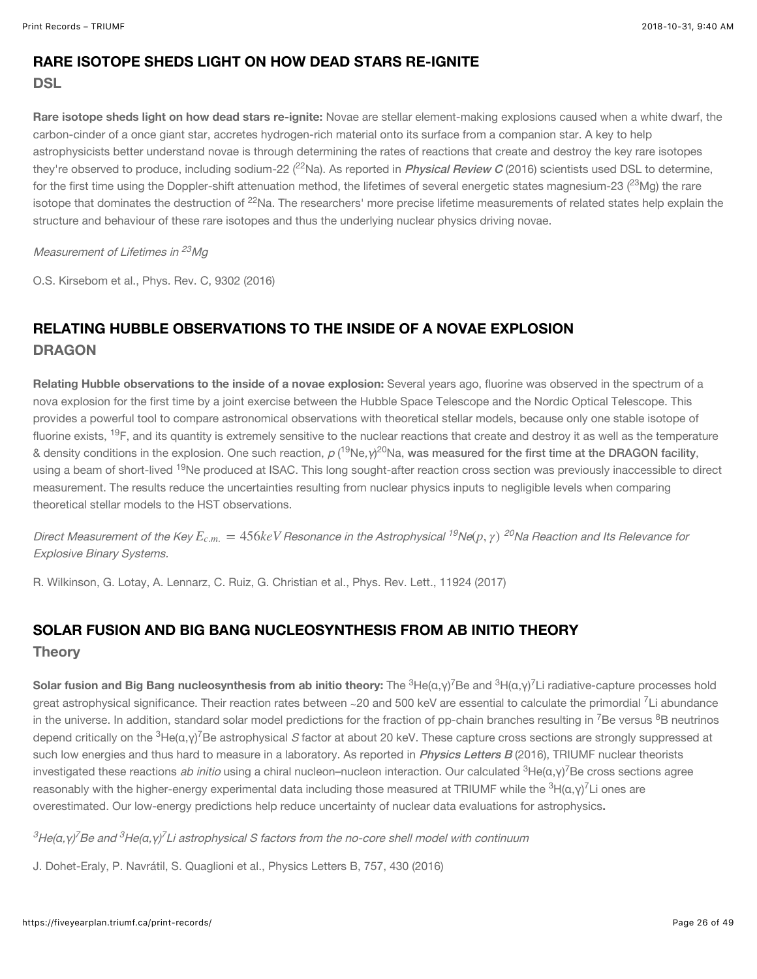## RARE ISOTOPE SHEDS LIGHT ON HOW DEAD STARS RE-IGNITE

#### **DSL**

Rare isotope sheds light on how dead stars re-ignite: Novae are stellar element-making explosions caused when a white dwarf, the carbon-cinder of a once giant star, accretes hydrogen-rich material onto its surface from a companion star. A key to help astrophysicists better understand novae is through determining the rates of reactions that create and destroy the key rare isotopes they're observed to produce, including sodium-22 (<sup>22</sup>Na). As reported in *[Physical Review C](http://dx.doi.org/10.1103/PhysRevC.93.025802)* (2016) scientists used DSL to determine, for the first time using the Doppler-shift attenuation method, the lifetimes of several energetic states magnesium-23 ( $^{23}$ Mg) the rare isotope that dominates the destruction of <sup>22</sup>Na. The researchers' more precise lifetime measurements of related states help explain the structure and behaviour of these rare isotopes and thus the underlying nuclear physics driving novae.

#### Measurement of Lifetimes in <sup>23</sup>Mg

O.S. Kirsebom et al., Phys. Rev. C, 9302 (2016)

## RELATING HUBBLE OBSERVATIONS TO THE INSIDE OF A NOVAE EXPLOSION **DRAGON**

Relating Hubble observations to the inside of a novae explosion: Several years ago, fluorine was observed in the spectrum of a nova explosion for the first time by a joint exercise between the Hubble Space Telescope and the Nordic Optical Telescope. This provides a powerful tool to compare astronomical observations with theoretical stellar models, because only one stable isotope of fluorine exists, <sup>19</sup>F, and its quantity is extremely sensitive to the nuclear reactions that create and destroy it as well as the temperature & density conditions in the explosion. One such reaction,  $\rho$  (<sup>19</sup>Ne, $\gamma$ <sup>20</sup>Na, [was measured for the first time at the DRAGON facility](https://journals.aps.org/prl/abstract/10.1103/PhysRevLett.119.242701), using a beam of short-lived <sup>19</sup>Ne produced at ISAC. This long sought-after reaction cross section was previously inaccessible to direct measurement. The results reduce the uncertainties resulting from nuclear physics inputs to negligible levels when comparing theoretical stellar models to the HST observations.

Direct Measurement of the Key E<sub>c.m.</sub> = 456keV Resonance in the Astrophysical <sup>19</sup>Ne(p, γ) <sup>20</sup>Na Reaction and Its Relevance for Explosive Binary Systems.

R. Wilkinson, G. Lotay, A. Lennarz, C. Ruiz, G. Christian et al., Phys. Rev. Lett., 11924 (2017)

## SOLAR FUSION AND BIG BANG NUCLEOSYNTHESIS FROM AB INITIO THEORY

#### **Theory**

**Solar fusion and Big Bang nucleosynthesis from ab initio theory:** The  $^3$ He(α,γ)<sup>7</sup>Be and  $^3$ H(α,γ)<sup>7</sup>Li radiative-capture processes hold great astrophysical significance. Their reaction rates between ∼20 and 500 keV are essential to calculate the primordial <sup>7</sup>Li abundance in the universe. In addition, standard solar model predictions for the fraction of pp-chain branches resulting in <sup>7</sup>Be versus <sup>8</sup>B neutrinos depend critically on the  $^3$ He(α,γ) $^7$ Be astrophysical *S* factor at about 20 keV. These capture cross sections are strongly suppressed at such low energies and thus hard to measure in a laboratory. As reported in *[Physics Letters B](https://www.sciencedirect.com/science/article/pii/S0370269316300946)* (2016), TRIUMF nuclear theorists investigated these reactions *ab initio* using a chiral nucleon–nucleon interaction. Our calculated <sup>3</sup>He(α,γ)<sup>7</sup>Be cross sections agree reasonably with the higher-energy experimental data including those measured at TRIUMF while the  $^3$ H(α,γ) $^7$ Li ones are overestimated. Our low-energy predictions help reduce uncertainty of nuclear data evaluations for astrophysics.

 ${}^3$ He(α,γ) ${}^7$ Be and  ${}^3$ He(α,γ) ${}^7$ Li astrophysical S factors from the no-core shell model with continuum

J. Dohet-Eraly, P. Navrátil, S. Quaglioni et al., Physics Letters B, 757, 430 (2016)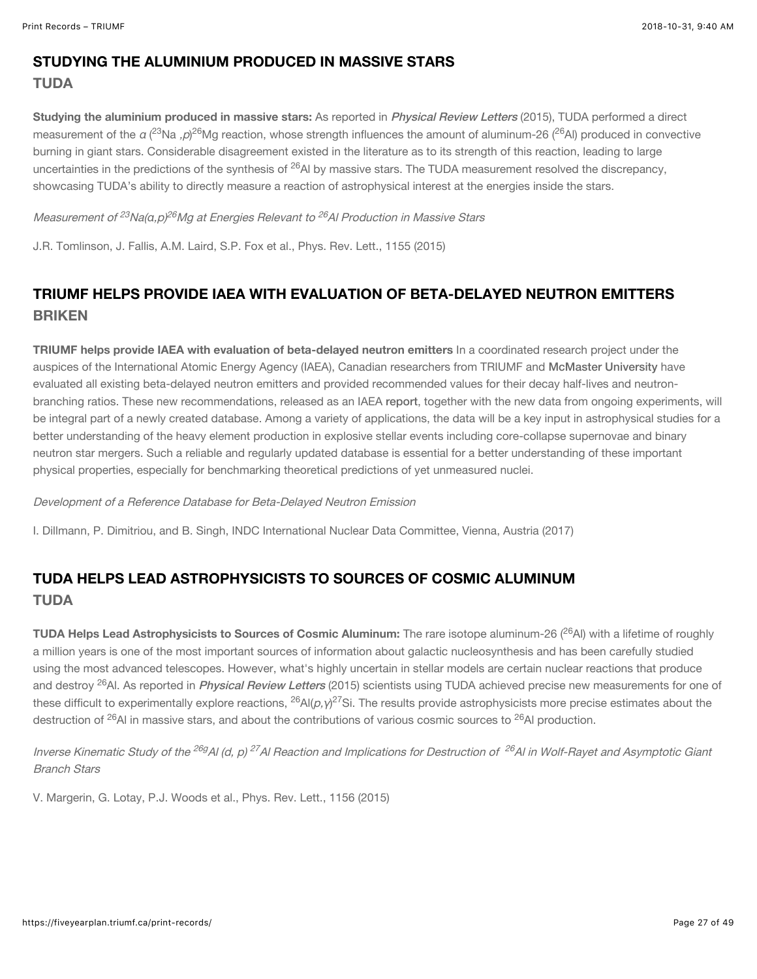#### STUDYING THE ALUMINIUM PRODUCED IN MASSIVE STARS TUDA

Studying the aluminium produced in massive stars: As reported in *[Physical Review Letters](https://journals.aps.org/prl/abstract/10.1103/PhysRevLett.115.052702)* (2015). TUDA performed a direct measurement of the a (<sup>23</sup>Na ,*p*)<sup>26</sup>Mg reaction, whose strength influences the amount of aluminum-26 (<sup>26</sup>Al) produced in convective burning in giant stars. Considerable disagreement existed in the literature as to its strength of this reaction, leading to large uncertainties in the predictions of the synthesis of <sup>26</sup>Al by massive stars. The TUDA measurement resolved the discrepancy, showcasing TUDA's ability to directly measure a reaction of astrophysical interest at the energies inside the stars.

Measurement of <sup>23</sup>Na(α,p)<sup>26</sup>Mg at Energies Relevant to <sup>26</sup>Al Production in Massive Stars

J.R. Tomlinson, J. Fallis, A.M. Laird, S.P. Fox et al., Phys. Rev. Lett., 1155 (2015)

## TRIUMF HELPS PROVIDE IAEA WITH EVALUATION OF BETA-DELAYED NEUTRON EMITTERS BRIKEN

TRIUMF helps provide IAEA with evaluation of beta-delayed neutron emitters In a coordinated research project under the auspices of the International Atomic Energy Agency (IAEA), Canadian researchers from TRIUMF and [McMaster University](http://www.mcmaster.ca/) have evaluated all existing beta-delayed neutron emitters and provided recommended values for their decay half-lives and neutronbranching ratios. These new recommendations, released as an IAEA [report](https://www-nds.iaea.org/publications/indc/indc-nds-0735.pdf), together with the new data from ongoing experiments, will be integral part of a newly created database. Among a variety of applications, the data will be a key input in astrophysical studies for a better understanding of the heavy element production in explosive stellar events including core-collapse supernovae and binary neutron star mergers. Such a reliable and regularly updated database is essential for a better understanding of these important physical properties, especially for benchmarking theoretical predictions of yet unmeasured nuclei.

#### Development of a Reference Database for Beta-Delayed Neutron Emission

I. Dillmann, P. Dimitriou, and B. Singh, INDC International Nuclear Data Committee, Vienna, Austria (2017)

## TUDA HELPS LEAD ASTROPHYSICISTS TO SOURCES OF COSMIC ALUMINUM TUDA

TUDA Helps Lead Astrophysicists to Sources of Cosmic Aluminum: The rare isotope aluminum-26 (<sup>26</sup>AI) with a lifetime of roughly a million years is one of the most important sources of information about galactic nucleosynthesis and has been carefully studied using the most advanced telescopes. However, what's highly uncertain in stellar models are certain nuclear reactions that produce and destroy <sup>26</sup>Al. As reported in *[Physical Review Letters](https://journals.aps.org/prl/abstract/10.1103/PhysRevLett.115.062701)* (2015) scientists using TUDA achieved precise new measurements for one of these difficult to experimentally explore reactions, <sup>26</sup>Al(*p,* y)<sup>27</sup>Si. The results provide astrophysicists more precise estimates about the destruction of <sup>26</sup>AI in massive stars, and about the contributions of various cosmic sources to <sup>26</sup>AI production.

Inverse Kinematic Study of the <sup>26g</sup>Al (d, p) <sup>27</sup>Al Reaction and Implications for Destruction of <sup>26</sup>Al in Wolf-Rayet and Asymptotic Giant Branch Stars

V. Margerin, G. Lotay, P.J. Woods et al., Phys. Rev. Lett., 1156 (2015)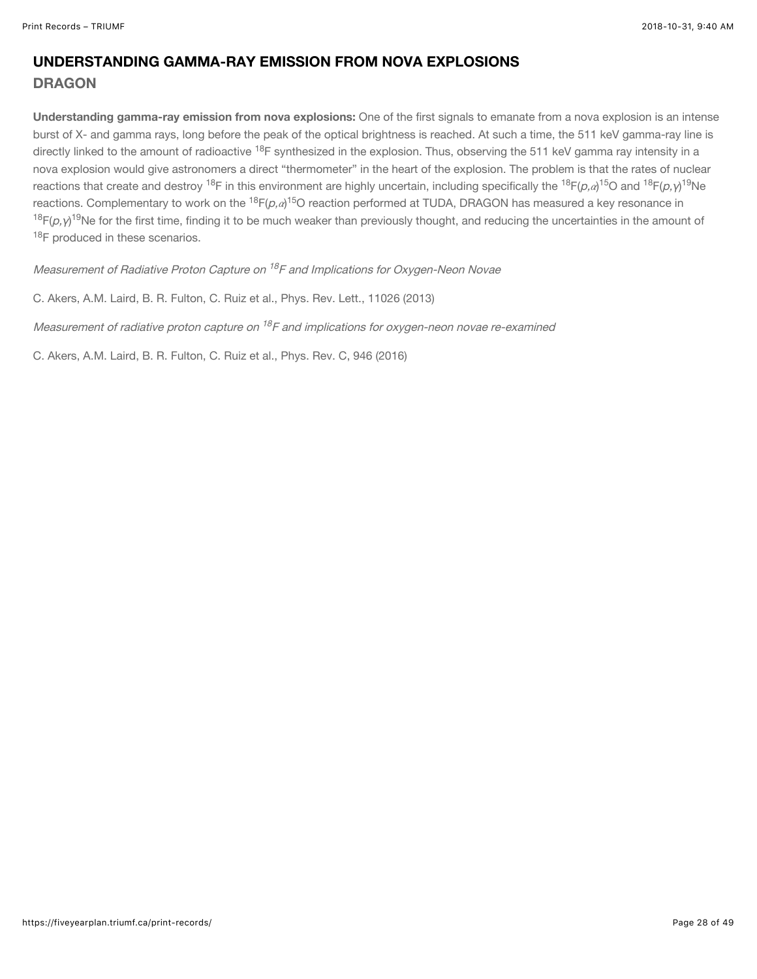## UNDERSTANDING GAMMA-RAY EMISSION FROM NOVA EXPLOSIONS **DRAGON**

Understanding gamma-ray emission from nova explosions: One of the first signals to emanate from a nova explosion is an intense burst of X- and gamma rays, long before the peak of the optical brightness is reached. At such a time, the 511 keV gamma-ray line is directly linked to the amount of radioactive <sup>18</sup>F synthesized in the explosion. Thus, observing the 511 keV gamma ray intensity in a nova explosion would give astronomers a direct "thermometer" in the heart of the explosion. The problem is that the rates of nuclear reactions that create and destroy <sup>18</sup>F in this environment are highly uncertain, including specifically the <sup>18</sup>F(p, $a$ )<sup>15</sup>O and <sup>18</sup>F(p, $\gamma$ )<sup>19</sup>Ne reactions. Complementary to work on the <sup>18</sup>F(*p,a*)<sup>15</sup>O reaction performed at TUDA, DRAGON has measured a key resonance in <sup>18</sup>F( $\rho$ ,γ)<sup>19</sup>Ne for the first time, finding it to be much weaker than previously thought, and reducing the uncertainties in the amount of <sup>18</sup>F produced in these scenarios.

Measurement of Radiative Proton Capture on <sup>18</sup>F and Implications for Oxygen-Neon Novae

C. Akers, A.M. Laird, B. R. Fulton, C. Ruiz et al., Phys. Rev. Lett., 11026 (2013)

Measurement of radiative proton capture on  $^{18}$ F and implications for oxygen-neon novae re-examined

C. Akers, A.M. Laird, B. R. Fulton, C. Ruiz et al., Phys. Rev. C, 946 (2016)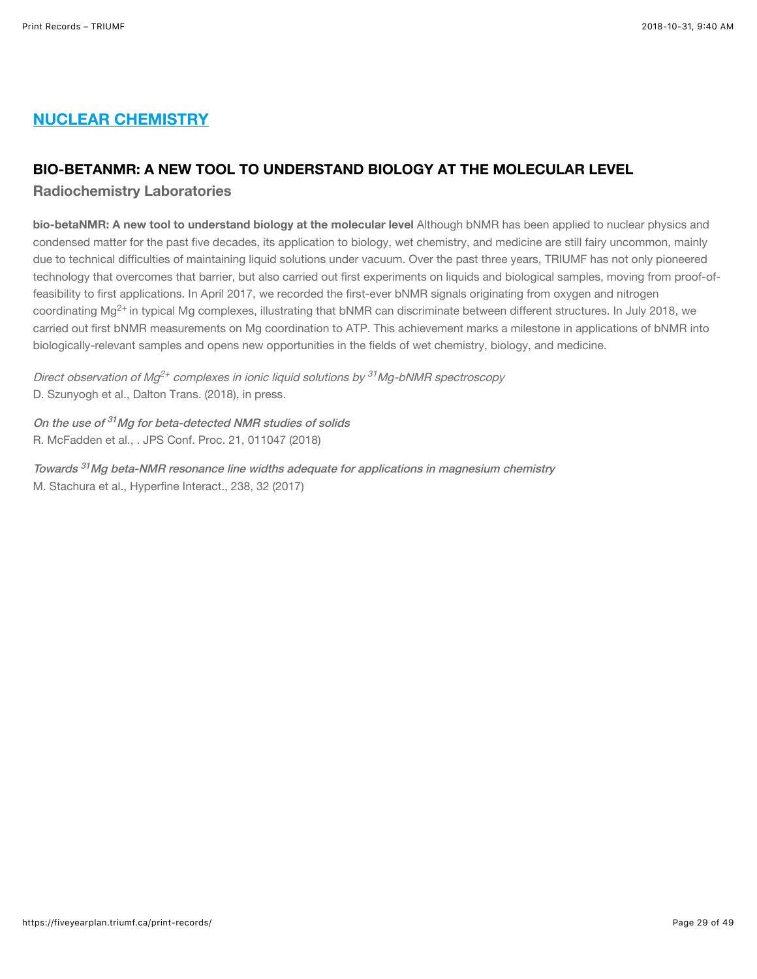## NUCLEAR CHEMISTRY

#### BIO-BETANMR: A NEW TOOL TO UNDERSTAND BIOLOGY AT THE MOLECULAR LEVEL

Radiochemistry Laboratories

bio-betaNMR: A new tool to understand biology at the molecular level Although bNMR has been applied to nuclear physics and condensed matter for the past five decades, its application to biology, wet chemistry, and medicine are still fairy uncommon, mainly due to technical difficulties of maintaining liquid solutions under vacuum. Over the past three years, TRIUMF has not only pioneered technology that overcomes that barrier, but also carried out first experiments on liquids and biological samples, moving from proof-offeasibility to first applications. In April 2017, we recorded the first-ever bNMR signals originating from oxygen and nitrogen coordinating Mg<sup>2+</sup> in typical Mg complexes, illustrating that bNMR can discriminate between different structures. In July 2018, we carried out first bNMR measurements on Mg coordination to ATP. This achievement marks a milestone in applications of bNMR into biologically-relevant samples and opens new opportunities in the fields of wet chemistry, biology, and medicine.

Direct observation of Mg<sup>2+</sup> complexes in ionic liquid solutions by <sup>31</sup>Mg-bNMR spectroscopy D. Szunyogh et al., Dalton Trans. (2018), in press.

On the use of <sup>31</sup>Mg for beta-detected NMR studies of solids R. McFadden et al., . JPS Conf. Proc. 21, 011047 (2018)

Towards <sup>31</sup>Mg beta-NMR resonance line widths adequate for applications in magnesium chemistry M. Stachura et al., Hyperfine Interact., 238, 32 (2017)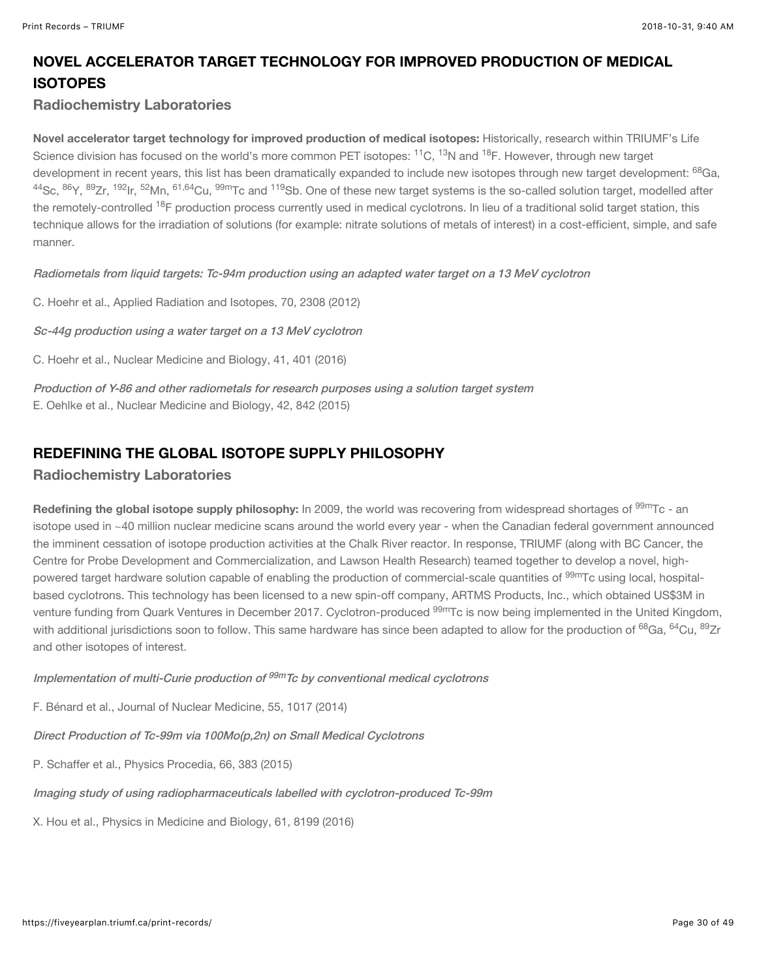## NOVEL ACCELERATOR TARGET TECHNOLOGY FOR IMPROVED PRODUCTION OF MEDICAL **ISOTOPES**

#### Radiochemistry Laboratories

Novel accelerator target technology for improved production of medical isotopes: Historically, research within TRIUMF's Life Science division has focused on the world's more common PET isotopes: <sup>11</sup>C, <sup>13</sup>N and <sup>18</sup>F. However, through new target development in recent years, this list has been dramatically expanded to include new isotopes through new target development: <sup>68</sup>Ga, <sup>44</sup>Sc, <sup>86</sup>Y, <sup>89</sup>Zr, <sup>192</sup>lr, <sup>52</sup>Mn, <sup>61,64</sup>Cu, <sup>99m</sup>Tc and <sup>119</sup>Sb. One of these new target systems is the so-called solution target, modelled after the remotely-controlled <sup>18</sup>F production process currently used in medical cyclotrons. In lieu of a traditional solid target station, this technique allows for the irradiation of solutions (for example: nitrate solutions of metals of interest) in a cost-efficient, simple, and safe manner.

[Radiometals from liquid targets: Tc-94m production using an adapted water target on a 13 MeV cyclotron](https://www.sciencedirect.com/science/article/pii/S0969804312003697?via%3Dihub)

C. Hoehr et al., Applied Radiation and Isotopes, 70, 2308 (2012)

[Sc-44g production using a water target on a 13 MeV cyclotron](https://www.sciencedirect.com/science/article/pii/S0969805113002643?via%3Dihub)

C. Hoehr et al., Nuclear Medicine and Biology, 41, 401 (2016)

[Production of Y-86 and other radiometals for research purposes using a solution target system](https://www.sciencedirect.com/science/article/pii/S0969805115001031?via%3Dihub) E. Oehlke et al., Nuclear Medicine and Biology, 42, 842 (2015)

#### REDEFINING THE GLOBAL ISOTOPE SUPPLY PHILOSOPHY

#### Radiochemistry Laboratories

**Redefining the global isotope supply philosophy:** In 2009, the world was recovering from widespread shortages of  $^{99\rm{m}}$ Tc - an isotope used in ~40 million nuclear medicine scans around the world every year - when the Canadian federal government announced the imminent cessation of isotope production activities at the Chalk River reactor. In response, TRIUMF (along with BC Cancer, the Centre for Probe Development and Commercialization, and Lawson Health Research) teamed together to develop a novel, highpowered target hardware solution capable of enabling the production of commercial-scale quantities of <sup>99m</sup>Tc using local, hospitalbased cyclotrons. This technology has been licensed to a new spin-off company, ARTMS Products, Inc., which obtained US\$3M in venture funding from Quark Ventures in December 2017. Cyclotron-produced <sup>99m</sup>Tc is now being implemented in the United Kingdom, with additional jurisdictions soon to follow. This same hardware has since been adapted to allow for the production of <sup>68</sup>Ga, <sup>64</sup>Cu, <sup>89</sup>Zr and other isotopes of interest.

Implementation of multi-Curie production of <sup>99m</sup>Tc by conventional medical cyclotrons

F. Bénard et al., Journal of Nuclear Medicine, 55, 1017 (2014)

[Direct Production of Tc-99m via 100Mo\(p,2n\) on Small Medical Cyclotrons](https://www.sciencedirect.com/science/article/pii/S1875389215002011)

P. Schaffer et al., Physics Procedia, 66, 383 (2015)

[Imaging study of using radiopharmaceuticals labelled with cyclotron-produced Tc-99m](http://iopscience.iop.org/article/10.1088/0031-9155/61/23/8199/meta)

X. Hou et al., Physics in Medicine and Biology, 61, 8199 (2016)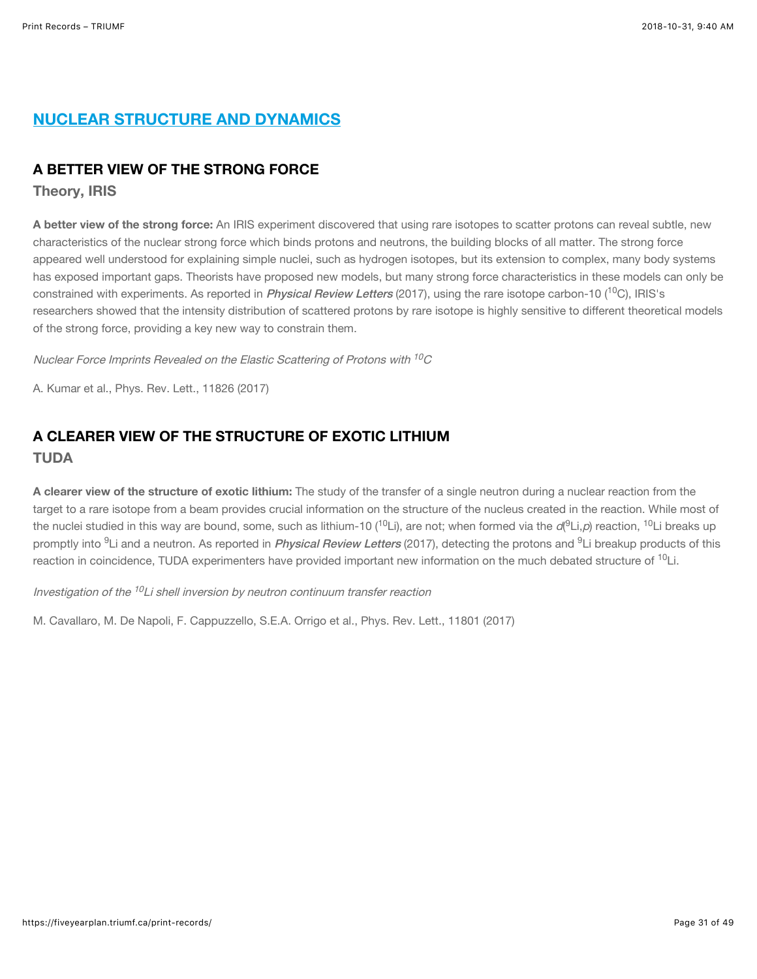## NUCLEAR STRUCTURE AND DYNAMICS

#### A BETTER VIEW OF THE STRONG FORCE

Theory, IRIS

A better view of the strong force: An IRIS experiment discovered that using rare isotopes to scatter protons can reveal subtle, new characteristics of the nuclear strong force which binds protons and neutrons, the building blocks of all matter. The strong force appeared well understood for explaining simple nuclei, such as hydrogen isotopes, but its extension to complex, many body systems has exposed important gaps. Theorists have proposed new models, but many strong force characteristics in these models can only be constrained with experiments. As reported in *[Physical Review Letters](https://journals.aps.org/prl/abstract/10.1103/PhysRevLett.118.262502)* (2017), using the rare isotope carbon-10 (<sup>10</sup>C), IRIS's researchers showed that the intensity distribution of scattered protons by rare isotope is highly sensitive to different theoretical models of the strong force, providing a key new way to constrain them.

Nuclear Force Imprints Revealed on the Elastic Scattering of Protons with  $^{10}\mathrm{C}$ 

A. Kumar et al., Phys. Rev. Lett., 11826 (2017)

## A CLEARER VIEW OF THE STRUCTURE OF EXOTIC LITHIUM TUDA

A clearer view of the structure of exotic lithium: The study of the transfer of a single neutron during a nuclear reaction from the target to a rare isotope from a beam provides crucial information on the structure of the nucleus created in the reaction. While most of the nuclei studied in this way are bound, some, such as lithium-10 (<sup>10</sup>Li), are not; when formed via the *d*(<sup>9</sup>Li,*p*) reaction, <sup>10</sup>Li breaks up promptly into <sup>9</sup>Li and a neutron. As reported in *[Physical Review Letters](https://journals.aps.org/prl/abstract/10.1103/PhysRevLett.118.012701)* (2017), detecting the protons and <sup>9</sup>Li breakup products of this reaction in coincidence, TUDA experimenters have provided important new information on the much debated structure of <sup>10</sup>Li.

Investigation of the <sup>10</sup>Li shell inversion by neutron continuum transfer reaction

M. Cavallaro, M. De Napoli, F. Cappuzzello, S.E.A. Orrigo et al., Phys. Rev. Lett., 11801 (2017)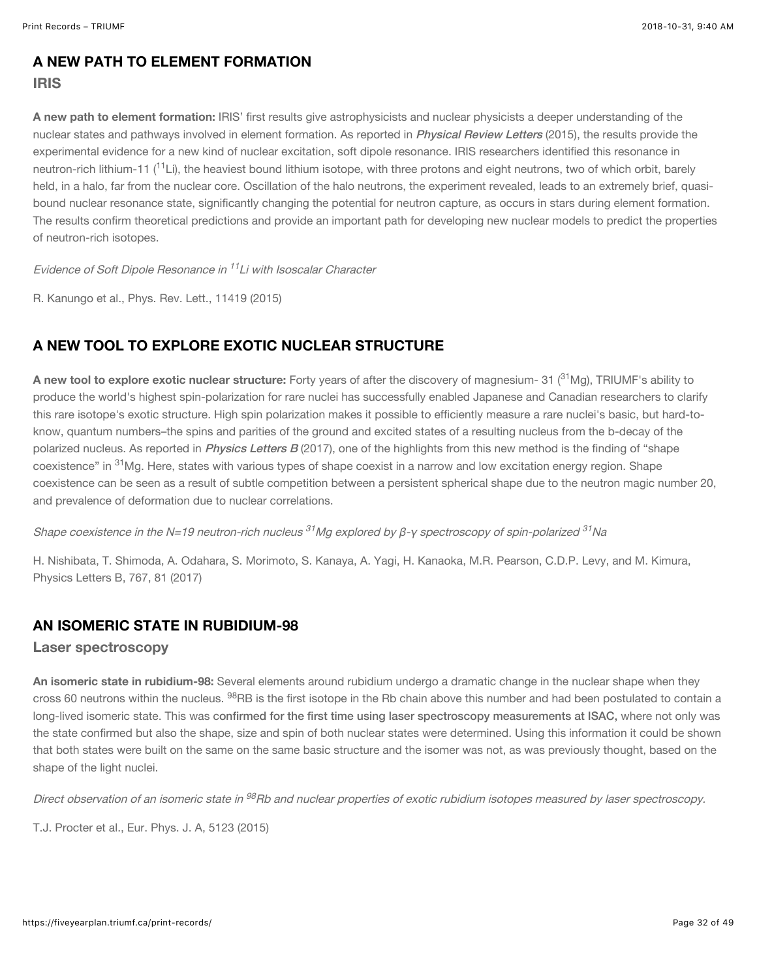#### A NEW PATH TO ELEMENT FORMATION

#### IRIS

A new path to element formation: IRIS' first results give astrophysicists and nuclear physicists a deeper understanding of the nuclear states and pathways involved in element formation. As reported in *[Physical Review Letters](https://journals.aps.org/prl/abstract/10.1103/PhysRevLett.114.192502)* (2015), the results provide the experimental evidence for a new kind of nuclear excitation, soft dipole resonance. IRIS researchers identified this resonance in neutron-rich lithium-11 (<sup>11</sup>Li), the heaviest bound lithium isotope, with three protons and eight neutrons, two of which orbit, barely held, in a halo, far from the nuclear core. Oscillation of the halo neutrons, the experiment revealed, leads to an extremely brief, quasibound nuclear resonance state, significantly changing the potential for neutron capture, as occurs in stars during element formation. The results confirm theoretical predictions and provide an important path for developing new nuclear models to predict the properties of neutron-rich isotopes.

Evidence of Soft Dipole Resonance in <sup>11</sup>Li with Isoscalar Character

R. Kanungo et al., Phys. Rev. Lett., 11419 (2015)

## A NEW TOOL TO EXPLORE EXOTIC NUCLEAR STRUCTURE

**A new tool to explore exotic nuclear structure:** Forty years of after the discovery of magnesium- 31 ( $^{31}$ Mg), TRIUMF's ability to produce the world's highest spin-polarization for rare nuclei has successfully enabled Japanese and Canadian researchers to clarify this rare isotope's exotic structure. High spin polarization makes it possible to efficiently measure a rare nuclei's basic, but hard-toknow, quantum numbers–the spins and parities of the ground and excited states of a resulting nucleus from the b-decay of the polarized nucleus. As reported in *[Physics Letters B](https://doi.org/10.1016/j.physletb.2017.01.049)* (2017), one of the highlights from this new method is the finding of "shape coexistence" in <sup>31</sup>Mg. Here, states with various types of shape coexist in a narrow and low excitation energy region. Shape coexistence can be seen as a result of subtle competition between a persistent spherical shape due to the neutron magic number 20, and prevalence of deformation due to nuclear correlations.

Shape coexistence in the N=19 neutron-rich nucleus <sup>31</sup>Mg explored by β-γ spectroscopy of spin-polarized <sup>31</sup>Na

H. Nishibata, T. Shimoda, A. Odahara, S. Morimoto, S. Kanaya, A. Yagi, H. Kanaoka, M.R. Pearson, C.D.P. Levy, and M. Kimura, Physics Letters B, 767, 81 (2017)

#### AN ISOMERIC STATE IN RUBIDIUM-98

#### Laser spectroscopy

An isomeric state in rubidium-98: Several elements around rubidium undergo a dramatic change in the nuclear shape when they cross 60 neutrons within the nucleus. <sup>98</sup>RB is the first isotope in the Rb chain above this number and had been postulated to contain a long-lived isomeric state. This was c[onfirmed for the first time using laser spectroscopy measurements at ISAC,](https://epja.epj.org/articles/epja/abs/2015/02/10050_2015_Article_202/10050_2015_Article_202.html) where not only was the state confirmed but also the shape, size and spin of both nuclear states were determined. Using this information it could be shown that both states were built on the same on the same basic structure and the isomer was not, as was previously thought, based on the shape of the light nuclei.

Direct observation of an isomeric state in <sup>98</sup>Rb and nuclear properties of exotic rubidium isotopes measured by laser spectroscopy.

T.J. Procter et al., Eur. Phys. J. A, 5123 (2015)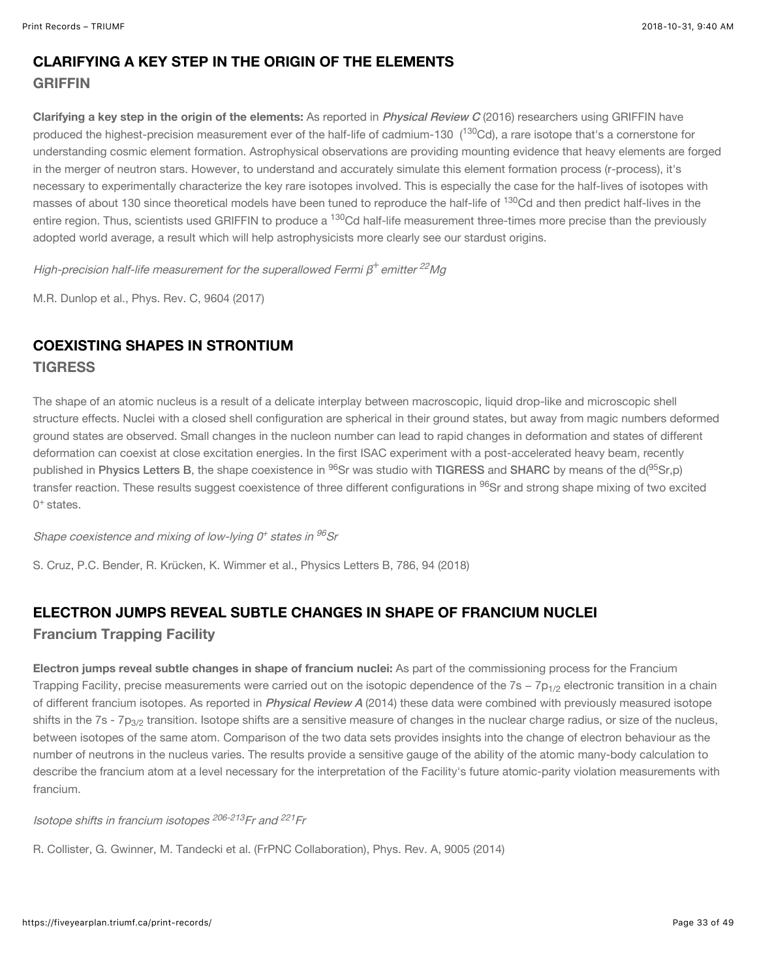## CLARIFYING A KEY STEP IN THE ORIGIN OF THE ELEMENTS **GRIFFIN**

Clarifying a key step in the origin of the elements: As reported in *[Physical Review C](https://journals.aps.org/prc/abstract/10.1103/PhysRevC.96.045502)* (2016) researchers using GRIFFIN have produced the highest-precision measurement ever of the half-life of cadmium-130 (<sup>130</sup>Cd), a rare isotope that's a cornerstone for understanding cosmic element formation. Astrophysical observations are providing mounting evidence that heavy elements are forged in the merger of neutron stars. However, to understand and accurately simulate this element formation process (r-process), it's necessary to experimentally characterize the key rare isotopes involved. This is especially the case for the half-lives of isotopes with masses of about 130 since theoretical models have been tuned to reproduce the half-life of <sup>130</sup>Cd and then predict half-lives in the entire region. Thus, scientists used GRIFFIN to produce a <sup>130</sup>Cd half-life measurement three-times more precise than the previously adopted world average, a result which will help astrophysicists more clearly see our stardust origins.

High-precision half-life measurement for the superallowed Fermi  $\beta^+$ emitter  $^{22}$ Mg

M.R. Dunlop et al., Phys. Rev. C, 9604 (2017)

## COEXISTING SHAPES IN STRONTIUM **TIGRESS**

The shape of an atomic nucleus is a result of a delicate interplay between macroscopic, liquid drop-like and microscopic shell structure effects. Nuclei with a closed shell configuration are spherical in their ground states, but away from magic numbers deformed ground states are observed. Small changes in the nucleon number can lead to rapid changes in deformation and states of different deformation can coexist at close excitation energies. In the first ISAC experiment with a post-accelerated heavy beam, recently published in [Physics Letters B](https://doi.org/10.1016/j.physletb.2018.09.031), the shape coexistence in <sup>96</sup>Sr was studio with [TIGRESS](https://fiveyearplan.triumf.ca/teams-tools/tigress-triumf-isac-gamma-ray-suppressed-spectrometer/) and [SHARC](https://fiveyearplan.triumf.ca/teams-tools/sharc-silicon-highly-segmented-array-for-reactions-and-coulex/) by means of the d(<sup>95</sup>Sr,p) transfer reaction. These results suggest coexistence of three different configurations in <sup>96</sup>Sr and strong shape mixing of two excited  $0<sup>+</sup>$  states.

Shape coexistence and mixing of low-lying 0<sup>+</sup> states in <sup>96</sup>Sr

S. Cruz, P.C. Bender, R. Krücken, K. Wimmer et al., Physics Letters B, 786, 94 (2018)

## ELECTRON JUMPS REVEAL SUBTLE CHANGES IN SHAPE OF FRANCIUM NUCLEI Francium Trapping Facility

Electron jumps reveal subtle changes in shape of francium nuclei: As part of the commissioning process for the Francium Trapping Facility, precise measurements were carried out on the isotopic dependence of the 7s – 7p<sub>1/2</sub> electronic transition in a chain of different francium isotopes. As reported in *[Physical Review A](https://doi.org/10.1103/PhysRevA.90.052502)* (2014) these data were combined with previously measured isotope shifts in the 7s - 7p $_{3/2}$  transition. Isotope shifts are a sensitive measure of changes in the nuclear charge radius, or size of the nucleus, between isotopes of the same atom. Comparison of the two data sets provides insights into the change of electron behaviour as the number of neutrons in the nucleus varies. The results provide a sensitive gauge of the ability of the atomic many-body calculation to describe the francium atom at a level necessary for the interpretation of the Facility's future atomic-parity violation measurements with francium.

lsotope shifts in francium isotopes <sup>206-213</sup>Fr and <sup>221</sup>Fr

R. Collister, G. Gwinner, M. Tandecki et al. (FrPNC Collaboration), Phys. Rev. A, 9005 (2014)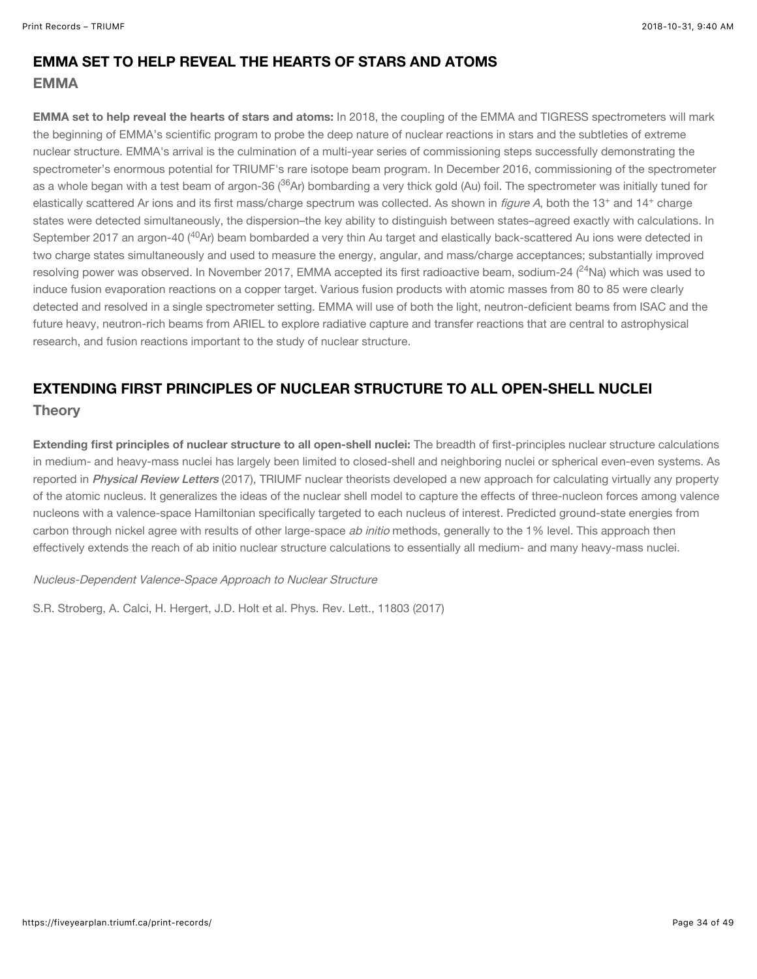#### EMMA SET TO HELP REVEAL THE HEARTS OF STARS AND ATOMS EMMA

EMMA set to help reveal the hearts of stars and atoms: In 2018, the coupling of the EMMA and TIGRESS spectrometers will mark the beginning of EMMA's scientific program to probe the deep nature of nuclear reactions in stars and the subtleties of extreme nuclear structure. EMMA's arrival is the culmination of a multi-year series of commissioning steps successfully demonstrating the spectrometer's enormous potential for TRIUMF's rare isotope beam program. In December 2016, commissioning of the spectrometer as a whole began with a test beam of argon-36 (<sup>36</sup>Ar) bombarding a very thick gold (Au) foil. The spectrometer was initially tuned for elastically scattered Ar ions and its first mass/charge spectrum was collected. As shown in *figure A*, both the 13<sup>+</sup> and 14<sup>+</sup> charge states were detected simultaneously, the dispersion–the key ability to distinguish between states–agreed exactly with calculations. In September 2017 an argon-40 (<sup>40</sup>Ar) beam bombarded a very thin Au target and elastically back-scattered Au ions were detected in two charge states simultaneously and used to measure the energy, angular, and mass/charge acceptances; substantially improved resolving power was observed. In November 2017, EMMA accepted its first radioactive beam, sodium-24 ( $^{24}$ Na) which was used to induce fusion evaporation reactions on a copper target. Various fusion products with atomic masses from 80 to 85 were clearly detected and resolved in a single spectrometer setting. EMMA will use of both the light, neutron-deficient beams from ISAC and the future heavy, neutron-rich beams from ARIEL to explore radiative capture and transfer reactions that are central to astrophysical research, and fusion reactions important to the study of nuclear structure.

## EXTENDING FIRST PRINCIPLES OF NUCLEAR STRUCTURE TO ALL OPEN-SHELL NUCLEI **Theory**

Extending first principles of nuclear structure to all open-shell nuclei: The breadth of first-principles nuclear structure calculations in medium- and heavy-mass nuclei has largely been limited to closed-shell and neighboring nuclei or spherical even-even systems. As reported in [Physical Review Letters](https://journals.aps.org/prl/abstract/10.1103/PhysRevLett.118.032502) (2017), TRIUMF nuclear theorists developed a new approach for calculating virtually any property of the atomic nucleus. It generalizes the ideas of the nuclear shell model to capture the effects of three-nucleon forces among valence nucleons with a valence-space Hamiltonian specifically targeted to each nucleus of interest. Predicted ground-state energies from carbon through nickel agree with results of other large-space ab initio methods, generally to the 1% level. This approach then effectively extends the reach of ab initio nuclear structure calculations to essentially all medium- and many heavy-mass nuclei.

#### Nucleus-Dependent Valence-Space Approach to Nuclear Structure

S.R. Stroberg, A. Calci, H. Hergert, J.D. Holt et al. Phys. Rev. Lett., 11803 (2017)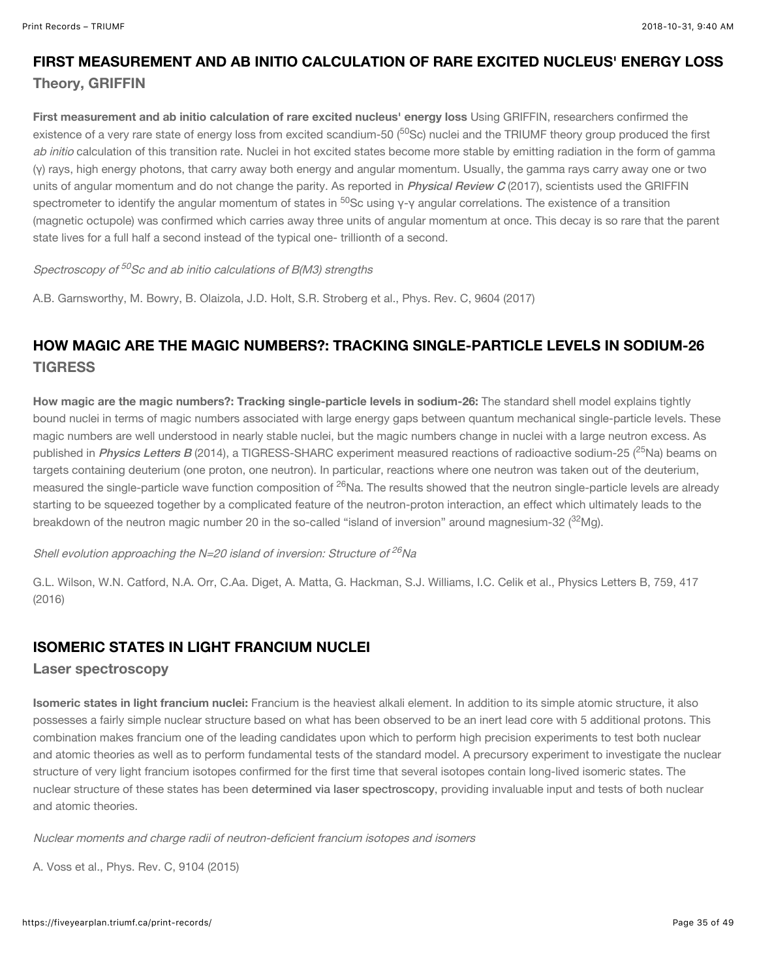## FIRST MEASUREMENT AND AB INITIO CALCULATION OF RARE EXCITED NUCLEUS' ENERGY LOSS Theory, GRIFFIN

First measurement and ab initio calculation of rare excited nucleus' energy loss Using GRIFFIN, researchers confirmed the existence of a very rare state of energy loss from excited scandium-50 (<sup>50</sup>Sc) nuclei and the TRIUMF theory group produced the first ab initio calculation of this transition rate. Nuclei in hot excited states become more stable by emitting radiation in the form of gamma (γ) rays, high energy photons, that carry away both energy and angular momentum. Usually, the gamma rays carry away one or two units of angular momentum and do not change the parity. As reported in *[Physical Review C](https://journals.aps.org/prc/abstract/10.1103/PhysRevC.96.044329)* (2017), scientists used the GRIFFIN spectrometer to identify the angular momentum of states in <sup>50</sup>Sc using γ-γ angular correlations. The existence of a transition (magnetic octupole) was confirmed which carries away three units of angular momentum at once. This decay is so rare that the parent state lives for a full half a second instead of the typical one- trillionth of a second.

#### Spectroscopy of <sup>50</sup>Sc and ab initio calculations of B(M3) strengths

A.B. Garnsworthy, M. Bowry, B. Olaizola, J.D. Holt, S.R. Stroberg et al., Phys. Rev. C, 9604 (2017)

## HOW MAGIC ARE THE MAGIC NUMBERS?: TRACKING SINGLE-PARTICLE LEVELS IN SODIUM-26 **TIGRESS**

How magic are the magic numbers?: Tracking single-particle levels in sodium-26: The standard shell model explains tightly bound nuclei in terms of magic numbers associated with large energy gaps between quantum mechanical single-particle levels. These magic numbers are well understood in nearly stable nuclei, but the magic numbers change in nuclei with a large neutron excess. As published in *[Physics Letters B](http://www.sciencedirect.com/science/article/pii/S0370269316302489)* (2014), a TIGRESS-SHARC experiment measured reactions of radioactive sodium-25 (<sup>25</sup>Na) beams on targets containing deuterium (one proton, one neutron). In particular, reactions where one neutron was taken out of the deuterium, measured the single-particle wave function composition of <sup>26</sup>Na. The results showed that the neutron single-particle levels are already starting to be squeezed together by a complicated feature of the neutron-proton interaction, an effect which ultimately leads to the breakdown of the neutron magic number 20 in the so-called "island of inversion" around magnesium-32 ( $\rm ^{32}Mg$ ).

#### Shell evolution approaching the N=20 island of inversion: Structure of  $^{26}\rm{Na}$

G.L. Wilson, W.N. Catford, N.A. Orr, C.Aa. Diget, A. Matta, G. Hackman, S.J. Williams, I.C. Celik et al., Physics Letters B, 759, 417 (2016)

#### ISOMERIC STATES IN LIGHT FRANCIUM NUCLEI

#### Laser spectroscopy

Isomeric states in light francium nuclei: Francium is the heaviest alkali element. In addition to its simple atomic structure, it also possesses a fairly simple nuclear structure based on what has been observed to be an inert lead core with 5 additional protons. This combination makes francium one of the leading candidates upon which to perform high precision experiments to test both nuclear and atomic theories as well as to perform fundamental tests of the standard model. A precursory experiment to investigate the nuclear structure of very light francium isotopes confirmed for the first time that several isotopes contain long-lived isomeric states. The nuclear structure of these states has been [determined via laser spectroscopy](https://journals.aps.org/prc/abstract/10.1103/PhysRevC.91.044307), providing invaluable input and tests of both nuclear and atomic theories.

Nuclear moments and charge radii of neutron-deficient francium isotopes and isomers

A. Voss et al., Phys. Rev. C, 9104 (2015)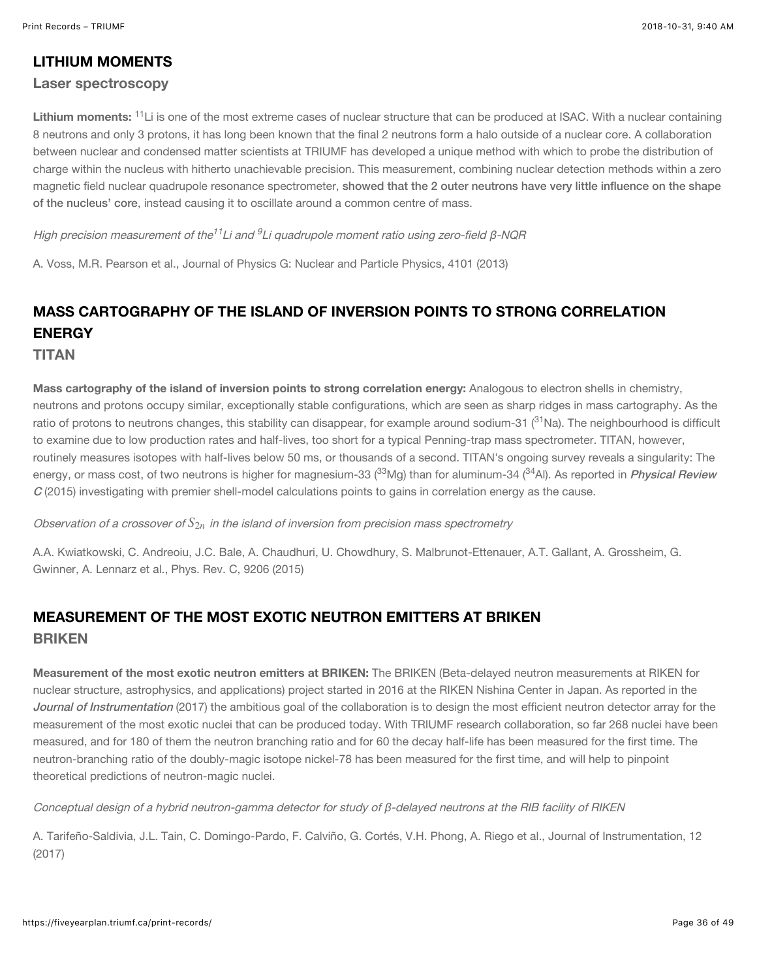#### LITHIUM MOMENTS

#### Laser spectroscopy

**Lithium moments:** <sup>11</sup>Li is one of the most extreme cases of nuclear structure that can be produced at ISAC. With a nuclear containing 8 neutrons and only 3 protons, it has long been known that the final 2 neutrons form a halo outside of a nuclear core. A collaboration between nuclear and condensed matter scientists at TRIUMF has developed a unique method with which to probe the distribution of charge within the nucleus with hitherto unachievable precision. This measurement, combining nuclear detection methods within a zero magnetic field nuclear quadrupole resonance spectrometer, [showed that the 2 outer neutrons have very little influence on the shape](http://iopscience.iop.org/article/10.1088/0954-3899/41/1/015104) of the nucleus' core, instead causing it to oscillate around a common centre of mass.

High precision measurement of the $^{11}$ Li and  $^{9}$ Li quadrupole moment ratio using zero-field β-NQR

A. Voss, M.R. Pearson et al., Journal of Physics G: Nuclear and Particle Physics, 4101 (2013)

## MASS CARTOGRAPHY OF THE ISLAND OF INVERSION POINTS TO STRONG CORRELATION ENERGY

TITAN

Mass cartography of the island of inversion points to strong correlation energy: Analogous to electron shells in chemistry, neutrons and protons occupy similar, exceptionally stable configurations, which are seen as sharp ridges in mass cartography. As the ratio of protons to neutrons changes, this stability can disappear, for example around sodium-31 ( $^{31}$ Na). The neighbourhood is difficult to examine due to low production rates and half-lives, too short for a typical Penning-trap mass spectrometer. TITAN, however, routinely measures isotopes with half-lives below 50 ms, or thousands of a second. TITAN's ongoing survey reveals a singularity: The energy, or mass cost, of two neutrons is higher for magnesium-33 (<sup>33</sup>Mg) than for aluminum-34 (<sup>34</sup>Al). As reported in *Physical Review*  $C(2015)$  investigating with premier shell-model calculations points to gains in correlation energy as the cause.

Observation of a crossover of  $S_{2n}$  in the island of inversion from precision mass spectrometry

A.A. Kwiatkowski, C. Andreoiu, J.C. Bale, A. Chaudhuri, U. Chowdhury, S. Malbrunot-Ettenauer, A.T. Gallant, A. Grossheim, G. Gwinner, A. Lennarz et al., Phys. Rev. C, 9206 (2015)

## MEASUREMENT OF THE MOST EXOTIC NEUTRON EMITTERS AT BRIKEN **BRIKEN**

Measurement of the most exotic neutron emitters at BRIKEN: The BRIKEN (Beta-delayed neutron measurements at RIKEN for nuclear structure, astrophysics, and applications) project started in 2016 at the RIKEN Nishina Center in Japan. As reported in the [Journal of Instrumentation](http://iopscience.iop.org/article/10.1088/1748-0221/12/04/P04006) (2017) the ambitious goal of the collaboration is to design the most efficient neutron detector array for the measurement of the most exotic nuclei that can be produced today. With TRIUMF research collaboration, so far 268 nuclei have been measured, and for 180 of them the neutron branching ratio and for 60 the decay half-life has been measured for the first time. The neutron-branching ratio of the doubly-magic isotope nickel-78 has been measured for the first time, and will help to pinpoint theoretical predictions of neutron-magic nuclei.

Conceptual design of a hybrid neutron-gamma detector for study of β-delayed neutrons at the RIB facility of RIKEN

A. Tarifeño-Saldivia, J.L. Tain, C. Domingo-Pardo, F. Calviño, G. Cortés, V.H. Phong, A. Riego et al., Journal of Instrumentation, 12 (2017)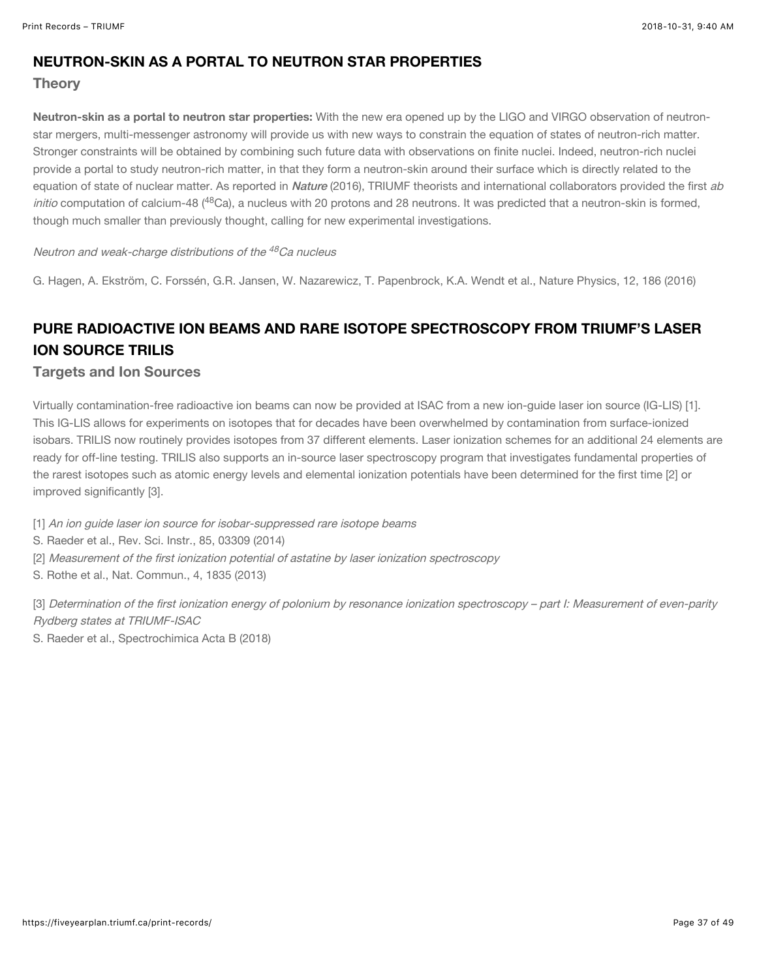#### NEUTRON-SKIN AS A PORTAL TO NEUTRON STAR PROPERTIES

**Theory** 

Neutron-skin as a portal to neutron star properties: With the new era opened up by the LIGO and VIRGO observation of neutronstar mergers, multi-messenger astronomy will provide us with new ways to constrain the equation of states of neutron-rich matter. Stronger constraints will be obtained by combining such future data with observations on finite nuclei. Indeed, neutron-rich nuclei provide a portal to study neutron-rich matter, in that they form a neutron-skin around their surface which is directly related to the equation of state of nuclear matter. As reported in [Nature](https://www.nature.com/articles/nphys3529) (2016), TRIUMF theorists and international collaborators provided the first ab initio computation of calcium-48 (<sup>48</sup>Ca), a nucleus with 20 protons and 28 neutrons. It was predicted that a neutron-skin is formed, though much smaller than previously thought, calling for new experimental investigations.

#### Neutron and weak-charge distributions of the <sup>48</sup>Ca nucleus

G. Hagen, A. Ekström, C. Forssén, G.R. Jansen, W. Nazarewicz, T. Papenbrock, K.A. Wendt et al., Nature Physics, 12, 186 (2016)

## PURE RADIOACTIVE ION BEAMS AND RARE ISOTOPE SPECTROSCOPY FROM TRIUMF'S LASER ION SOURCE TRILIS

#### Targets and Ion Sources

Virtually contamination-free radioactive ion beams can now be provided at ISAC from a new ion-guide laser ion source (IG-LIS) [1]. This IG-LIS allows for experiments on isotopes that for decades have been overwhelmed by contamination from surface-ionized isobars. TRILIS now routinely provides isotopes from 37 different elements. Laser ionization schemes for an additional 24 elements are ready for off-line testing. TRILIS also supports an in-source laser spectroscopy program that investigates fundamental properties of the rarest isotopes such as atomic energy levels and elemental ionization potentials have been determined for the first time [2] or improved significantly [3].

[1] An ion guide laser ion source for isobar-suppressed rare isotope beams

- S. Raeder et al., Rev. Sci. Instr., 85, 03309 (2014)
- [2] Measurement of the first ionization potential of astatine by laser ionization spectroscopy
- S. Rothe et al., Nat. Commun., 4, 1835 (2013)

[3] Determination of the first ionization energy of polonium by resonance ionization spectroscopy – part I: Measurement of even-parity Rydberg states at TRIUMF-ISAC

S. Raeder et al., Spectrochimica Acta B (2018)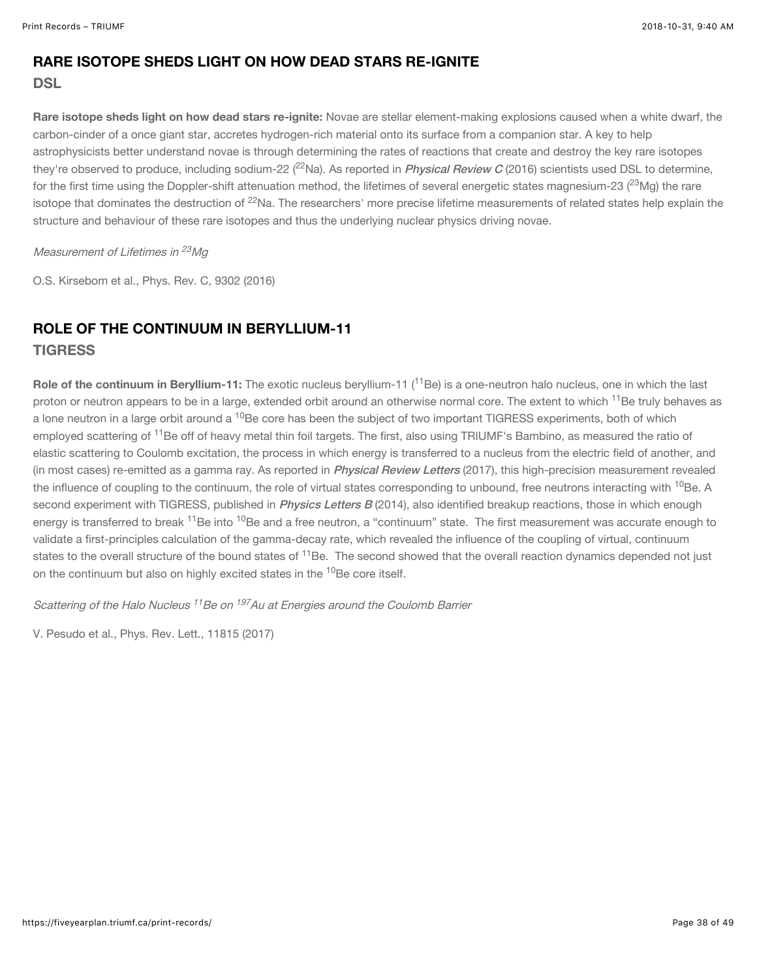## RARE ISOTOPE SHEDS LIGHT ON HOW DEAD STARS RE-IGNITE

#### **DSL**

Rare isotope sheds light on how dead stars re-ignite: Novae are stellar element-making explosions caused when a white dwarf, the carbon-cinder of a once giant star, accretes hydrogen-rich material onto its surface from a companion star. A key to help astrophysicists better understand novae is through determining the rates of reactions that create and destroy the key rare isotopes they're observed to produce, including sodium-22 (<sup>22</sup>Na). As reported in *[Physical Review C](http://dx.doi.org/10.1103/PhysRevC.93.025802)* (2016) scientists used DSL to determine, for the first time using the Doppler-shift attenuation method, the lifetimes of several energetic states magnesium-23 ( $^{23}$ Mg) the rare isotope that dominates the destruction of <sup>22</sup>Na. The researchers' more precise lifetime measurements of related states help explain the structure and behaviour of these rare isotopes and thus the underlying nuclear physics driving novae.

#### Measurement of Lifetimes in <sup>23</sup>Mg

O.S. Kirsebom et al., Phys. Rev. C, 9302 (2016)

#### ROLE OF THE CONTINUUM IN BERYLLIUM-11 **TIGRESS**

Role of the continuum in Beryllium-11: The exotic nucleus beryllium-11 (<sup>11</sup>Be) is a one-neutron halo nucleus, one in which the last proton or neutron appears to be in a large, extended orbit around an otherwise normal core. The extent to which <sup>11</sup>Be truly behaves as a lone neutron in a large orbit around a <sup>10</sup>Be core has been the subject of two important TIGRESS experiments, both of which employed scattering of <sup>11</sup>Be off of heavy metal thin foil targets. The first, also using TRIUMF's Bambino, as measured the ratio of elastic scattering to Coulomb excitation, the process in which energy is transferred to a nucleus from the electric field of another, and (in most cases) re-emitted as a gamma ray. As reported in *[Physical Review Letters](https://journals.aps.org/prl/abstract/10.1103/PhysRevLett.118.152502)* (2017), this high-precision measurement revealed the influence of coupling to the continuum, the role of virtual states corresponding to unbound, free neutrons interacting with <sup>10</sup>Be. A second experiment with TIGRESS, published in *[Physics Letters B](https://www.sciencedirect.com/science/article/pii/S0370269314002056)* (2014), also identified breakup reactions, those in which enough energy is transferred to break <sup>11</sup>Be into <sup>10</sup>Be and a free neutron, a "continuum" state. The first measurement was accurate enough to validate a first-principles calculation of the gamma-decay rate, which revealed the influence of the coupling of virtual, continuum states to the overall structure of the bound states of <sup>11</sup>Be. The second showed that the overall reaction dynamics depended not just on the continuum but also on highly excited states in the <sup>10</sup>Be core itself.

Scattering of the Halo Nucleus <sup>11</sup>Be on <sup>197</sup>Au at Energies around the Coulomb Barrier

V. Pesudo et al., Phys. Rev. Lett., 11815 (2017)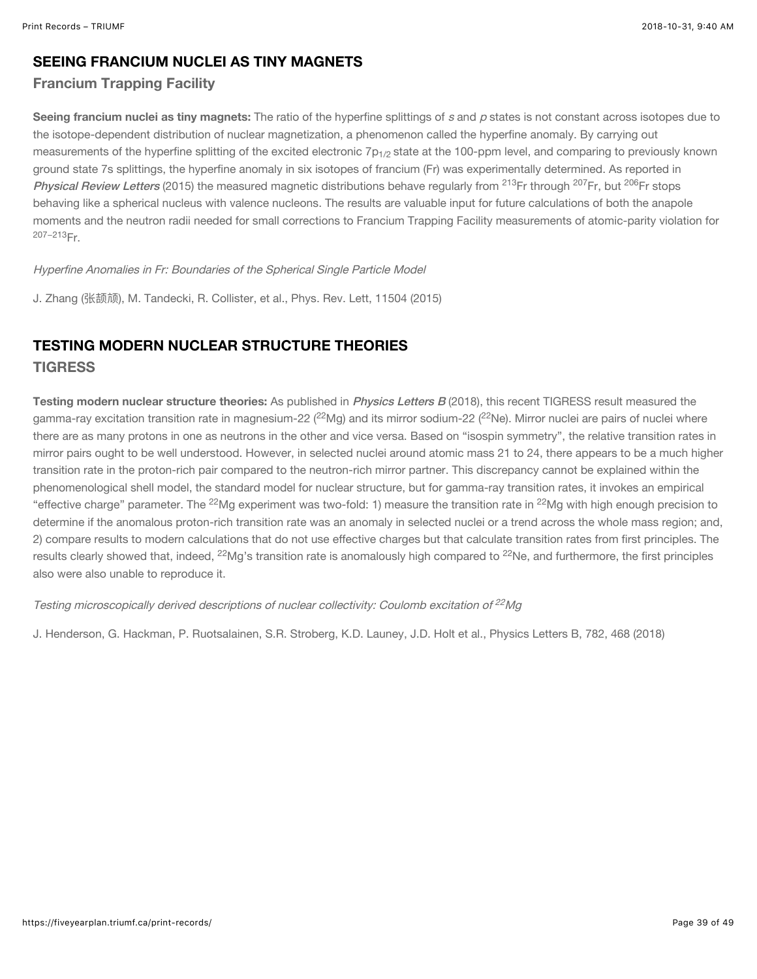#### SEEING FRANCIUM NUCLEI AS TINY MAGNETS

#### Francium Trapping Facility

Seeing francium nuclei as tiny magnets: The ratio of the hyperfine splittings of s and p states is not constant across isotopes due to the isotope-dependent distribution of nuclear magnetization, a phenomenon called the hyperfine anomaly. By carrying out measurements of the hyperfine splitting of the excited electronic 7 $\mathsf{p}_{1/2}$  state at the 100-ppm level, and comparing to previously known ground state 7s splittings, the hyperfine anomaly in six isotopes of francium (Fr) was experimentally determined. As reported in [Physical Review Letters](https://doi.org/10.1103/PhysRevLett.115.042501) (2015) the measured magnetic distributions behave regularly from <sup>213</sup>Fr through <sup>207</sup>Fr, but <sup>206</sup>Fr stops behaving like a spherical nucleus with valence nucleons. The results are valuable input for future calculations of both the anapole moments and the neutron radii needed for small corrections to Francium Trapping Facility measurements of atomic-parity violation for <sup>207–213</sup>Fr.

Hyperfine Anomalies in Fr: Boundaries of the Spherical Single Particle Model

J. Zhang (张颉颃), M. Tandecki, R. Collister, et al., Phys. Rev. Lett, 11504 (2015)

#### TESTING MODERN NUCLEAR STRUCTURE THEORIES **TIGRESS**

Testing modern nuclear structure theories: As published in *[Physics Letters B](http://www.sciencedirect.com/science/article/pii/S0370269318304283)* (2018), this recent TIGRESS result measured the gamma-ray excitation transition rate in magnesium-22 ( $^{22}$ Mg) and its mirror sodium-22 ( $^{22}$ Ne). Mirror nuclei are pairs of nuclei where there are as many protons in one as neutrons in the other and vice versa. Based on "isospin symmetry", the relative transition rates in mirror pairs ought to be well understood. However, in selected nuclei around atomic mass 21 to 24, there appears to be a much higher transition rate in the proton-rich pair compared to the neutron-rich mirror partner. This discrepancy cannot be explained within the phenomenological shell model, the standard model for nuclear structure, but for gamma-ray transition rates, it invokes an empirical "effective charge" parameter. The <sup>22</sup>Mg experiment was two-fold: 1) measure the transition rate in <sup>22</sup>Mg with high enough precision to determine if the anomalous proton-rich transition rate was an anomaly in selected nuclei or a trend across the whole mass region; and, 2) compare results to modern calculations that do not use effective charges but that calculate transition rates from first principles. The results clearly showed that, indeed,  $^{22}$ Mg's transition rate is anomalously high compared to  $^{22}$ Ne, and furthermore, the first principles also were also unable to reproduce it.

Testing microscopically derived descriptions of nuclear collectivity: Coulomb excitation of  $^{22}Mg$ 

J. Henderson, G. Hackman, P. Ruotsalainen, S.R. Stroberg, K.D. Launey, J.D. Holt et al., Physics Letters B, 782, 468 (2018)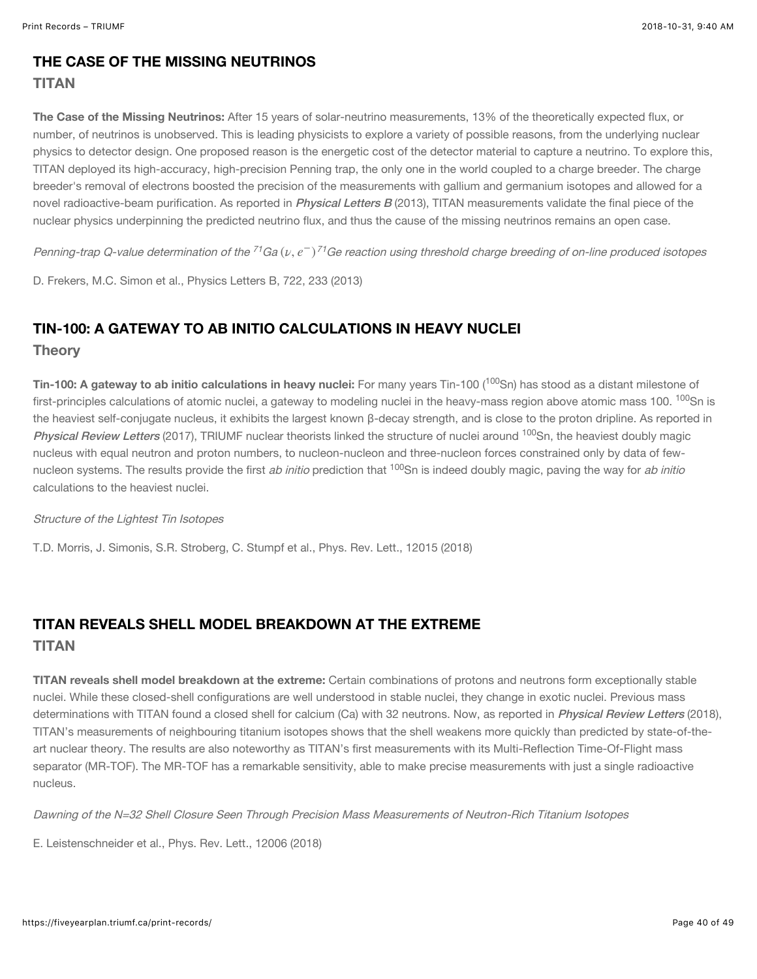#### THE CASE OF THE MISSING NEUTRINOS **TITAN**

The Case of the Missing Neutrinos: After 15 years of solar-neutrino measurements, 13% of the theoretically expected flux, or number, of neutrinos is unobserved. This is leading physicists to explore a variety of possible reasons, from the underlying nuclear physics to detector design. One proposed reason is the energetic cost of the detector material to capture a neutrino. To explore this, TITAN deployed its high-accuracy, high-precision Penning trap, the only one in the world coupled to a charge breeder. The charge breeder's removal of electrons boosted the precision of the measurements with gallium and germanium isotopes and allowed for a novel radioactive-beam purification. As reported in *[Physical Letters B](https://doi.org/10.1016/j.physletb.2013.04.019)* (2013), TITAN measurements validate the final piece of the nuclear physics underpinning the predicted neutrino flux, and thus the cause of the missing neutrinos remains an open case.

Penning-trap Q-value determination of the <sup>71</sup>Ga ( $\nu,e^-$ )<sup>71</sup>Ge reaction using threshold charge breeding of on-line produced isotopes

D. Frekers, M.C. Simon et al., Physics Letters B, 722, 233 (2013)

## TIN-100: A GATEWAY TO AB INITIO CALCULATIONS IN HEAVY NUCLEI

**Theory** 

**Tin-100: A gateway to ab initio calculations in heavy nuclei:** For many years Tin-100 (<sup>100</sup>Sn) has stood as a distant milestone of first-principles calculations of atomic nuclei, a gateway to modeling nuclei in the heavy-mass region above atomic mass 100.  $^{100}$ Sn is the heaviest self-conjugate nucleus, it exhibits the largest known β-decay strength, and is close to the proton dripline. As reported in [Physical Review Letters](https://journals.aps.org/prl/abstract/10.1103/PhysRevLett.120.152503) (2017), TRIUMF nuclear theorists linked the structure of nuclei around <sup>100</sup>Sn, the heaviest doubly magic nucleus with equal neutron and proton numbers, to nucleon-nucleon and three-nucleon forces constrained only by data of fewnucleon systems. The results provide the first *ab initio* prediction that <sup>100</sup>Sn is indeed doubly magic, paving the way for *ab initio* calculations to the heaviest nuclei.

#### Structure of the Lightest Tin Isotopes

T.D. Morris, J. Simonis, S.R. Stroberg, C. Stumpf et al., Phys. Rev. Lett., 12015 (2018)

## TITAN REVEALS SHELL MODEL BREAKDOWN AT THE EXTREME TITAN

TITAN reveals shell model breakdown at the extreme: Certain combinations of protons and neutrons form exceptionally stable nuclei. While these closed-shell configurations are well understood in stable nuclei, they change in exotic nuclei. Previous mass determinations with TITAN found a closed shell for calcium (Ca) with 32 neutrons. Now, as reported in *[Physical Review Letters](https://journals.aps.org/prl/abstract/10.1103/PhysRevLett.120.062503)* (2018), TITAN's measurements of neighbouring titanium isotopes shows that the shell weakens more quickly than predicted by state-of-theart nuclear theory. The results are also noteworthy as TITAN's first measurements with its Multi-Reflection Time-Of-Flight mass separator (MR-TOF). The MR-TOF has a remarkable sensitivity, able to make precise measurements with just a single radioactive nucleus.

Dawning of the N=32 Shell Closure Seen Through Precision Mass Measurements of Neutron-Rich Titanium Isotopes

E. Leistenschneider et al., Phys. Rev. Lett., 12006 (2018)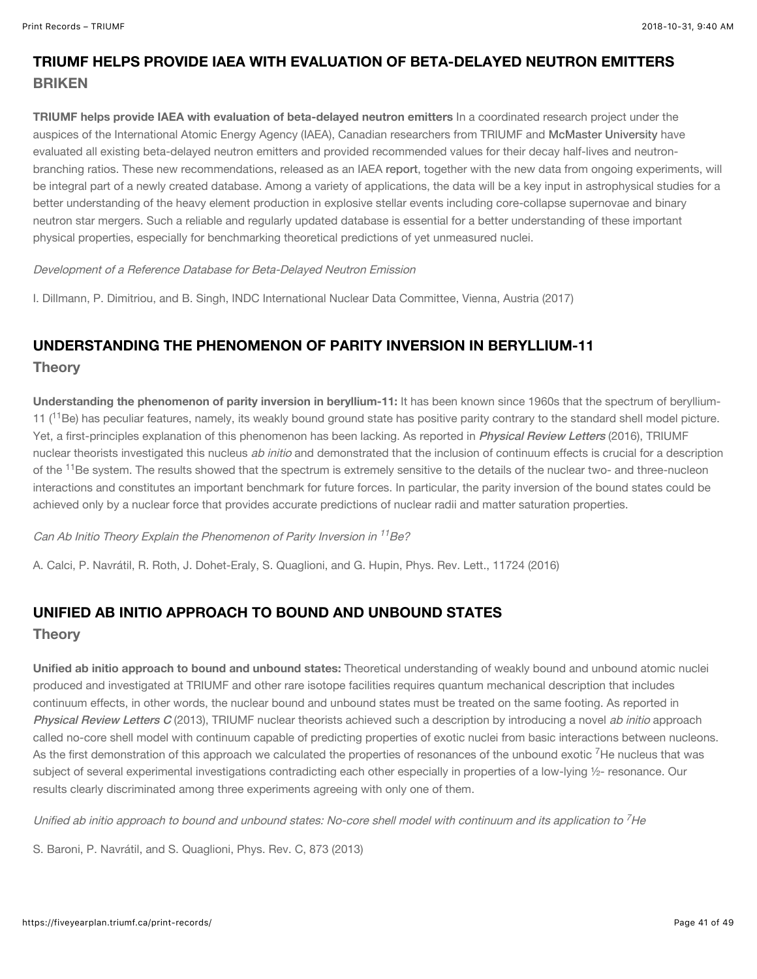## TRIUMF HELPS PROVIDE IAEA WITH EVALUATION OF BETA-DELAYED NEUTRON EMITTERS **BRIKEN**

TRIUMF helps provide IAEA with evaluation of beta-delayed neutron emitters In a coordinated research project under the auspices of the International Atomic Energy Agency (IAEA), Canadian researchers from TRIUMF and [McMaster University](http://www.mcmaster.ca/) have evaluated all existing beta-delayed neutron emitters and provided recommended values for their decay half-lives and neutronbranching ratios. These new recommendations, released as an IAEA [report](https://www-nds.iaea.org/publications/indc/indc-nds-0735.pdf), together with the new data from ongoing experiments, will be integral part of a newly created database. Among a variety of applications, the data will be a key input in astrophysical studies for a better understanding of the heavy element production in explosive stellar events including core-collapse supernovae and binary neutron star mergers. Such a reliable and regularly updated database is essential for a better understanding of these important physical properties, especially for benchmarking theoretical predictions of yet unmeasured nuclei.

#### Development of a Reference Database for Beta-Delayed Neutron Emission

I. Dillmann, P. Dimitriou, and B. Singh, INDC International Nuclear Data Committee, Vienna, Austria (2017)

## UNDERSTANDING THE PHENOMENON OF PARITY INVERSION IN BERYLLIUM-11 **Theory**

Understanding the phenomenon of parity inversion in beryllium-11: It has been known since 1960s that the spectrum of beryllium-11 ( $11$ Be) has peculiar features, namely, its weakly bound ground state has positive parity contrary to the standard shell model picture. Yet, a first-principles explanation of this phenomenon has been lacking. As reported in *[Physical Review Letters](https://journals.aps.org/prl/abstract/10.1103/PhysRevLett.117.242501)* (2016), TRIUMF nuclear theorists investigated this nucleus ab initio and demonstrated that the inclusion of continuum effects is crucial for a description of the <sup>11</sup>Be system. The results showed that the spectrum is extremely sensitive to the details of the nuclear two- and three-nucleon interactions and constitutes an important benchmark for future forces. In particular, the parity inversion of the bound states could be achieved only by a nuclear force that provides accurate predictions of nuclear radii and matter saturation properties.

Can Ab Initio Theory Explain the Phenomenon of Parity Inversion in <sup>11</sup>Be?

A. Calci, P. Navrátil, R. Roth, J. Dohet-Eraly, S. Quaglioni, and G. Hupin, Phys. Rev. Lett., 11724 (2016)

## UNIFIED AB INITIO APPROACH TO BOUND AND UNBOUND STATES

#### **Theory**

Unified ab initio approach to bound and unbound states: Theoretical understanding of weakly bound and unbound atomic nuclei produced and investigated at TRIUMF and other rare isotope facilities requires quantum mechanical description that includes continuum effects, in other words, the nuclear bound and unbound states must be treated on the same footing. As reported in [Physical Review Letters C](https://journals.aps.org/prc/abstract/10.1103/PhysRevC.87.034326) (2013), TRIUMF nuclear theorists achieved such a description by introducing a novel ab initio approach called no-core shell model with continuum capable of predicting properties of exotic nuclei from basic interactions between nucleons. As the first demonstration of this approach we calculated the properties of resonances of the unbound exotic <sup>7</sup>He nucleus that was subject of several experimental investigations contradicting each other especially in properties of a low-lying 1/2- resonance. Our results clearly discriminated among three experiments agreeing with only one of them.

Unified ab initio approach to bound and unbound states: No-core shell model with continuum and its application to  $^7$ He

S. Baroni, P. Navrátil, and S. Quaglioni, Phys. Rev. C, 873 (2013)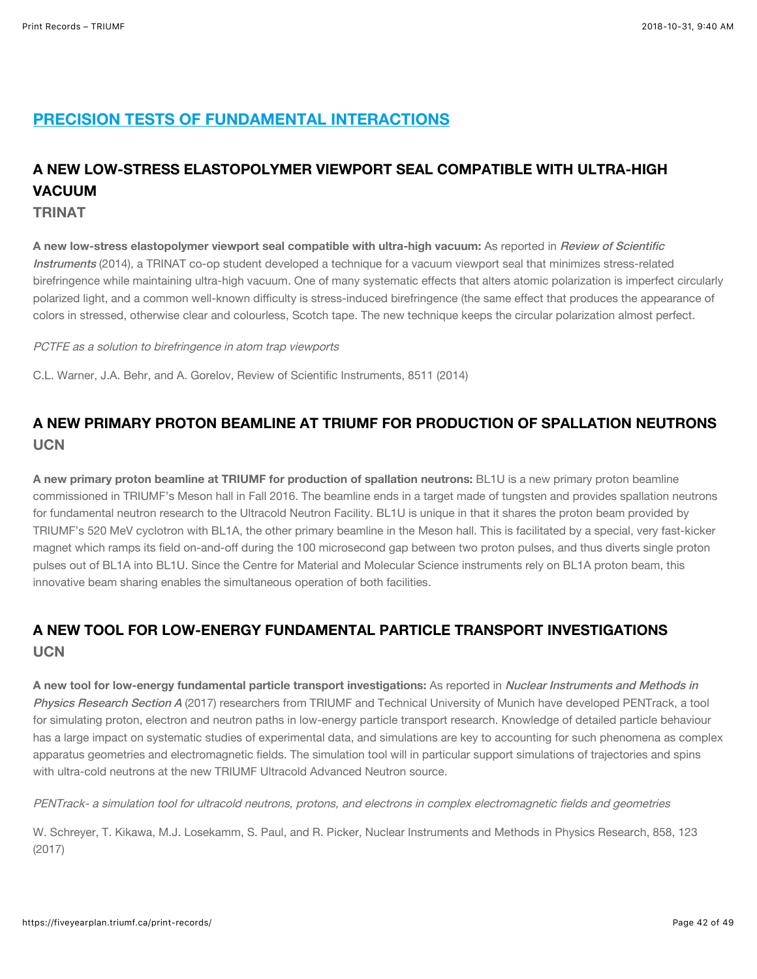## PRECISION TESTS OF FUNDAMENTAL INTERACTIONS

## A NEW LOW-STRESS ELASTOPOLYMER VIEWPORT SEAL COMPATIBLE WITH ULTRA-HIGH VACUUM

TRINAT

A new low-stress elastopolymer viewport seal compatible with ultra-high vacuum: As reported in Review of Scientific Instruments [\(2014\), a TRINAT co-op student developed a technique for a vacuum viewport seal that minimizes stress-relate](https://aip.scitation.org/doi/10.1063/1.4900957)d birefringence while maintaining ultra-high vacuum. One of many systematic effects that alters atomic polarization is imperfect circularly polarized light, and a common well-known difficulty is stress-induced birefringence (the same effect that produces the appearance of colors in stressed, otherwise clear and colourless, Scotch tape. The new technique keeps the circular polarization almost perfect.

PCTFE as a solution to birefringence in atom trap viewports

C.L. Warner, J.A. Behr, and A. Gorelov, Review of Scientific Instruments, 8511 (2014)

## A NEW PRIMARY PROTON BEAMLINE AT TRIUMF FOR PRODUCTION OF SPALLATION NEUTRONS **LICN**

A new primary proton beamline at TRIUMF for production of spallation neutrons: BL1U is a new primary proton beamline commissioned in TRIUMF's Meson hall in Fall 2016. The beamline ends in a target made of tungsten and provides spallation neutrons for fundamental neutron research to the Ultracold Neutron Facility. BL1U is unique in that it shares the proton beam provided by TRIUMF's 520 MeV cyclotron with BL1A, the other primary beamline in the Meson hall. This is facilitated by a special, very fast-kicker magnet which ramps its field on-and-off during the 100 microsecond gap between two proton pulses, and thus diverts single proton pulses out of BL1A into BL1U. Since the Centre for Material and Molecular Science instruments rely on BL1A proton beam, this innovative beam sharing enables the simultaneous operation of both facilities.

## A NEW TOOL FOR LOW-ENERGY FUNDAMENTAL PARTICLE TRANSPORT INVESTIGATIONS **UCN**

A new tool for low-energy fundamental particle transport investigations: As reported in Nuclear Instruments and Methods in Physics Research Section A [\(2017\) researchers from TRIUMF and Technical University of Munich have developed PENTrack, a to](https://www.sciencedirect.com/science/article/pii/S0168900217303765)ol for simulating proton, electron and neutron paths in low-energy particle transport research. Knowledge of detailed particle behaviour has a large impact on systematic studies of experimental data, and simulations are key to accounting for such phenomena as complex apparatus geometries and electromagnetic fields. The simulation tool will in particular support simulations of trajectories and spins with ultra-cold neutrons at the new TRIUMF Ultracold Advanced Neutron source.

PENTrack- a simulation tool for ultracold neutrons, protons, and electrons in complex electromagnetic fields and geometries

W. Schreyer, T. Kikawa, M.J. Losekamm, S. Paul, and R. Picker, Nuclear Instruments and Methods in Physics Research, 858, 123 (2017)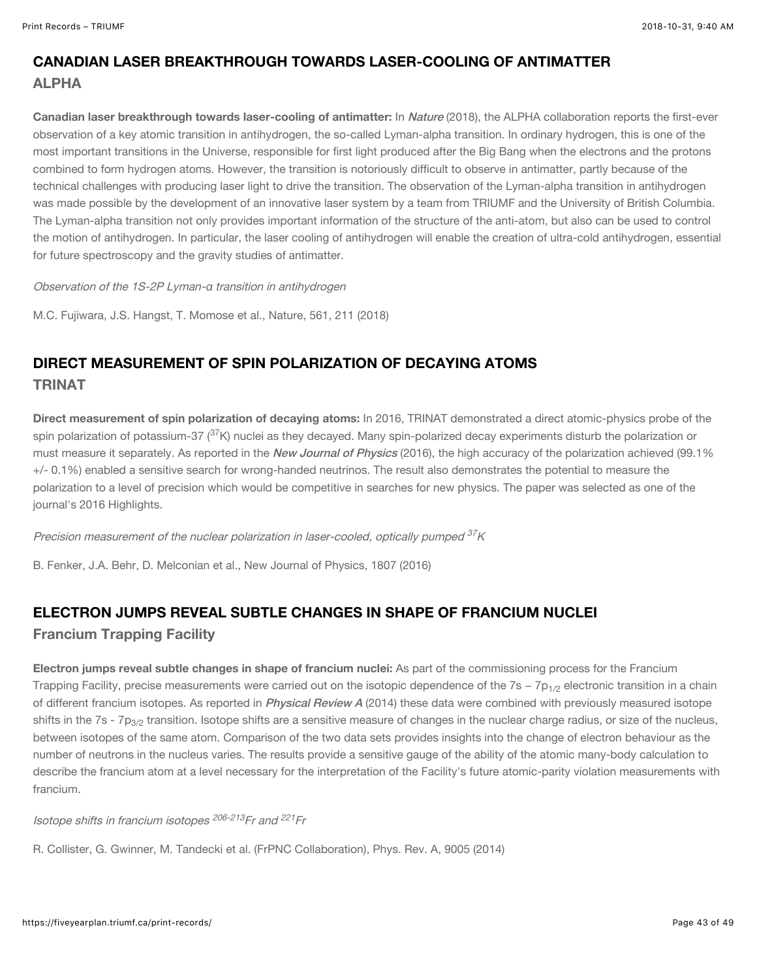## CANADIAN LASER BREAKTHROUGH TOWARDS LASER-COOLING OF ANTIMATTER ALPHA

Canadian laser breakthrough towards laser-cooling of antimatter: In [Nature](https://www.nature.com/articles/s41586-018-0435-1) (2018), the ALPHA collaboration reports the first-ever observation of a key atomic transition in antihydrogen, the so-called Lyman-alpha transition. In ordinary hydrogen, this is one of the most important transitions in the Universe, responsible for first light produced after the Big Bang when the electrons and the protons combined to form hydrogen atoms. However, the transition is notoriously difficult to observe in antimatter, partly because of the technical challenges with producing laser light to drive the transition. The observation of the Lyman-alpha transition in antihydrogen was made possible by the development of an innovative laser system by a team from TRIUMF and the University of British Columbia. The Lyman-alpha transition not only provides important information of the structure of the anti-atom, but also can be used to control the motion of antihydrogen. In particular, the laser cooling of antihydrogen will enable the creation of ultra-cold antihydrogen, essential for future spectroscopy and the gravity studies of antimatter.

Observation of the 1S-2P Lyman-α transition in antihydrogen

M.C. Fujiwara, J.S. Hangst, T. Momose et al., Nature, 561, 211 (2018)

## DIRECT MEASUREMENT OF SPIN POLARIZATION OF DECAYING ATOMS TRINAT

Direct measurement of spin polarization of decaying atoms: In 2016, TRINAT demonstrated a direct atomic-physics probe of the spin polarization of potassium-37 ( $^{37}$ K) nuclei as they decayed. Many spin-polarized decay experiments disturb the polarization or must measure it separately. As reported in the [New Journal of Physics](http://iopscience.iop.org/article/10.1088/1367-2630/18/7/073028/meta) (2016), the high accuracy of the polarization achieved (99.1% +/- 0.1%) enabled a sensitive search for wrong-handed neutrinos. The result also demonstrates the potential to measure the polarization to a level of precision which would be competitive in searches for new physics. The paper was selected as one of the journal's 2016 Highlights.

Precision measurement of the nuclear polarization in laser-cooled, optically pumped  $^{37}\!K$ 

B. Fenker, J.A. Behr, D. Melconian et al., New Journal of Physics, 1807 (2016)

## ELECTRON JUMPS REVEAL SUBTLE CHANGES IN SHAPE OF FRANCIUM NUCLEI Francium Trapping Facility

Electron jumps reveal subtle changes in shape of francium nuclei: As part of the commissioning process for the Francium Trapping Facility, precise measurements were carried out on the isotopic dependence of the 7s – 7p<sub>1/2</sub> electronic transition in a chain of different francium isotopes. As reported in *[Physical Review A](https://doi.org/10.1103/PhysRevA.90.052502)* (2014) these data were combined with previously measured isotope shifts in the 7s - 7p $_{3/2}$  transition. Isotope shifts are a sensitive measure of changes in the nuclear charge radius, or size of the nucleus, between isotopes of the same atom. Comparison of the two data sets provides insights into the change of electron behaviour as the number of neutrons in the nucleus varies. The results provide a sensitive gauge of the ability of the atomic many-body calculation to describe the francium atom at a level necessary for the interpretation of the Facility's future atomic-parity violation measurements with francium.

lsotope shifts in francium isotopes <sup>206-213</sup>Fr and <sup>221</sup>Fr

R. Collister, G. Gwinner, M. Tandecki et al. (FrPNC Collaboration), Phys. Rev. A, 9005 (2014)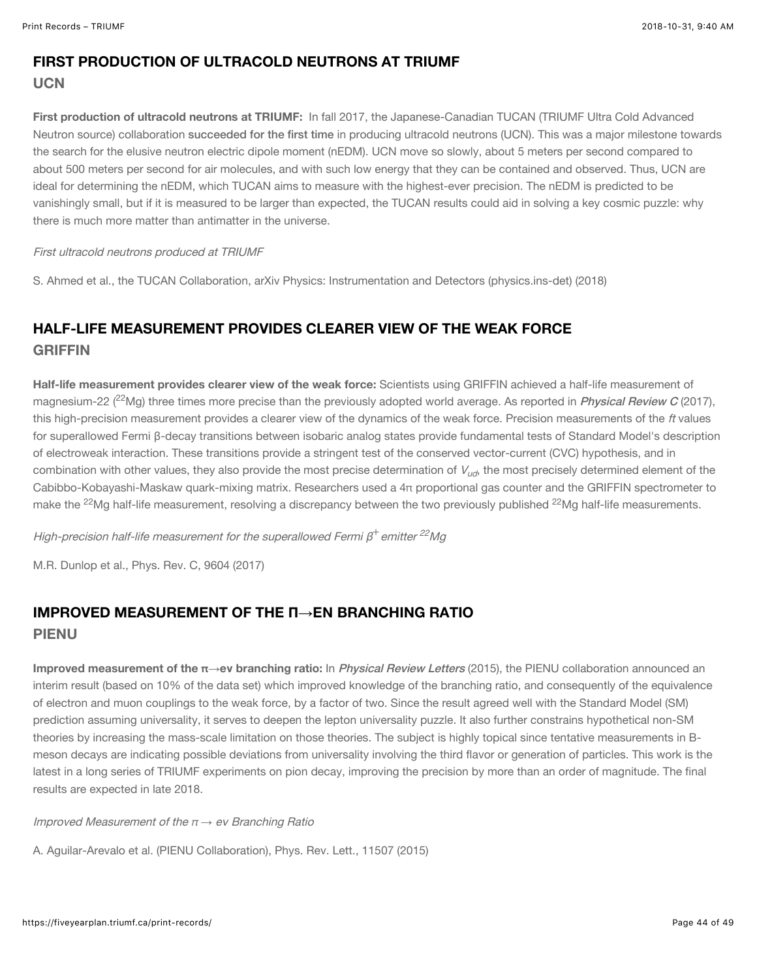#### FIRST PRODUCTION OF ULTRACOLD NEUTRONS AT TRIUMF **UCN**

First production of ultracold neutrons at TRIUMF: In fall 2017, the Japanese-Canadian TUCAN (TRIUMF Ultra Cold Advanced Neutron source) collaboration [succeeded for the first time](https://www.researchgate.net/publication/327621431_First_ultracold_neutrons_produced_at_TRIUMF) in producing ultracold neutrons (UCN). This was a major milestone towards the search for the elusive neutron electric dipole moment (nEDM). UCN move so slowly, about 5 meters per second compared to about 500 meters per second for air molecules, and with such low energy that they can be contained and observed. Thus, UCN are ideal for determining the nEDM, which TUCAN aims to measure with the highest-ever precision. The nEDM is predicted to be vanishingly small, but if it is measured to be larger than expected, the TUCAN results could aid in solving a key cosmic puzzle: why there is much more matter than antimatter in the universe.

#### First ultracold neutrons produced at TRIUMF

S. Ahmed et al., the TUCAN Collaboration, arXiv Physics: Instrumentation and Detectors (physics.ins-det) (2018)

## HALF-LIFE MEASUREMENT PROVIDES CLEARER VIEW OF THE WEAK FORCE **GRIFFIN**

Half-life measurement provides clearer view of the weak force: Scientists using GRIFFIN achieved a half-life measurement of magnesium-22 (<sup>22</sup>Mg) three times more precise than the previously adopted world average. As reported in *[Physical Review C](https://journals.aps.org/prc/abstract/10.1103/PhysRevC.96.045502)* (2017), this high-precision measurement provides a clearer view of the dynamics of the weak force. Precision measurements of the ft values for superallowed Fermi β-decay transitions between isobaric analog states provide fundamental tests of Standard Model's description of electroweak interaction. These transitions provide a stringent test of the conserved vector-current (CVC) hypothesis, and in combination with other values, they also provide the most precise determination of  $V_{\omega d}$ , the most precisely determined element of the Cabibbo-Kobayashi-Maskaw quark-mixing matrix. Researchers used a 4π proportional gas counter and the GRIFFIN spectrometer to make the <sup>22</sup>Mg half-life measurement, resolving a discrepancy between the two previously published <sup>22</sup>Mg half-life measurements.

High-precision half-life measurement for the superallowed Fermi  $\beta^+$ emitter  $^{22}$ Mg

M.R. Dunlop et al., Phys. Rev. C, 9604 (2017)

#### IMPROVED MEASUREMENT OF THE **Π→**E**Ν** BRANCHING RATIO PIENU

Improved measurement of the π**→**e**ν** branching ratio: In [Physical Review Letters](https://journals.aps.org/prl/abstract/10.1103/PhysRevLett.115.071801) (2015), the PIENU collaboration announced an interim result (based on 10% of the data set) which improved knowledge of the branching ratio, and consequently of the equivalence of electron and muon couplings to the weak force, by a factor of two. Since the result agreed well with the Standard Model (SM) prediction assuming universality, it serves to deepen the lepton universality puzzle. It also further constrains hypothetical non-SM theories by increasing the mass-scale limitation on those theories. The subject is highly topical since tentative measurements in Bmeson decays are indicating possible deviations from universality involving the third flavor or generation of particles. This work is the latest in a long series of TRIUMF experiments on pion decay, improving the precision by more than an order of magnitude. The final results are expected in late 2018.

Improved Measurement of the <sup>π</sup> *→* eν Branching Ratio

A. Aguilar-Arevalo et al. (PIENU Collaboration), Phys. Rev. Lett., 11507 (2015)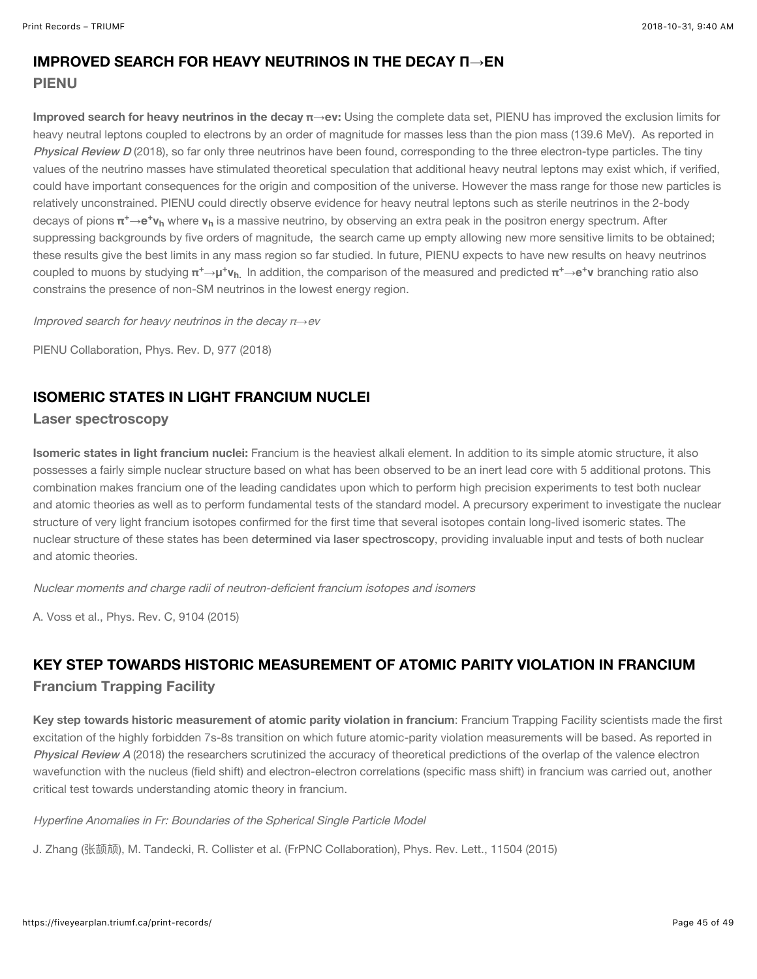## IMPROVED SEARCH FOR HEAVY NEUTRINOS IN THE DECAY **Π→**E**Ν**

#### PIENU

Improved search for heavy neutrinos in the decay π**→**e**ν**: Using the complete data set, PIENU has improved the exclusion limits for heavy neutral leptons coupled to electrons by an order of magnitude for masses less than the pion mass (139.6 MeV). As reported in [Physical Review D](https://journals.aps.org/prd/abstract/10.1103/PhysRevD.97.072012) (2018), so far only three neutrinos have been found, corresponding to the three electron-type particles. The tiny values of the neutrino masses have stimulated theoretical speculation that additional heavy neutral leptons may exist which, if verified, could have important consequences for the origin and composition of the universe. However the mass range for those new particles is relatively unconstrained. PIENU could directly observe evidence for heavy neutral leptons such as sterile neutrinos in the 2-body decays of pions π<sup>+</sup>→e<sup>+</sup>**v<sub>h</sub> where <b>v**<sub>h</sub> is a massive neutrino, by observing an extra peak in the positron energy spectrum. After suppressing backgrounds by five orders of magnitude, the search came up empty allowing new more sensitive limits to be obtained; these results give the best limits in any mass region so far studied. In future, PIENU expects to have new results on heavy neutrinos coupled to muons by studying π<sup>+</sup>→μ<sup>+</sup>**ν**<sub>h.</sub> In addition, the comparison of the measured and predicted π<sup>+</sup>→e<sup>+</sup>ν branching ratio also constrains the presence of non-SM neutrinos in the lowest energy region.

Improved search for heavy neutrinos in the decay π*→*ev

PIENU Collaboration, Phys. Rev. D, 977 (2018)

## ISOMERIC STATES IN LIGHT FRANCIUM NUCLEI

#### Laser spectroscopy

Isomeric states in light francium nuclei: Francium is the heaviest alkali element. In addition to its simple atomic structure, it also possesses a fairly simple nuclear structure based on what has been observed to be an inert lead core with 5 additional protons. This combination makes francium one of the leading candidates upon which to perform high precision experiments to test both nuclear and atomic theories as well as to perform fundamental tests of the standard model. A precursory experiment to investigate the nuclear structure of very light francium isotopes confirmed for the first time that several isotopes contain long-lived isomeric states. The nuclear structure of these states has been [determined via laser spectroscopy](https://journals.aps.org/prc/abstract/10.1103/PhysRevC.91.044307), providing invaluable input and tests of both nuclear and atomic theories.

Nuclear moments and charge radii of neutron-deficient francium isotopes and isomers

A. Voss et al., Phys. Rev. C, 9104 (2015)

## KEY STEP TOWARDS HISTORIC MEASUREMENT OF ATOMIC PARITY VIOLATION IN FRANCIUM Francium Trapping Facility

Key step towards historic measurement of atomic parity violation in francium: Francium Trapping Facility scientists made the first excitation of the highly forbidden 7s-8s transition on which future atomic-parity violation measurements will be based. As reported in [Physical Review A](https://doi.org/10.1103/PhysRevLett.115.042501) (2018) the researchers scrutinized the accuracy of theoretical predictions of the overlap of the valence electron wavefunction with the nucleus (field shift) and electron-electron correlations (specific mass shift) in francium was carried out, another critical test towards understanding atomic theory in francium.

#### Hyperfine Anomalies in Fr: Boundaries of the Spherical Single Particle Model

J. Zhang (ୟ᷁ᶻ), M. Tandecki, R. Collister et al. (FrPNC Collaboration), Phys. Rev. Lett., 11504 (2015)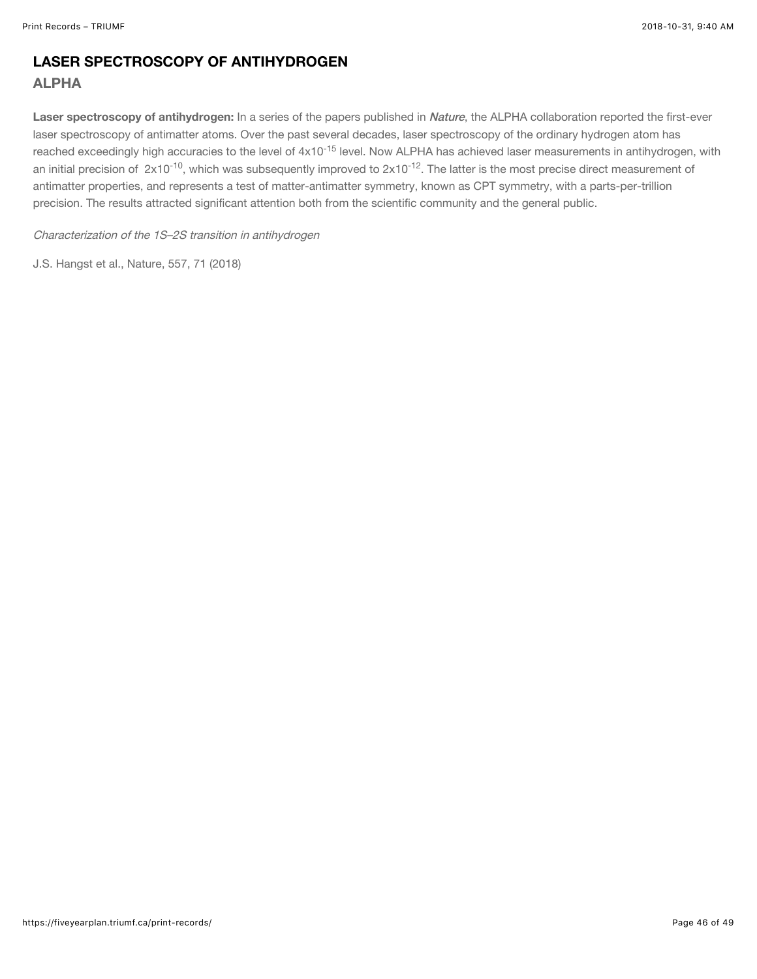## LASER SPECTROSCOPY OF ANTIHYDROGEN ALPHA

Laser spectroscopy of antihydrogen: In a series of the papers published in [Nature](https://www.nature.com/articles/s41586-018-0017-2), the ALPHA collaboration reported the first-ever laser spectroscopy of antimatter atoms. Over the past several decades, laser spectroscopy of the ordinary hydrogen atom has reached exceedingly high accuracies to the level of 4x10<sup>-15</sup> level. Now ALPHA has achieved laser measurements in antihydrogen, with an initial precision of  $~2 \times 10^{-10}$ , which was subsequently improved to  $2 \times 10^{-12}.$  The latter is the most precise direct measurement of antimatter properties, and represents a test of matter-antimatter symmetry, known as CPT symmetry, with a parts-per-trillion precision. The results attracted significant attention both from the scientific community and the general public.

Characterization of the 1S–2S transition in antihydrogen

J.S. Hangst et al., Nature, 557, 71 (2018)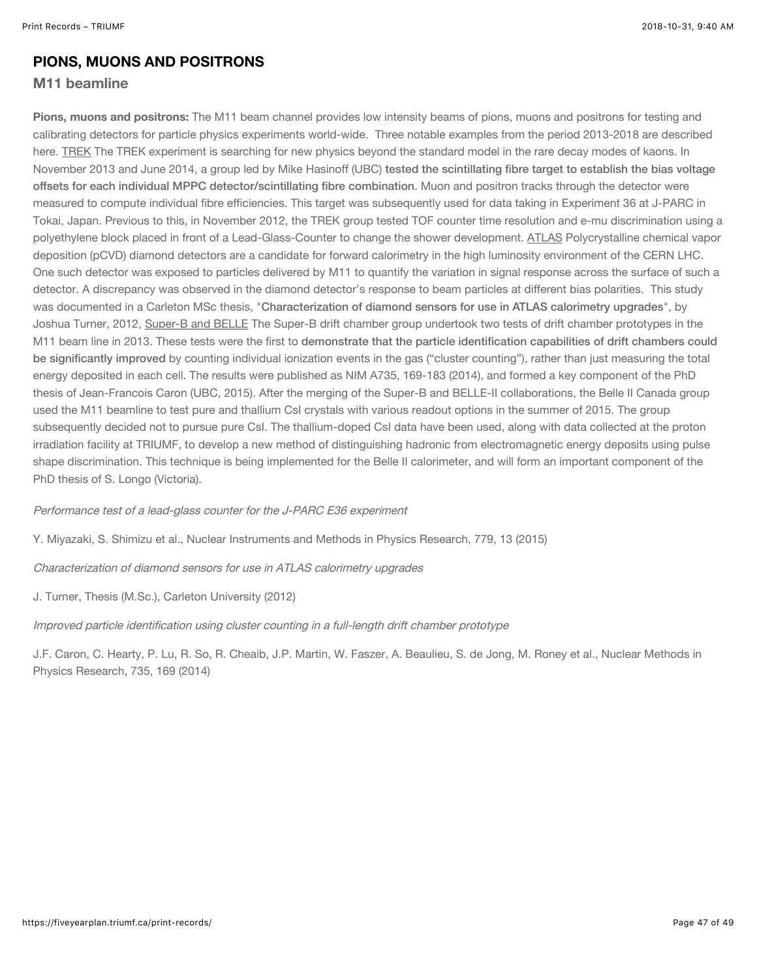#### PIONS, MUONS AND POSITRONS

#### M11 beamline

Pions, muons and positrons: The M11 beam channel provides low intensity beams of pions, muons and positrons for testing and calibrating detectors for particle physics experiments world-wide. Three notable examples from the period 2013-2018 are described here. TREK The TREK experiment is searching for new physics beyond the standard model in the rare decay modes of kaons. In November 2013 and June 2014, a group led by Mike Hasinoff (UBC) tested the scintillating fibre target to establish the bias voltage [offsets for each individual MPPC detector/scintillating fibre combination](https://www.sciencedirect.com/science/article/pii/S0168900215000753). Muon and positron tracks through the detector were measured to compute individual fibre efficiencies. This target was subsequently used for data taking in Experiment 36 at J-PARC in Tokai, Japan. Previous to this, in November 2012, the TREK group tested TOF counter time resolution and e-mu discrimination using a polyethylene block placed in front of a Lead-Glass-Counter to change the shower development. ATLAS Polycrystalline chemical vapor deposition (pCVD) diamond detectors are a candidate for forward calorimetry in the high luminosity environment of the CERN LHC. One such detector was exposed to particles delivered by M11 to quantify the variation in signal response across the surface of such a detector. A discrepancy was observed in the diamond detector's response to beam particles at different bias polarities. This study was documented in a Carleton MSc thesis, "[Characterization of diamond sensors for use in ATLAS calorimetry upgrades](https://catalogue.library.carleton.ca/record=b3293005)", by Joshua Turner, 2012, Super-B and BELLE The Super-B drift chamber group undertook two tests of drift chamber prototypes in the M11 beam line in 2013. These tests were the first to demonstrate that the particle identification capabilities of drift chambers could be significantly improved [by counting individual ionization events in the gas \("cluster counting"\), rather than just measuring the total](https://www.sciencedirect.com/science/article/pii/S016890021301262X) energy deposited in each cell. The results were published as NIM A735, 169-183 (2014), and formed a key component of the PhD thesis of Jean-Francois Caron (UBC, 2015). After the merging of the Super-B and BELLE-II collaborations, the Belle II Canada group used the M11 beamline to test pure and thallium CsI crystals with various readout options in the summer of 2015. The group subsequently decided not to pursue pure CsI. The thallium-doped CsI data have been used, along with data collected at the proton irradiation facility at TRIUMF, to develop a new method of distinguishing hadronic from electromagnetic energy deposits using pulse shape discrimination. This technique is being implemented for the Belle II calorimeter, and will form an important component of the PhD thesis of S. Longo (Victoria).

Performance test of a lead-glass counter for the J-PARC E36 experiment

Y. Miyazaki, S. Shimizu et al., Nuclear Instruments and Methods in Physics Research, 779, 13 (2015)

Characterization of diamond sensors for use in ATLAS calorimetry upgrades

J. Turner, Thesis (M.Sc.), Carleton University (2012)

Improved particle identification using cluster counting in a full-length drift chamber prototype

J.F. Caron, C. Hearty, P. Lu, R. So, R. Cheaib, J.P. Martin, W. Faszer, A. Beaulieu, S. de Jong, M. Roney et al., Nuclear Methods in Physics Research, 735, 169 (2014)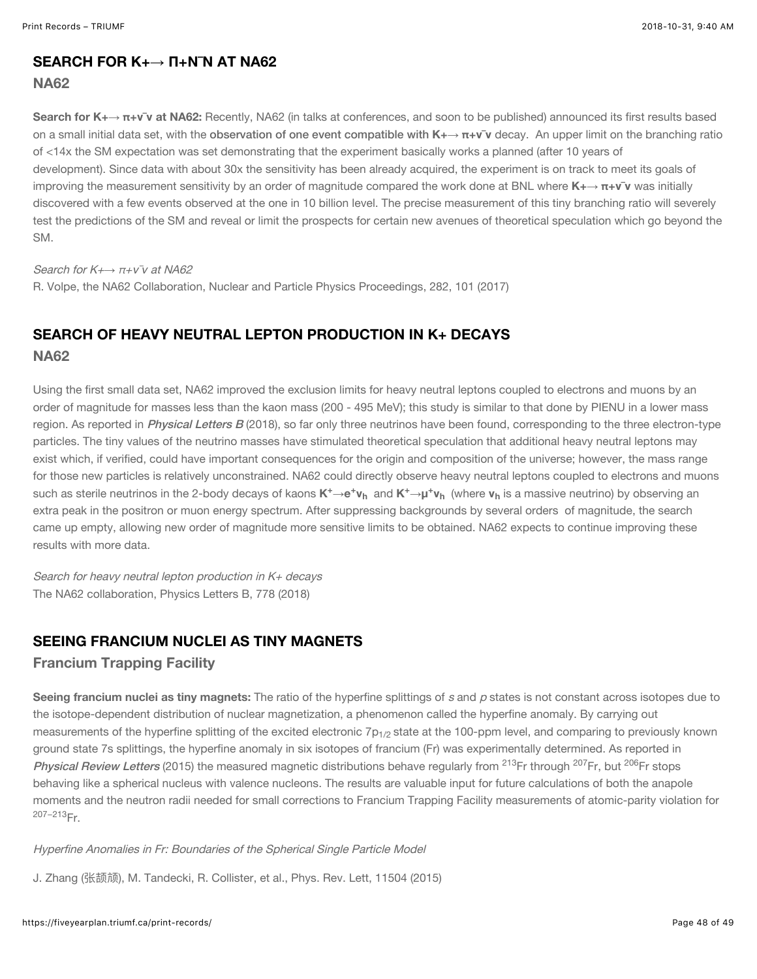#### SEARCH FOR K+**→ Π**+**Ν**¯**Ν** AT NA62

#### NA62

Search for K+→ π+ν<sup>-</sup>ν at NA62: Recently, NA62 (in talks at conferences, and soon to be published) announced its first results based on a small initial data set, with the [observation of one event compatible with](https://www.sciencedirect.com/science/article/pii/S2405601416302711?via%3Dihub) K+**→** π+**ν**¯**ν** decay. An upper limit on the branching ratio of <14x the SM expectation was set demonstrating that the experiment basically works a planned (after 10 years of development). Since data with about 30x the sensitivity has been already acquired, the experiment is on track to meet its goals of improving the measurement sensitivity by an order of magnitude compared the work done at BNL where K+**→** π+**ν**¯**ν** was initially discovered with a few events observed at the one in 10 billion level. The precise measurement of this tiny branching ratio will severely test the predictions of the SM and reveal or limit the prospects for certain new avenues of theoretical speculation which go beyond the SM.

#### Search for K<sup>+→</sup>  $π+ν$ <sup>τ</sup>ν at NA62

R. Volpe, the NA62 Collaboration, Nuclear and Particle Physics Proceedings, 282, 101 (2017)

## SEARCH OF HEAVY NEUTRAL LEPTON PRODUCTION IN K+ DECAYS NA62

Using the first small data set, NA62 improved the exclusion limits for heavy neutral leptons coupled to electrons and muons by an order of magnitude for masses less than the kaon mass (200 - 495 MeV); this study is similar to that done by PIENU in a lower mass region. As reported in *[Physical Letters B](https://www.sciencedirect.com/science/article/pii/S037026931830039X?via%3Dihub)* (2018), so far only three neutrinos have been found, corresponding to the three electron-type particles. The tiny values of the neutrino masses have stimulated theoretical speculation that additional heavy neutral leptons may exist which, if verified, could have important consequences for the origin and composition of the universe; however, the mass range for those new particles is relatively unconstrained. NA62 could directly observe heavy neutral leptons coupled to electrons and muons such as sterile neutrinos in the 2-body decays of kaons **K<sup>+</sup>→e<sup>+</sup>ν<sub>h</sub> and <b>K**<sup>+</sup>→μ<sup>+</sup>ν<sub>h</sub> (where **ν**<sub>h</sub> is a massive neutrino) by observing an extra peak in the positron or muon energy spectrum. After suppressing backgrounds by several orders of magnitude, the search came up empty, allowing new order of magnitude more sensitive limits to be obtained. NA62 expects to continue improving these results with more data.

Search for heavy neutral lepton production in K+ decays The NA62 collaboration, Physics Letters B, 778 (2018)

#### SEEING FRANCIUM NUCLEI AS TINY MAGNETS

#### Francium Trapping Facility

Seeing francium nuclei as tiny magnets: The ratio of the hyperfine splittings of s and p states is not constant across isotopes due to the isotope-dependent distribution of nuclear magnetization, a phenomenon called the hyperfine anomaly. By carrying out measurements of the hyperfine splitting of the excited electronic 7 $\mathsf{p}_{1/2}$  state at the 100-ppm level, and comparing to previously known ground state 7s splittings, the hyperfine anomaly in six isotopes of francium (Fr) was experimentally determined. As reported in [Physical Review Letters](https://doi.org/10.1103/PhysRevLett.115.042501) (2015) the measured magnetic distributions behave regularly from <sup>213</sup>Fr through <sup>207</sup>Fr, but <sup>206</sup>Fr stops behaving like a spherical nucleus with valence nucleons. The results are valuable input for future calculations of both the anapole moments and the neutron radii needed for small corrections to Francium Trapping Facility measurements of atomic-parity violation for <sup>207–213</sup>Fr.

#### Hyperfine Anomalies in Fr: Boundaries of the Spherical Single Particle Model

J. Zhang (张颉颃), M. Tandecki, R. Collister, et al., Phys. Rev. Lett, 11504 (2015)